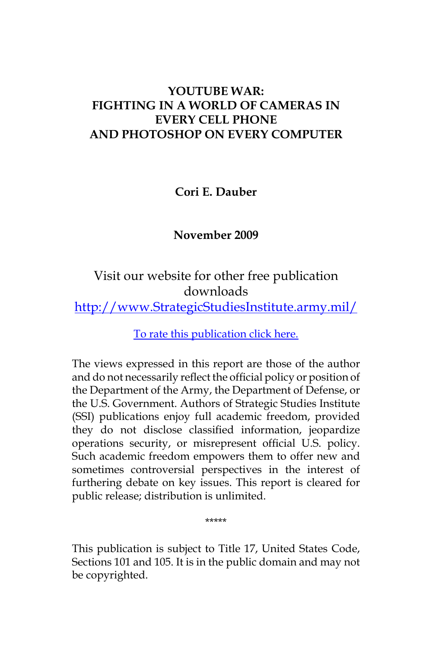# **YOUTUBE WAR: FIGHTING IN A WORLD OF CAMERAS IN EVERY CELL PHONE AND PHOTOSHOP ON EVERY COMPUTER**

**Cori E. Dauber**

# **November 2009**

# Visit our website for other free publication downloads

[http://www.StrategicStudiesInstitute.army.mil/](http://www.strategicstudiesinstitute.army.mil)

[To rate this publication click here.](http://www.strategicstudiesinstitute.army.mil/pubs/display.cfm?pubID=951)

The views expressed in this report are those of the author and do not necessarily reflect the official policy or position of the Department of the Army, the Department of Defense, or the U.S. Government. Authors of Strategic Studies Institute (SSI) publications enjoy full academic freedom, provided they do not disclose classified information, jeopardize operations security, or misrepresent official U.S. policy. Such academic freedom empowers them to offer new and sometimes controversial perspectives in the interest of furthering debate on key issues. This report is cleared for public release; distribution is unlimited.

\*\*\*\*\*

This publication is subject to Title 17, United States Code, Sections 101 and 105. It is in the public domain and may not be copyrighted.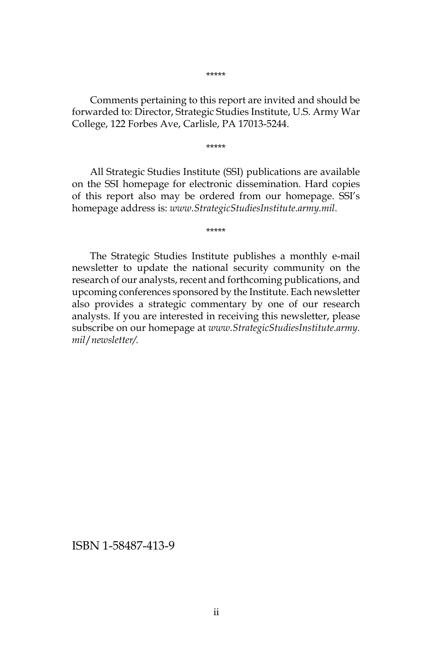Comments pertaining to this report are invited and should be forwarded to: Director, Strategic Studies Institute, U.S. Army War College, 122 Forbes Ave, Carlisle, PA 17013-5244.

\*\*\*\*\*

All Strategic Studies Institute (SSI) publications are available on the SSI homepage for electronic dissemination. Hard copies of this report also may be ordered from our homepage. SSI's homepage address is: *www.StrategicStudiesInstitute.army.mil*.

\*\*\*\*\*

The Strategic Studies Institute publishes a monthly e-mail newsletter to update the national security community on the research of our analysts, recent and forthcoming publications, and upcoming conferences sponsored by the Institute. Each newsletter also provides a strategic commentary by one of our research analysts. If you are interested in receiving this newsletter, please subscribe on our homepage at *www.StrategicStudiesInstitute.army. mil*/*newsletter/.*

ISBN 1-58487-413-9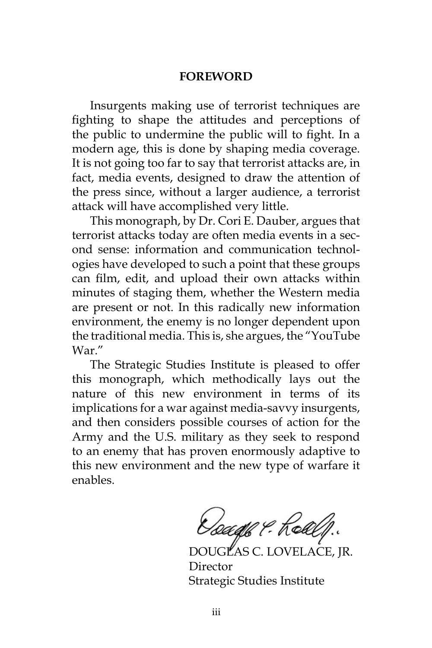#### **FOREWORD**

Insurgents making use of terrorist techniques are fighting to shape the attitudes and perceptions of the public to undermine the public will to fight. In a modern age, this is done by shaping media coverage. It is not going too far to say that terrorist attacks are, in fact, media events, designed to draw the attention of the press since, without a larger audience, a terrorist attack will have accomplished very little.

This monograph, by Dr. Cori E. Dauber, argues that terrorist attacks today are often media events in a second sense: information and communication technologies have developed to such a point that these groups can film, edit, and upload their own attacks within minutes of staging them, whether the Western media are present or not. In this radically new information environment, the enemy is no longer dependent upon the traditional media. This is, she argues, the "YouTube War."

The Strategic Studies Institute is pleased to offer this monograph, which methodically lays out the nature of this new environment in terms of its implications for a war against media-savvy insurgents, and then considers possible courses of action for the Army and the U.S. military as they seek to respond to an enemy that has proven enormously adaptive to this new environment and the new type of warfare it enables.

*Doage P. Roelp.*<br>DOUGLAS C. LOVELACE, JR.

Director Strategic Studies Institute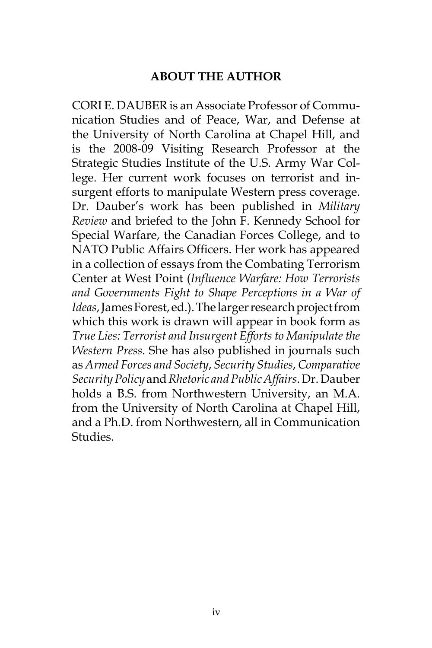## **ABOUT THE AUTHOR**

CORI E. DAUBER is an Associate Professor of Communication Studies and of Peace, War, and Defense at the University of North Carolina at Chapel Hill, and is the 2008-09 Visiting Research Professor at the Strategic Studies Institute of the U.S. Army War College. Her current work focuses on terrorist and insurgent efforts to manipulate Western press coverage. Dr. Dauber's work has been published in *Military Review* and briefed to the John F. Kennedy School for Special Warfare, the Canadian Forces College, and to NATO Public Affairs Officers. Her work has appeared in a collection of essays from the Combating Terrorism Center at West Point (*Influence Warfare: How Terrorists and Governments Fight to Shape Perceptions in a War of Ideas*, James Forest, ed.). The larger research project from which this work is drawn will appear in book form as *True Lies: Terrorist and Insurgent Efforts to Manipulate the Western Press.* She has also published in journals such as *Armed Forces and Society*, *Security Studies*, *Comparative Security Policy* and *Rhetoric and Public Affairs*. Dr. Dauber holds a B.S. from Northwestern University, an M.A. from the University of North Carolina at Chapel Hill, and a Ph.D. from Northwestern, all in Communication **Studies**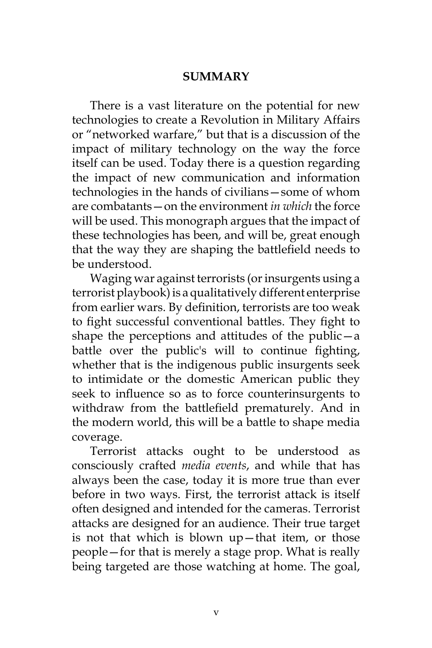## **SUMMARY**

There is a vast literature on the potential for new technologies to create a Revolution in Military Affairs or "networked warfare," but that is a discussion of the impact of military technology on the way the force itself can be used. Today there is a question regarding the impact of new communication and information technologies in the hands of civilians—some of whom are combatants—on the environment *in which* the force will be used. This monograph argues that the impact of these technologies has been, and will be, great enough that the way they are shaping the battlefield needs to be understood.

Waging war against terrorists (or insurgents using a terrorist playbook) is a qualitatively different enterprise from earlier wars. By definition, terrorists are too weak to fight successful conventional battles. They fight to shape the perceptions and attitudes of the public—a battle over the public's will to continue fighting, whether that is the indigenous public insurgents seek to intimidate or the domestic American public they seek to influence so as to force counterinsurgents to withdraw from the battlefield prematurely. And in the modern world, this will be a battle to shape media coverage.

Terrorist attacks ought to be understood as consciously crafted *media events*, and while that has always been the case, today it is more true than ever before in two ways. First, the terrorist attack is itself often designed and intended for the cameras. Terrorist attacks are designed for an audience. Their true target is not that which is blown up—that item, or those people—for that is merely a stage prop. What is really being targeted are those watching at home. The goal,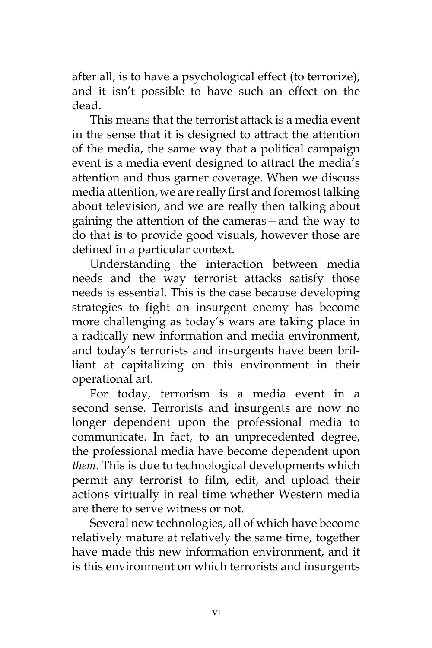after all, is to have a psychological effect (to terrorize), and it isn't possible to have such an effect on the dead.

This means that the terrorist attack is a media event in the sense that it is designed to attract the attention of the media, the same way that a political campaign event is a media event designed to attract the media's attention and thus garner coverage. When we discuss media attention, we are really first and foremost talking about television, and we are really then talking about gaining the attention of the cameras—and the way to do that is to provide good visuals, however those are defined in a particular context.

Understanding the interaction between media needs and the way terrorist attacks satisfy those needs is essential. This is the case because developing strategies to fight an insurgent enemy has become more challenging as today's wars are taking place in a radically new information and media environment, and today's terrorists and insurgents have been brilliant at capitalizing on this environment in their operational art.

For today, terrorism is a media event in a second sense. Terrorists and insurgents are now no longer dependent upon the professional media to communicate. In fact, to an unprecedented degree, the professional media have become dependent upon *them*. This is due to technological developments which permit any terrorist to film, edit, and upload their actions virtually in real time whether Western media are there to serve witness or not.

Several new technologies, all of which have become relatively mature at relatively the same time, together have made this new information environment, and it is this environment on which terrorists and insurgents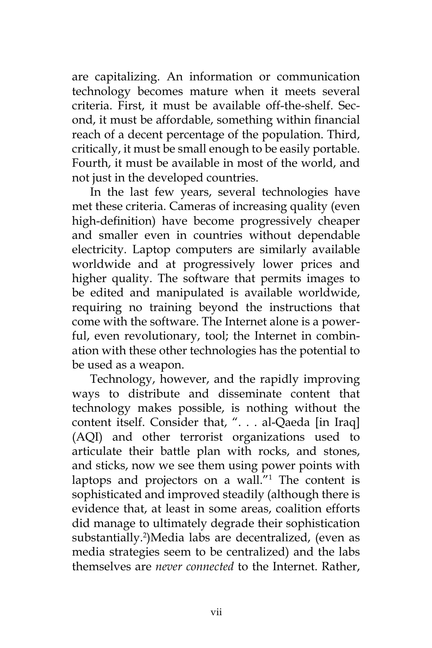are capitalizing. An information or communication technology becomes mature when it meets several criteria. First, it must be available off-the-shelf. Second, it must be affordable, something within financial reach of a decent percentage of the population. Third, critically, it must be small enough to be easily portable. Fourth, it must be available in most of the world, and not just in the developed countries.

In the last few years, several technologies have met these criteria. Cameras of increasing quality (even high-definition) have become progressively cheaper and smaller even in countries without dependable electricity. Laptop computers are similarly available worldwide and at progressively lower prices and higher quality. The software that permits images to be edited and manipulated is available worldwide, requiring no training beyond the instructions that come with the software. The Internet alone is a powerful, even revolutionary, tool; the Internet in combination with these other technologies has the potential to be used as a weapon.

Technology, however, and the rapidly improving ways to distribute and disseminate content that technology makes possible, is nothing without the content itself. Consider that, ". . . al-Qaeda [in Iraq] (AQI) and other terrorist organizations used to articulate their battle plan with rocks, and stones, and sticks, now we see them using power points with laptops and projectors on a wall."1 The content is sophisticated and improved steadily (although there is evidence that, at least in some areas, coalition efforts did manage to ultimately degrade their sophistication substantially.2 )Media labs are decentralized, (even as media strategies seem to be centralized) and the labs themselves are *never connected* to the Internet. Rather,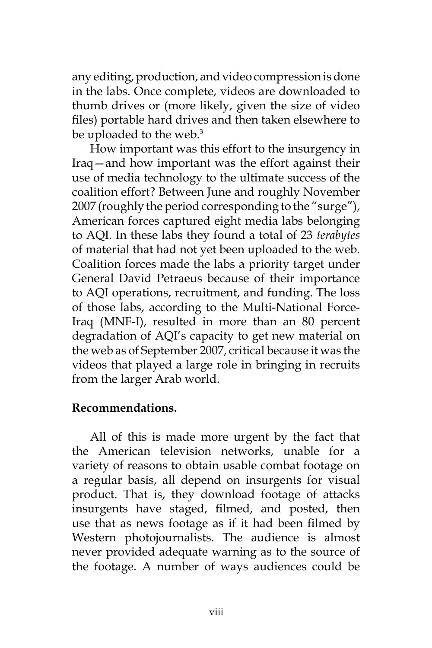any editing, production, and video compression is done in the labs. Once complete, videos are downloaded to thumb drives or (more likely, given the size of video files) portable hard drives and then taken elsewhere to be uploaded to the web.<sup>3</sup>

How important was this effort to the insurgency in Iraq—and how important was the effort against their use of media technology to the ultimate success of the coalition effort? Between June and roughly November 2007 (roughly the period corresponding to the "surge"), American forces captured eight media labs belonging to AQI. In these labs they found a total of 23 *terabytes* of material that had not yet been uploaded to the web. Coalition forces made the labs a priority target under General David Petraeus because of their importance to AQI operations, recruitment, and funding. The loss of those labs, according to the Multi-National Force-Iraq (MNF-I), resulted in more than an 80 percent degradation of AQI's capacity to get new material on the web as of September 2007, critical because it was the videos that played a large role in bringing in recruits from the larger Arab world.

## **Recommendations.**

All of this is made more urgent by the fact that the American television networks, unable for a variety of reasons to obtain usable combat footage on a regular basis, all depend on insurgents for visual product. That is, they download footage of attacks insurgents have staged, filmed, and posted, then use that as news footage as if it had been filmed by Western photojournalists. The audience is almost never provided adequate warning as to the source of the footage. A number of ways audiences could be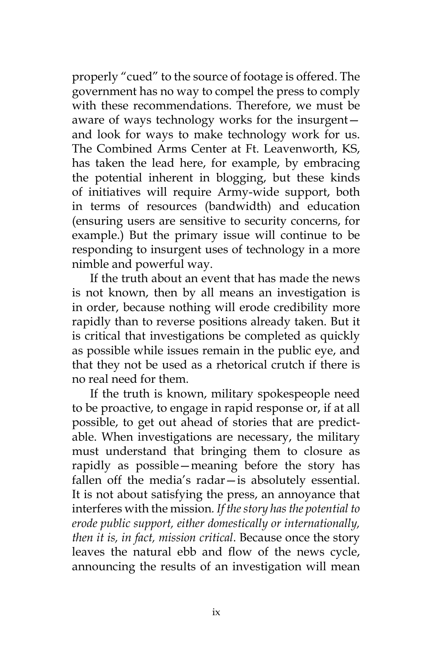properly "cued" to the source of footage is offered. The government has no way to compel the press to comply with these recommendations. Therefore, we must be aware of ways technology works for the insurgent and look for ways to make technology work for us. The Combined Arms Center at Ft. Leavenworth, KS, has taken the lead here, for example, by embracing the potential inherent in blogging, but these kinds of initiatives will require Army-wide support, both in terms of resources (bandwidth) and education (ensuring users are sensitive to security concerns, for example.) But the primary issue will continue to be responding to insurgent uses of technology in a more nimble and powerful way.

If the truth about an event that has made the news is not known, then by all means an investigation is in order, because nothing will erode credibility more rapidly than to reverse positions already taken. But it is critical that investigations be completed as quickly as possible while issues remain in the public eye, and that they not be used as a rhetorical crutch if there is no real need for them.

If the truth is known, military spokespeople need to be proactive, to engage in rapid response or, if at all possible, to get out ahead of stories that are predictable. When investigations are necessary, the military must understand that bringing them to closure as rapidly as possible—meaning before the story has fallen off the media's radar—is absolutely essential. It is not about satisfying the press, an annoyance that interferes with the mission*. If the story has the potential to erode public support, either domestically or internationally, then it is, in fact, mission critical*. Because once the story leaves the natural ebb and flow of the news cycle, announcing the results of an investigation will mean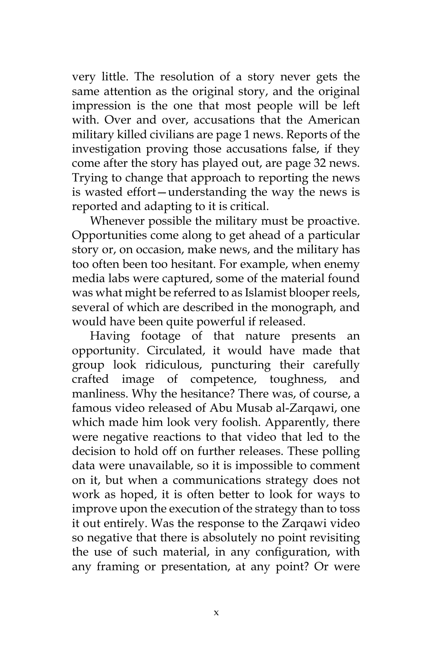very little. The resolution of a story never gets the same attention as the original story, and the original impression is the one that most people will be left with. Over and over, accusations that the American military killed civilians are page 1 news. Reports of the investigation proving those accusations false, if they come after the story has played out, are page 32 news. Trying to change that approach to reporting the news is wasted effort—understanding the way the news is reported and adapting to it is critical.

Whenever possible the military must be proactive. Opportunities come along to get ahead of a particular story or, on occasion, make news, and the military has too often been too hesitant. For example, when enemy media labs were captured, some of the material found was what might be referred to as Islamist blooper reels, several of which are described in the monograph, and would have been quite powerful if released.

Having footage of that nature presents an opportunity. Circulated, it would have made that group look ridiculous, puncturing their carefully crafted image of competence, toughness, and manliness. Why the hesitance? There was, of course, a famous video released of Abu Musab al-Zarqawi, one which made him look very foolish. Apparently, there were negative reactions to that video that led to the decision to hold off on further releases. These polling data were unavailable, so it is impossible to comment on it, but when a communications strategy does not work as hoped, it is often better to look for ways to improve upon the execution of the strategy than to toss it out entirely. Was the response to the Zarqawi video so negative that there is absolutely no point revisiting the use of such material, in any configuration, with any framing or presentation, at any point? Or were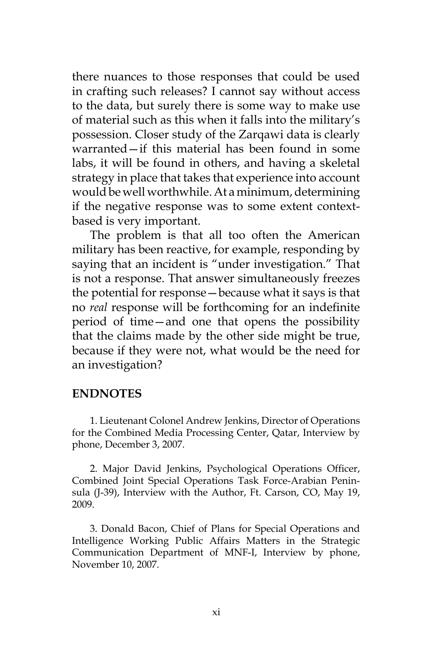there nuances to those responses that could be used in crafting such releases? I cannot say without access to the data, but surely there is some way to make use of material such as this when it falls into the military's possession. Closer study of the Zarqawi data is clearly warranted—if this material has been found in some labs, it will be found in others, and having a skeletal strategy in place that takes that experience into account would be well worthwhile. At a minimum, determining if the negative response was to some extent contextbased is very important.

The problem is that all too often the American military has been reactive, for example, responding by saying that an incident is "under investigation." That is not a response. That answer simultaneously freezes the potential for response—because what it says is that no *real* response will be forthcoming for an indefinite period of time—and one that opens the possibility that the claims made by the other side might be true, because if they were not, what would be the need for an investigation?

#### **ENDNOTES**

1. Lieutenant Colonel Andrew Jenkins, Director of Operations for the Combined Media Processing Center, Qatar, Interview by phone, December 3, 2007.

2. Major David Jenkins, Psychological Operations Officer, Combined Joint Special Operations Task Force-Arabian Peninsula (J-39), Interview with the Author, Ft. Carson, CO, May 19, 2009.

3. Donald Bacon, Chief of Plans for Special Operations and Intelligence Working Public Affairs Matters in the Strategic Communication Department of MNF-I, Interview by phone, November 10, 2007.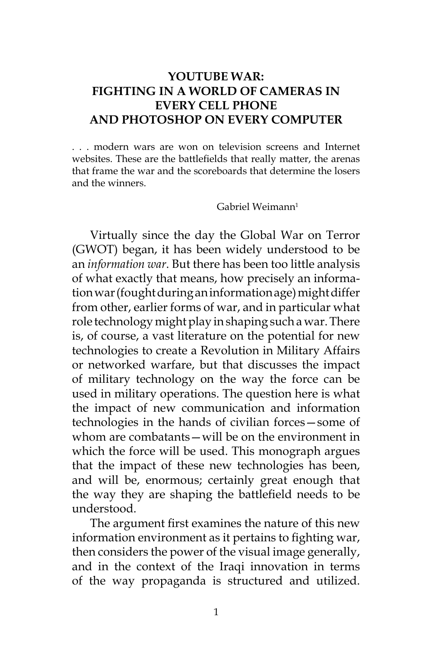# **YOUTUBE WAR: FIGHTING IN A WORLD OF CAMERAS IN EVERY CELL PHONE AND PHOTOSHOP ON EVERY COMPUTER**

. . . modern wars are won on television screens and Internet websites. These are the battlefields that really matter, the arenas that frame the war and the scoreboards that determine the losers and the winners.

 $Gabriel Weiman<sup>1</sup>$ 

Virtually since the day the Global War on Terror (GWOT) began, it has been widely understood to be an *information war*. But there has been too little analysis of what exactly that means, how precisely an information war (fought during an information age) might differ from other, earlier forms of war, and in particular what role technology might play in shaping such a war. There is, of course, a vast literature on the potential for new technologies to create a Revolution in Military Affairs or networked warfare, but that discusses the impact of military technology on the way the force can be used in military operations. The question here is what the impact of new communication and information technologies in the hands of civilian forces—some of whom are combatants—will be on the environment in which the force will be used. This monograph argues that the impact of these new technologies has been, and will be, enormous; certainly great enough that the way they are shaping the battlefield needs to be understood.

The argument first examines the nature of this new information environment as it pertains to fighting war, then considers the power of the visual image generally, and in the context of the Iraqi innovation in terms of the way propaganda is structured and utilized.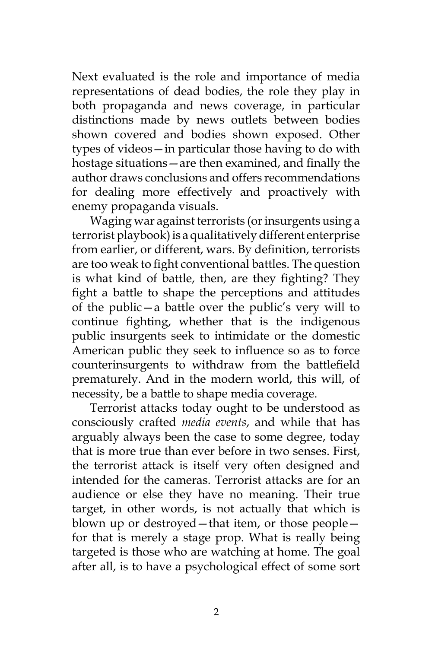Next evaluated is the role and importance of media representations of dead bodies, the role they play in both propaganda and news coverage, in particular distinctions made by news outlets between bodies shown covered and bodies shown exposed. Other types of videos—in particular those having to do with hostage situations—are then examined, and finally the author draws conclusions and offers recommendations for dealing more effectively and proactively with enemy propaganda visuals.

Waging war against terrorists (or insurgents using a terrorist playbook) is a qualitatively different enterprise from earlier, or different, wars. By definition, terrorists are too weak to fight conventional battles. The question is what kind of battle, then, are they fighting? They fight a battle to shape the perceptions and attitudes of the public—a battle over the public's very will to continue fighting, whether that is the indigenous public insurgents seek to intimidate or the domestic American public they seek to influence so as to force counterinsurgents to withdraw from the battlefield prematurely. And in the modern world, this will, of necessity, be a battle to shape media coverage.

Terrorist attacks today ought to be understood as consciously crafted *media events*, and while that has arguably always been the case to some degree, today that is more true than ever before in two senses. First, the terrorist attack is itself very often designed and intended for the cameras. Terrorist attacks are for an audience or else they have no meaning. Their true target, in other words, is not actually that which is blown up or destroyed—that item, or those people for that is merely a stage prop. What is really being targeted is those who are watching at home. The goal after all, is to have a psychological effect of some sort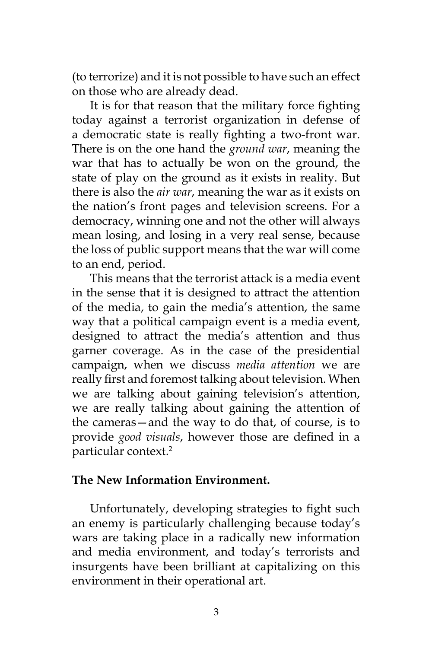(to terrorize) and it is not possible to have such an effect on those who are already dead.

It is for that reason that the military force fighting today against a terrorist organization in defense of a democratic state is really fighting a two-front war. There is on the one hand the *ground war*, meaning the war that has to actually be won on the ground, the state of play on the ground as it exists in reality. But there is also the *air war*, meaning the war as it exists on the nation's front pages and television screens. For a democracy, winning one and not the other will always mean losing, and losing in a very real sense, because the loss of public support means that the war will come to an end, period.

This means that the terrorist attack is a media event in the sense that it is designed to attract the attention of the media, to gain the media's attention, the same way that a political campaign event is a media event, designed to attract the media's attention and thus garner coverage. As in the case of the presidential campaign, when we discuss *media attention* we are really first and foremost talking about television. When we are talking about gaining television's attention, we are really talking about gaining the attention of the cameras—and the way to do that, of course, is to provide *good visuals*, however those are defined in a particular context.<sup>2</sup>

## **The New Information Environment.**

Unfortunately, developing strategies to fight such an enemy is particularly challenging because today's wars are taking place in a radically new information and media environment, and today's terrorists and insurgents have been brilliant at capitalizing on this environment in their operational art.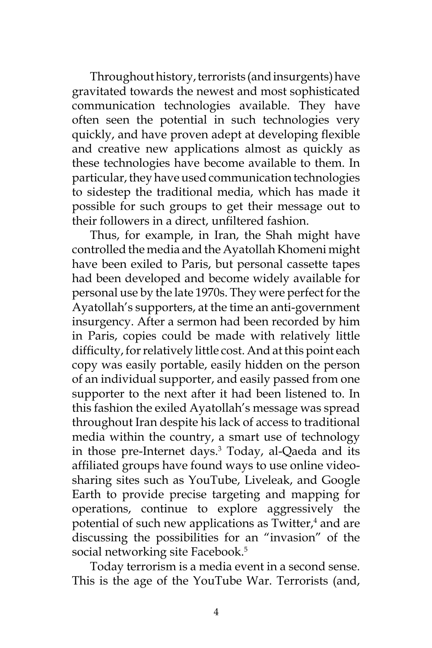Throughout history, terrorists (and insurgents) have gravitated towards the newest and most sophisticated communication technologies available. They have often seen the potential in such technologies very quickly, and have proven adept at developing flexible and creative new applications almost as quickly as these technologies have become available to them. In particular, they have used communication technologies to sidestep the traditional media, which has made it possible for such groups to get their message out to their followers in a direct, unfiltered fashion.

Thus, for example, in Iran, the Shah might have controlled the media and the Ayatollah Khomeni might have been exiled to Paris, but personal cassette tapes had been developed and become widely available for personal use by the late 1970s. They were perfect for the Ayatollah's supporters, at the time an anti-government insurgency. After a sermon had been recorded by him in Paris, copies could be made with relatively little difficulty, for relatively little cost. And at this point each copy was easily portable, easily hidden on the person of an individual supporter, and easily passed from one supporter to the next after it had been listened to. In this fashion the exiled Ayatollah's message was spread throughout Iran despite his lack of access to traditional media within the country, a smart use of technology in those pre-Internet days.<sup>3</sup> Today, al-Qaeda and its affiliated groups have found ways to use online videosharing sites such as YouTube, Liveleak, and Google Earth to provide precise targeting and mapping for operations, continue to explore aggressively the potential of such new applications as Twitter,<sup>4</sup> and are discussing the possibilities for an "invasion" of the social networking site Facebook.<sup>5</sup>

Today terrorism is a media event in a second sense. This is the age of the YouTube War. Terrorists (and,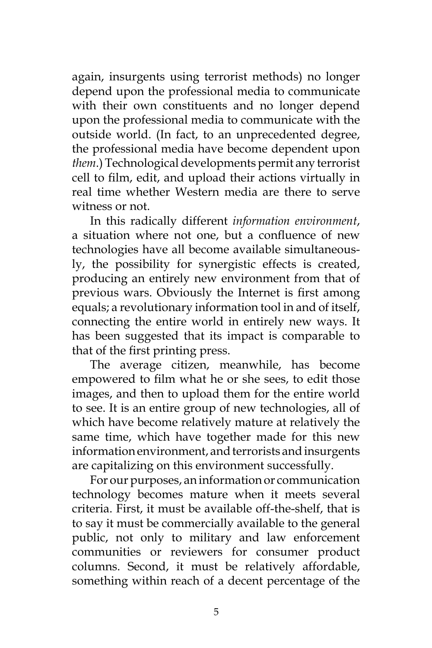again, insurgents using terrorist methods) no longer depend upon the professional media to communicate with their own constituents and no longer depend upon the professional media to communicate with the outside world. (In fact, to an unprecedented degree, the professional media have become dependent upon *them*.) Technological developments permit any terrorist cell to film, edit, and upload their actions virtually in real time whether Western media are there to serve witness or not.

In this radically different *information environment*, a situation where not one, but a confluence of new technologies have all become available simultaneously, the possibility for synergistic effects is created, producing an entirely new environment from that of previous wars. Obviously the Internet is first among equals; a revolutionary information tool in and of itself, connecting the entire world in entirely new ways. It has been suggested that its impact is comparable to that of the first printing press.

The average citizen, meanwhile, has become empowered to film what he or she sees, to edit those images, and then to upload them for the entire world to see. It is an entire group of new technologies, all of which have become relatively mature at relatively the same time, which have together made for this new information environment, and terrorists and insurgents are capitalizing on this environment successfully.

For our purposes, an information or communication technology becomes mature when it meets several criteria. First, it must be available off-the-shelf, that is to say it must be commercially available to the general public, not only to military and law enforcement communities or reviewers for consumer product columns. Second, it must be relatively affordable, something within reach of a decent percentage of the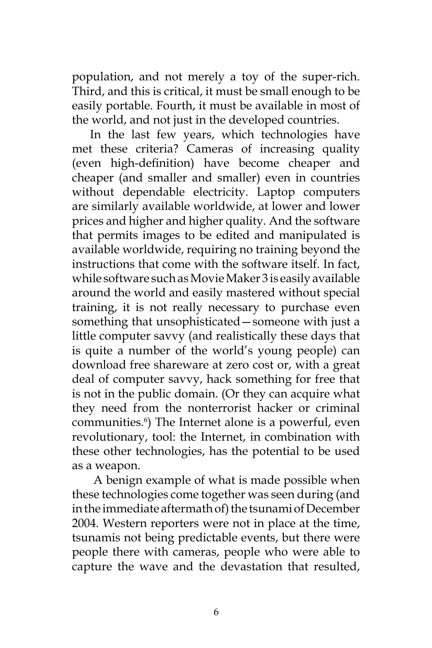population, and not merely a toy of the super-rich. Third, and this is critical, it must be small enough to be easily portable. Fourth, it must be available in most of the world, and not just in the developed countries.

In the last few years, which technologies have met these criteria? Cameras of increasing quality (even high-definition) have become cheaper and cheaper (and smaller and smaller) even in countries without dependable electricity. Laptop computers are similarly available worldwide, at lower and lower prices and higher and higher quality. And the software that permits images to be edited and manipulated is available worldwide, requiring no training beyond the instructions that come with the software itself. In fact, while software such as Movie Maker 3 is easily available around the world and easily mastered without special training, it is not really necessary to purchase even something that unsophisticated—someone with just a little computer savvy (and realistically these days that is quite a number of the world's young people) can download free shareware at zero cost or, with a great deal of computer savvy, hack something for free that is not in the public domain. (Or they can acquire what they need from the nonterrorist hacker or criminal communities.<sup>6</sup>) The Internet alone is a powerful, even revolutionary, tool: the Internet, in combination with these other technologies, has the potential to be used as a weapon.

 A benign example of what is made possible when these technologies come together was seen during (and in the immediate aftermath of) the tsunami of December 2004. Western reporters were not in place at the time, tsunamis not being predictable events, but there were people there with cameras, people who were able to capture the wave and the devastation that resulted,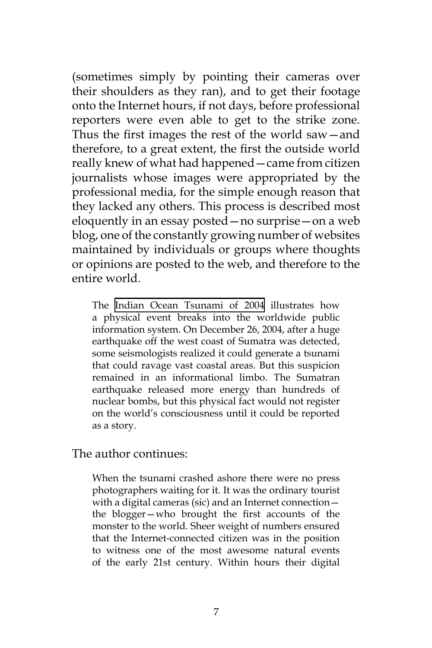(sometimes simply by pointing their cameras over their shoulders as they ran), and to get their footage onto the Internet hours, if not days, before professional reporters were even able to get to the strike zone. Thus the first images the rest of the world saw—and therefore, to a great extent, the first the outside world really knew of what had happened—came from citizen journalists whose images were appropriated by the professional media, for the simple enough reason that they lacked any others. This process is described most eloquently in an essay posted—no surprise—on a web blog, one of the constantly growing number of websites maintained by individuals or groups where thoughts or opinions are posted to the web, and therefore to the entire world.

The [Indian Ocean Tsunami of 2004](http://en.wikipedia.org/wiki/Indian_Ocean_Tsunami) illustrates how a physical event breaks into the worldwide public information system. On December 26, 2004, after a huge earthquake off the west coast of Sumatra was detected, some seismologists realized it could generate a tsunami that could ravage vast coastal areas. But this suspicion remained in an informational limbo. The Sumatran earthquake released more energy than hundreds of nuclear bombs, but this physical fact would not register on the world's consciousness until it could be reported as a story.

The author continues:

When the tsunami crashed ashore there were no press photographers waiting for it. It was the ordinary tourist with a digital cameras (sic) and an Internet connection the blogger—who brought the first accounts of the monster to the world. Sheer weight of numbers ensured that the Internet-connected citizen was in the position to witness one of the most awesome natural events of the early 21st century. Within hours their digital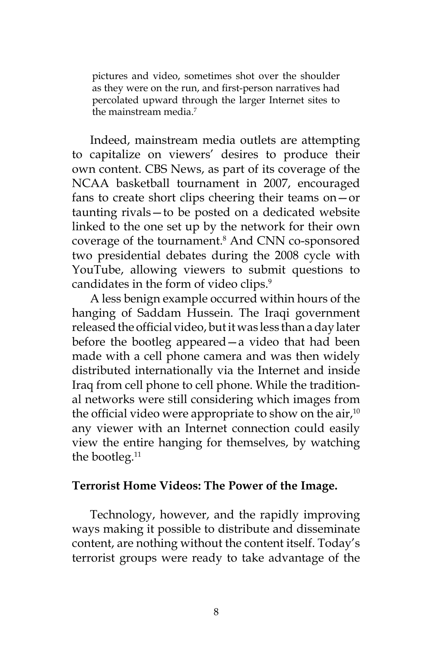pictures and video, sometimes shot over the shoulder as they were on the run, and first-person narratives had percolated upward through the larger Internet sites to the mainstream media.<sup>7</sup>

Indeed, mainstream media outlets are attempting to capitalize on viewers' desires to produce their own content. CBS News, as part of its coverage of the NCAA basketball tournament in 2007, encouraged fans to create short clips cheering their teams on—or taunting rivals—to be posted on a dedicated website linked to the one set up by the network for their own coverage of the tournament.<sup>8</sup> And CNN co-sponsored two presidential debates during the 2008 cycle with YouTube, allowing viewers to submit questions to candidates in the form of video clips.<sup>9</sup>

A less benign example occurred within hours of the hanging of Saddam Hussein. The Iraqi government released the official video, but it was less than a day later before the bootleg appeared—a video that had been made with a cell phone camera and was then widely distributed internationally via the Internet and inside Iraq from cell phone to cell phone. While the traditional networks were still considering which images from the official video were appropriate to show on the air, $10<sup>10</sup>$ any viewer with an Internet connection could easily view the entire hanging for themselves, by watching the bootleg.<sup>11</sup>

#### **Terrorist Home Videos: The Power of the Image.**

Technology, however, and the rapidly improving ways making it possible to distribute and disseminate content, are nothing without the content itself. Today's terrorist groups were ready to take advantage of the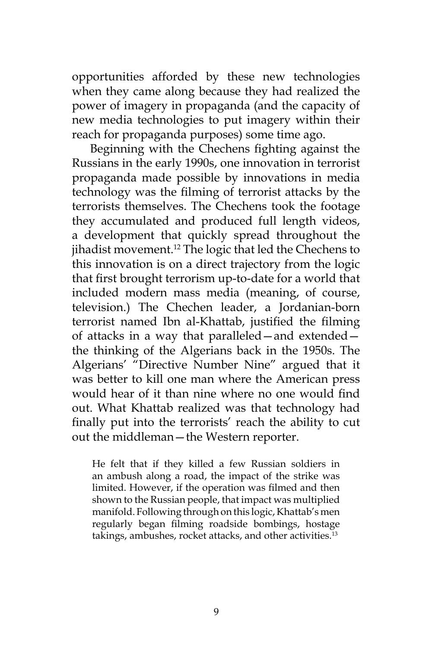opportunities afforded by these new technologies when they came along because they had realized the power of imagery in propaganda (and the capacity of new media technologies to put imagery within their reach for propaganda purposes) some time ago.

Beginning with the Chechens fighting against the Russians in the early 1990s, one innovation in terrorist propaganda made possible by innovations in media technology was the filming of terrorist attacks by the terrorists themselves. The Chechens took the footage they accumulated and produced full length videos, a development that quickly spread throughout the jihadist movement.<sup>12</sup> The logic that led the Chechens to this innovation is on a direct trajectory from the logic that first brought terrorism up-to-date for a world that included modern mass media (meaning, of course, television.) The Chechen leader, a Jordanian-born terrorist named Ibn al-Khattab, justified the filming of attacks in a way that paralleled—and extended the thinking of the Algerians back in the 1950s. The Algerians' "Directive Number Nine" argued that it was better to kill one man where the American press would hear of it than nine where no one would find out. What Khattab realized was that technology had finally put into the terrorists' reach the ability to cut out the middleman—the Western reporter.

He felt that if they killed a few Russian soldiers in an ambush along a road, the impact of the strike was limited. However, if the operation was filmed and then shown to the Russian people, that impact was multiplied manifold. Following through on this logic, Khattab's men regularly began filming roadside bombings, hostage takings, ambushes, rocket attacks, and other activities.13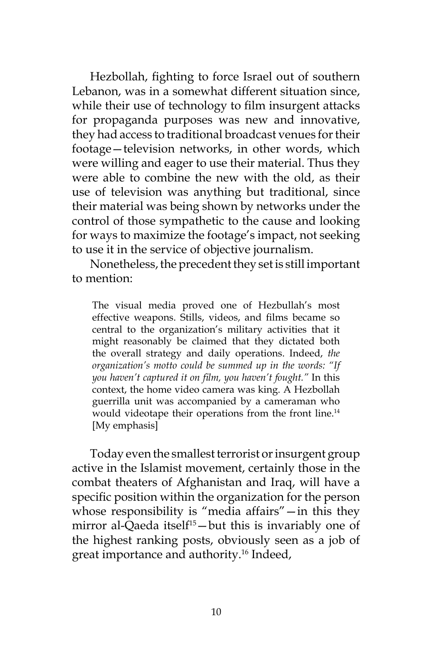Hezbollah, fighting to force Israel out of southern Lebanon, was in a somewhat different situation since, while their use of technology to film insurgent attacks for propaganda purposes was new and innovative, they had access to traditional broadcast venues for their footage—television networks, in other words, which were willing and eager to use their material. Thus they were able to combine the new with the old, as their use of television was anything but traditional, since their material was being shown by networks under the control of those sympathetic to the cause and looking for ways to maximize the footage's impact, not seeking to use it in the service of objective journalism.

Nonetheless, the precedent they set is still important to mention:

The visual media proved one of Hezbullah's most effective weapons. Stills, videos, and films became so central to the organization's military activities that it might reasonably be claimed that they dictated both the overall strategy and daily operations. Indeed, *the organization's motto could be summed up in the words: "If you haven't captured it on film, you haven't fought."* In this context, the home video camera was king. A Hezbollah guerrilla unit was accompanied by a cameraman who would videotape their operations from the front line.<sup>14</sup> [My emphasis]

Today even the smallest terrorist or insurgent group active in the Islamist movement, certainly those in the combat theaters of Afghanistan and Iraq, will have a specific position within the organization for the person whose responsibility is "media affairs"—in this they mirror al-Qaeda itself<sup>15</sup> $-$ but this is invariably one of the highest ranking posts, obviously seen as a job of great importance and authority.16 Indeed,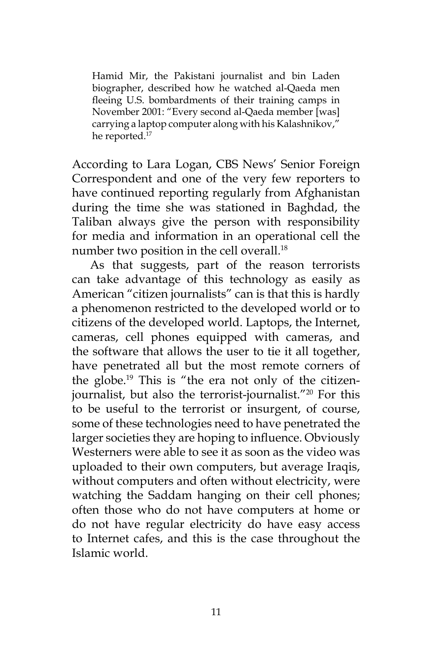Hamid Mir, the Pakistani journalist and bin Laden biographer, described how he watched al-Qaeda men fleeing U.S. bombardments of their training camps in November 2001: "Every second al-Qaeda member [was] carrying a laptop computer along with his Kalashnikov," he reported.17

According to Lara Logan, CBS News' Senior Foreign Correspondent and one of the very few reporters to have continued reporting regularly from Afghanistan during the time she was stationed in Baghdad, the Taliban always give the person with responsibility for media and information in an operational cell the number two position in the cell overall.<sup>18</sup>

As that suggests, part of the reason terrorists can take advantage of this technology as easily as American "citizen journalists" can is that this is hardly a phenomenon restricted to the developed world or to citizens of the developed world. Laptops, the Internet, cameras, cell phones equipped with cameras, and the software that allows the user to tie it all together, have penetrated all but the most remote corners of the globe.19 This is "the era not only of the citizenjournalist, but also the terrorist-journalist."20 For this to be useful to the terrorist or insurgent, of course, some of these technologies need to have penetrated the larger societies they are hoping to influence. Obviously Westerners were able to see it as soon as the video was uploaded to their own computers, but average Iraqis, without computers and often without electricity, were watching the Saddam hanging on their cell phones; often those who do not have computers at home or do not have regular electricity do have easy access to Internet cafes, and this is the case throughout the Islamic world.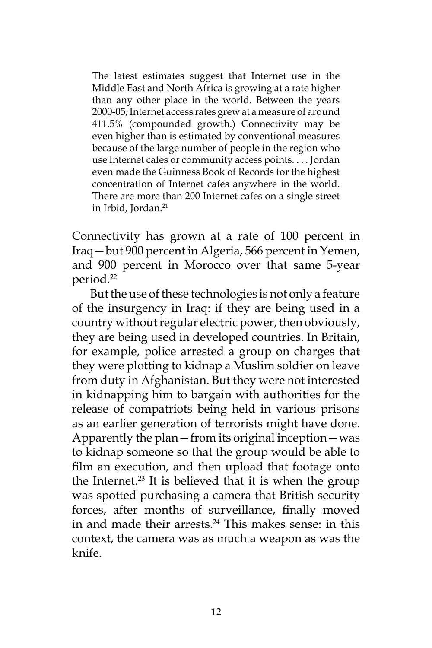The latest estimates suggest that Internet use in the Middle East and North Africa is growing at a rate higher than any other place in the world. Between the years 2000-05, Internet access rates grew at a measure of around 411.5% (compounded growth.) Connectivity may be even higher than is estimated by conventional measures because of the large number of people in the region who use Internet cafes or community access points. . . . Jordan even made the Guinness Book of Records for the highest concentration of Internet cafes anywhere in the world. There are more than 200 Internet cafes on a single street in Irbid, Jordan.21

Connectivity has grown at a rate of 100 percent in Iraq—but 900 percent in Algeria, 566 percent in Yemen, and 900 percent in Morocco over that same 5-year period.22

But the use of these technologies is not only a feature of the insurgency in Iraq: if they are being used in a country without regular electric power, then obviously, they are being used in developed countries. In Britain, for example, police arrested a group on charges that they were plotting to kidnap a Muslim soldier on leave from duty in Afghanistan. But they were not interested in kidnapping him to bargain with authorities for the release of compatriots being held in various prisons as an earlier generation of terrorists might have done. Apparently the plan—from its original inception—was to kidnap someone so that the group would be able to film an execution, and then upload that footage onto the Internet.<sup>23</sup> It is believed that it is when the group was spotted purchasing a camera that British security forces, after months of surveillance, finally moved in and made their arrests.<sup>24</sup> This makes sense: in this context, the camera was as much a weapon as was the knife.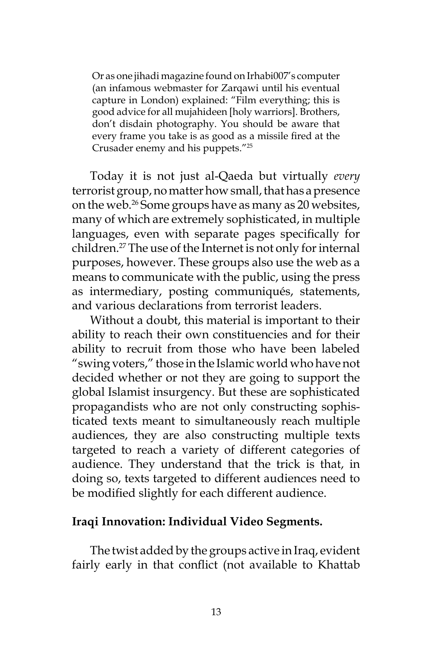Or as one jihadi magazine found on Irhabi007's computer (an infamous webmaster for Zarqawi until his eventual capture in London) explained: "Film everything; this is good advice for all mujahideen [holy warriors]. Brothers, don't disdain photography. You should be aware that every frame you take is as good as a missile fired at the Crusader enemy and his puppets."25

Today it is not just al-Qaeda but virtually *every* terrorist group, no matter how small, that has a presence on the web.26 Some groups have as many as 20 websites, many of which are extremely sophisticated, in multiple languages, even with separate pages specifically for children.27 The use of the Internet is not only for internal purposes, however. These groups also use the web as a means to communicate with the public, using the press as intermediary, posting communiqués, statements, and various declarations from terrorist leaders.

Without a doubt, this material is important to their ability to reach their own constituencies and for their ability to recruit from those who have been labeled "swing voters," those in the Islamic world who have not decided whether or not they are going to support the global Islamist insurgency. But these are sophisticated propagandists who are not only constructing sophisticated texts meant to simultaneously reach multiple audiences, they are also constructing multiple texts targeted to reach a variety of different categories of audience. They understand that the trick is that, in doing so, texts targeted to different audiences need to be modified slightly for each different audience.

## **Iraqi Innovation: Individual Video Segments.**

The twist added by the groups active in Iraq, evident fairly early in that conflict (not available to Khattab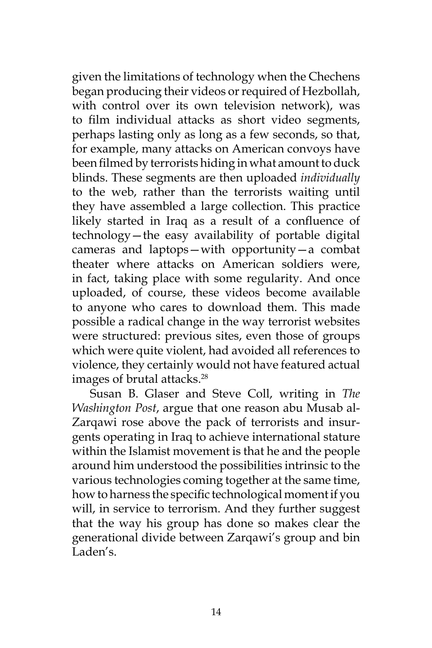given the limitations of technology when the Chechens began producing their videos or required of Hezbollah, with control over its own television network), was to film individual attacks as short video segments, perhaps lasting only as long as a few seconds, so that, for example, many attacks on American convoys have been filmed by terrorists hiding in what amount to duck blinds. These segments are then uploaded *individually* to the web, rather than the terrorists waiting until they have assembled a large collection. This practice likely started in Iraq as a result of a confluence of technology—the easy availability of portable digital cameras and laptops—with opportunity—a combat theater where attacks on American soldiers were, in fact, taking place with some regularity. And once uploaded, of course, these videos become available to anyone who cares to download them. This made possible a radical change in the way terrorist websites were structured: previous sites, even those of groups which were quite violent, had avoided all references to violence, they certainly would not have featured actual images of brutal attacks.<sup>28</sup>

Susan B. Glaser and Steve Coll, writing in *The Washington Post*, argue that one reason abu Musab al-Zarqawi rose above the pack of terrorists and insurgents operating in Iraq to achieve international stature within the Islamist movement is that he and the people around him understood the possibilities intrinsic to the various technologies coming together at the same time, how to harness the specific technological moment if you will, in service to terrorism. And they further suggest that the way his group has done so makes clear the generational divide between Zarqawi's group and bin Laden's.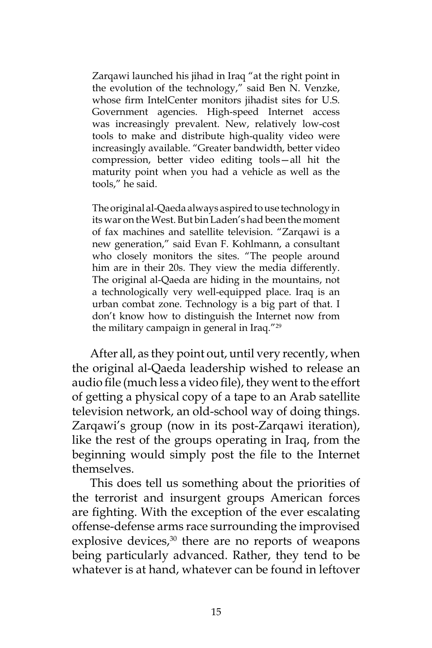Zarqawi launched his jihad in Iraq "at the right point in the evolution of the technology," said Ben N. Venzke, whose firm IntelCenter monitors jihadist sites for U.S. Government agencies. High-speed Internet access was increasingly prevalent. New, relatively low-cost tools to make and distribute high-quality video were increasingly available. "Greater bandwidth, better video compression, better video editing tools—all hit the maturity point when you had a vehicle as well as the tools," he said.

The original al-Qaeda always aspired to use technology in its war on the West. But bin Laden's had been the moment of fax machines and satellite television. "Zarqawi is a new generation," said Evan F. Kohlmann, a consultant who closely monitors the sites. "The people around him are in their 20s. They view the media differently. The original al-Qaeda are hiding in the mountains, not a technologically very well-equipped place. Iraq is an urban combat zone. Technology is a big part of that. I don't know how to distinguish the Internet now from the military campaign in general in Iraq."29

After all, as they point out, until very recently, when the original al-Qaeda leadership wished to release an audio file (much less a video file), they went to the effort of getting a physical copy of a tape to an Arab satellite television network, an old-school way of doing things. Zarqawi's group (now in its post-Zarqawi iteration), like the rest of the groups operating in Iraq, from the beginning would simply post the file to the Internet themselves.

This does tell us something about the priorities of the terrorist and insurgent groups American forces are fighting. With the exception of the ever escalating offense-defense arms race surrounding the improvised explosive devices, $30$  there are no reports of weapons being particularly advanced. Rather, they tend to be whatever is at hand, whatever can be found in leftover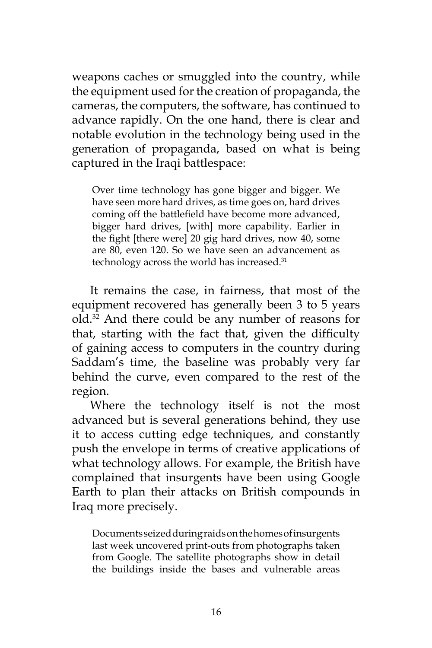weapons caches or smuggled into the country, while the equipment used for the creation of propaganda, the cameras, the computers, the software, has continued to advance rapidly. On the one hand, there is clear and notable evolution in the technology being used in the generation of propaganda, based on what is being captured in the Iraqi battlespace:

Over time technology has gone bigger and bigger. We have seen more hard drives, as time goes on, hard drives coming off the battlefield have become more advanced, bigger hard drives, [with] more capability. Earlier in the fight [there were] 20 gig hard drives, now 40, some are 80, even 120. So we have seen an advancement as technology across the world has increased.<sup>31</sup>

It remains the case, in fairness, that most of the equipment recovered has generally been 3 to 5 years old.32 And there could be any number of reasons for that, starting with the fact that, given the difficulty of gaining access to computers in the country during Saddam's time, the baseline was probably very far behind the curve, even compared to the rest of the region.

Where the technology itself is not the most advanced but is several generations behind, they use it to access cutting edge techniques, and constantly push the envelope in terms of creative applications of what technology allows. For example, the British have complained that insurgents have been using Google Earth to plan their attacks on British compounds in Iraq more precisely.

Documents seized during raids on the homes of insurgents last week uncovered print-outs from photographs taken from Google. The satellite photographs show in detail the buildings inside the bases and vulnerable areas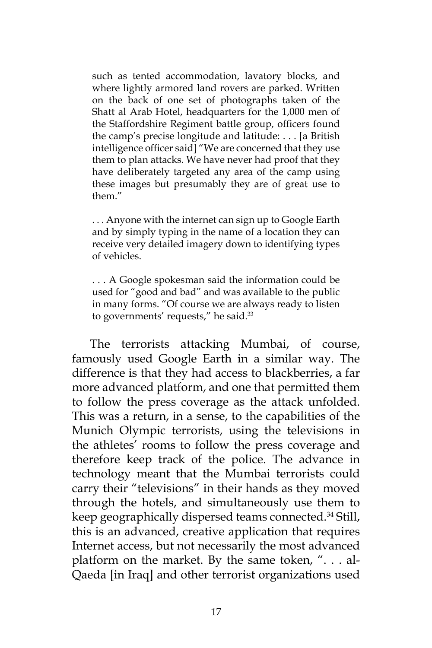such as tented accommodation, lavatory blocks, and where lightly armored land rovers are parked. Written on the back of one set of photographs taken of the Shatt al Arab Hotel, headquarters for the 1,000 men of the Staffordshire Regiment battle group, officers found the camp's precise longitude and latitude: . . . [a British intelligence officer said] "We are concerned that they use them to plan attacks. We have never had proof that they have deliberately targeted any area of the camp using these images but presumably they are of great use to them."

. . . Anyone with the internet can sign up to Google Earth and by simply typing in the name of a location they can receive very detailed imagery down to identifying types of vehicles.

. . . A Google spokesman said the information could be used for "good and bad" and was available to the public in many forms. "Of course we are always ready to listen to governments' requests," he said.<sup>33</sup>

The terrorists attacking Mumbai, of course, famously used Google Earth in a similar way. The difference is that they had access to blackberries, a far more advanced platform, and one that permitted them to follow the press coverage as the attack unfolded. This was a return, in a sense, to the capabilities of the Munich Olympic terrorists, using the televisions in the athletes' rooms to follow the press coverage and therefore keep track of the police. The advance in technology meant that the Mumbai terrorists could carry their "televisions" in their hands as they moved through the hotels, and simultaneously use them to keep geographically dispersed teams connected.<sup>34</sup> Still, this is an advanced, creative application that requires Internet access, but not necessarily the most advanced platform on the market. By the same token, ". . . al-Qaeda [in Iraq] and other terrorist organizations used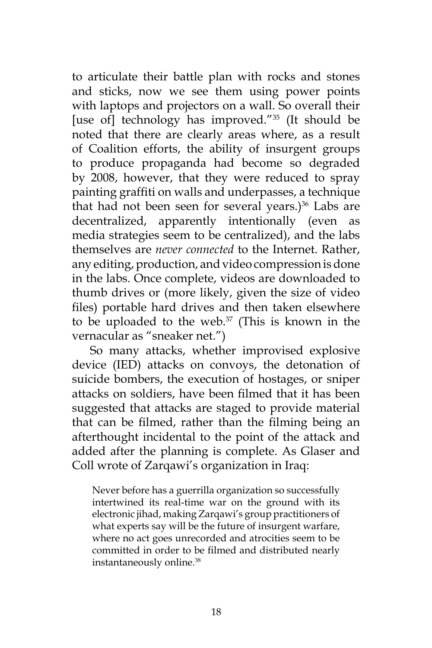to articulate their battle plan with rocks and stones and sticks, now we see them using power points with laptops and projectors on a wall. So overall their [use of] technology has improved."<sup>35</sup> (It should be noted that there are clearly areas where, as a result of Coalition efforts, the ability of insurgent groups to produce propaganda had become so degraded by 2008, however, that they were reduced to spray painting graffiti on walls and underpasses, a technique that had not been seen for several years.) $36$  Labs are decentralized, apparently intentionally (even as media strategies seem to be centralized), and the labs themselves are *never connected* to the Internet. Rather, any editing, production, and video compression is done in the labs. Once complete, videos are downloaded to thumb drives or (more likely, given the size of video files) portable hard drives and then taken elsewhere to be uploaded to the web. $37$  (This is known in the vernacular as "sneaker net.")

So many attacks, whether improvised explosive device (IED) attacks on convoys, the detonation of suicide bombers, the execution of hostages, or sniper attacks on soldiers, have been filmed that it has been suggested that attacks are staged to provide material that can be filmed, rather than the filming being an afterthought incidental to the point of the attack and added after the planning is complete. As Glaser and Coll wrote of Zarqawi's organization in Iraq:

Never before has a guerrilla organization so successfully intertwined its real-time war on the ground with its electronic jihad, making Zarqawi's group practitioners of what experts say will be the future of insurgent warfare, where no act goes unrecorded and atrocities seem to be committed in order to be filmed and distributed nearly instantaneously online.38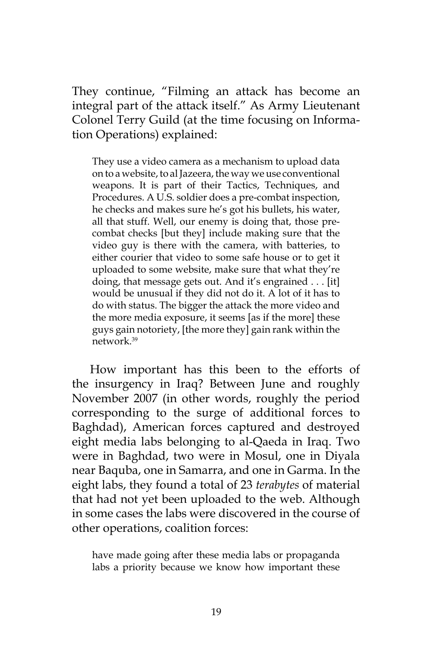They continue, "Filming an attack has become an integral part of the attack itself." As Army Lieutenant Colonel Terry Guild (at the time focusing on Information Operations) explained:

They use a video camera as a mechanism to upload data on to a website, to al Jazeera, the way we use conventional weapons. It is part of their Tactics, Techniques, and Procedures. A U.S. soldier does a pre-combat inspection, he checks and makes sure he's got his bullets, his water, all that stuff. Well, our enemy is doing that, those precombat checks [but they] include making sure that the video guy is there with the camera, with batteries, to either courier that video to some safe house or to get it uploaded to some website, make sure that what they're doing, that message gets out. And it's engrained . . . [it] would be unusual if they did not do it. A lot of it has to do with status. The bigger the attack the more video and the more media exposure, it seems [as if the more] these guys gain notoriety, [the more they] gain rank within the network.39

How important has this been to the efforts of the insurgency in Iraq? Between June and roughly November 2007 (in other words, roughly the period corresponding to the surge of additional forces to Baghdad), American forces captured and destroyed eight media labs belonging to al-Qaeda in Iraq. Two were in Baghdad, two were in Mosul, one in Diyala near Baquba, one in Samarra, and one in Garma. In the eight labs, they found a total of 23 *terabytes* of material that had not yet been uploaded to the web. Although in some cases the labs were discovered in the course of other operations, coalition forces:

have made going after these media labs or propaganda labs a priority because we know how important these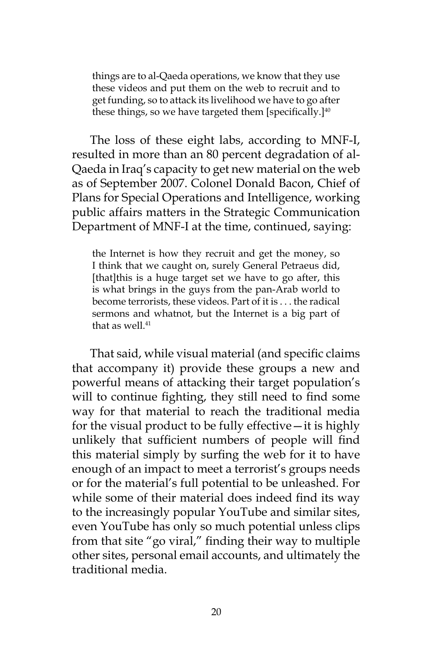things are to al-Qaeda operations, we know that they use these videos and put them on the web to recruit and to get funding, so to attack its livelihood we have to go after these things, so we have targeted them [specifically.] $40$ 

The loss of these eight labs, according to MNF-I, resulted in more than an 80 percent degradation of al-Qaeda in Iraq's capacity to get new material on the web as of September 2007. Colonel Donald Bacon, Chief of Plans for Special Operations and Intelligence, working public affairs matters in the Strategic Communication Department of MNF-I at the time, continued, saying:

the Internet is how they recruit and get the money, so I think that we caught on, surely General Petraeus did, [that]this is a huge target set we have to go after, this is what brings in the guys from the pan-Arab world to become terrorists, these videos. Part of it is . . . the radical sermons and whatnot, but the Internet is a big part of that as well. $41$ 

That said, while visual material (and specific claims that accompany it) provide these groups a new and powerful means of attacking their target population's will to continue fighting, they still need to find some way for that material to reach the traditional media for the visual product to be fully effective—it is highly unlikely that sufficient numbers of people will find this material simply by surfing the web for it to have enough of an impact to meet a terrorist's groups needs or for the material's full potential to be unleashed. For while some of their material does indeed find its way to the increasingly popular YouTube and similar sites, even YouTube has only so much potential unless clips from that site "go viral," finding their way to multiple other sites, personal email accounts, and ultimately the traditional media.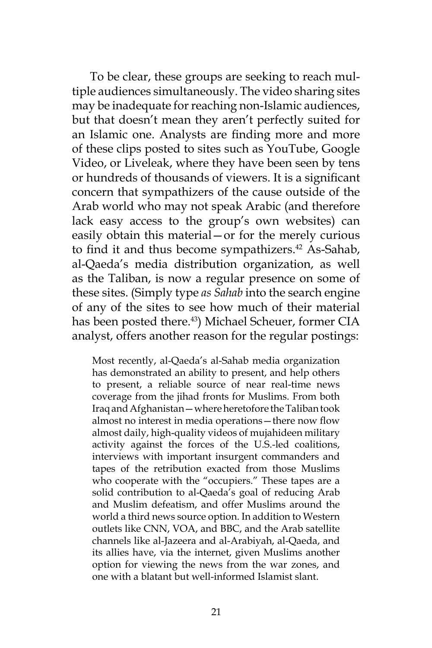To be clear, these groups are seeking to reach multiple audiences simultaneously. The video sharing sites may be inadequate for reaching non-Islamic audiences, but that doesn't mean they aren't perfectly suited for an Islamic one. Analysts are finding more and more of these clips posted to sites such as YouTube, Google Video, or Liveleak, where they have been seen by tens or hundreds of thousands of viewers. It is a significant concern that sympathizers of the cause outside of the Arab world who may not speak Arabic (and therefore lack easy access to the group's own websites) can easily obtain this material—or for the merely curious to find it and thus become sympathizers.<sup>42</sup> As-Sahab, al-Qaeda's media distribution organization, as well as the Taliban, is now a regular presence on some of these sites. (Simply type *as Sahab* into the search engine of any of the sites to see how much of their material has been posted there.<sup>43</sup>) Michael Scheuer, former CIA analyst, offers another reason for the regular postings:

Most recently, al-Qaeda's al-Sahab media organization has demonstrated an ability to present, and help others to present, a reliable source of near real-time news coverage from the jihad fronts for Muslims. From both Iraq and Afghanistan—where heretofore the Taliban took almost no interest in media operations—there now flow almost daily, high-quality videos of mujahideen military activity against the forces of the U.S.-led coalitions, interviews with important insurgent commanders and tapes of the retribution exacted from those Muslims who cooperate with the "occupiers." These tapes are a solid contribution to al-Qaeda's goal of reducing Arab and Muslim defeatism, and offer Muslims around the world a third news source option. In addition to Western outlets like CNN, VOA, and BBC, and the Arab satellite channels like al-Jazeera and al-Arabiyah, al-Qaeda, and its allies have, via the internet, given Muslims another option for viewing the news from the war zones, and one with a blatant but well-informed Islamist slant.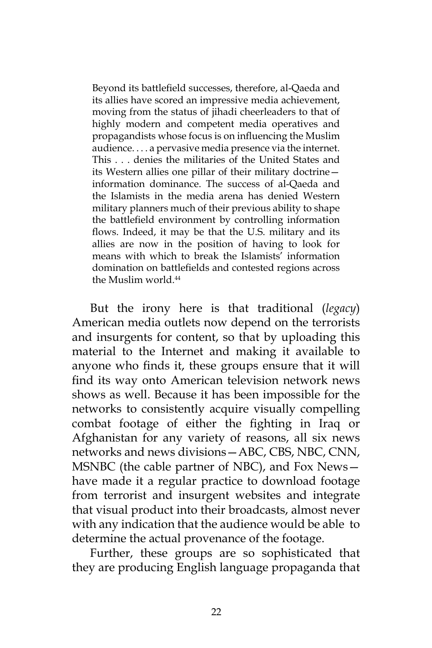Beyond its battlefield successes, therefore, al-Qaeda and its allies have scored an impressive media achievement, moving from the status of jihadi cheerleaders to that of highly modern and competent media operatives and propagandists whose focus is on influencing the Muslim audience. . . . a pervasive media presence via the internet. This . . . denies the militaries of the United States and its Western allies one pillar of their military doctrine information dominance. The success of al-Qaeda and the Islamists in the media arena has denied Western military planners much of their previous ability to shape the battlefield environment by controlling information flows. Indeed, it may be that the U.S. military and its allies are now in the position of having to look for means with which to break the Islamists' information domination on battlefields and contested regions across the Muslim world.44

But the irony here is that traditional (*legacy*) American media outlets now depend on the terrorists and insurgents for content, so that by uploading this material to the Internet and making it available to anyone who finds it, these groups ensure that it will find its way onto American television network news shows as well. Because it has been impossible for the networks to consistently acquire visually compelling combat footage of either the fighting in Iraq or Afghanistan for any variety of reasons, all six news networks and news divisions—ABC, CBS, NBC, CNN, MSNBC (the cable partner of NBC), and Fox News have made it a regular practice to download footage from terrorist and insurgent websites and integrate that visual product into their broadcasts, almost never with any indication that the audience would be able to determine the actual provenance of the footage.

Further, these groups are so sophisticated that they are producing English language propaganda that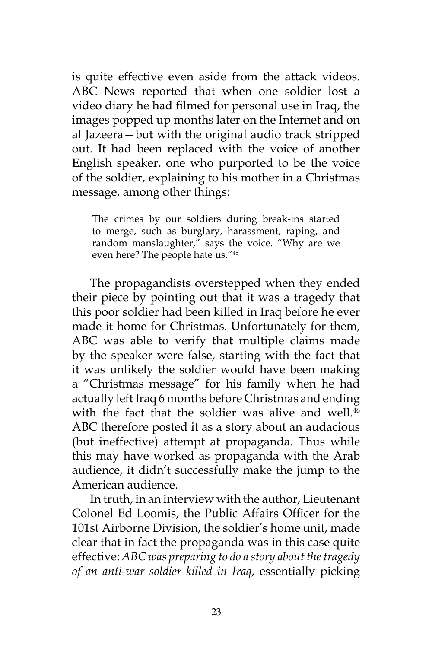is quite effective even aside from the attack videos. ABC News reported that when one soldier lost a video diary he had filmed for personal use in Iraq, the images popped up months later on the Internet and on al Jazeera—but with the original audio track stripped out. It had been replaced with the voice of another English speaker, one who purported to be the voice of the soldier, explaining to his mother in a Christmas message, among other things:

The crimes by our soldiers during break-ins started to merge, such as burglary, harassment, raping, and random manslaughter," says the voice. "Why are we even here? The people hate us."45

The propagandists overstepped when they ended their piece by pointing out that it was a tragedy that this poor soldier had been killed in Iraq before he ever made it home for Christmas. Unfortunately for them, ABC was able to verify that multiple claims made by the speaker were false, starting with the fact that it was unlikely the soldier would have been making a "Christmas message" for his family when he had actually left Iraq 6 months before Christmas and ending with the fact that the soldier was alive and well.<sup>46</sup> ABC therefore posted it as a story about an audacious (but ineffective) attempt at propaganda. Thus while this may have worked as propaganda with the Arab audience, it didn't successfully make the jump to the American audience.

In truth, in an interview with the author, Lieutenant Colonel Ed Loomis, the Public Affairs Officer for the 101st Airborne Division, the soldier's home unit, made clear that in fact the propaganda was in this case quite effective: *ABC was preparing to do a story about the tragedy of an anti-war soldier killed in Iraq*, essentially picking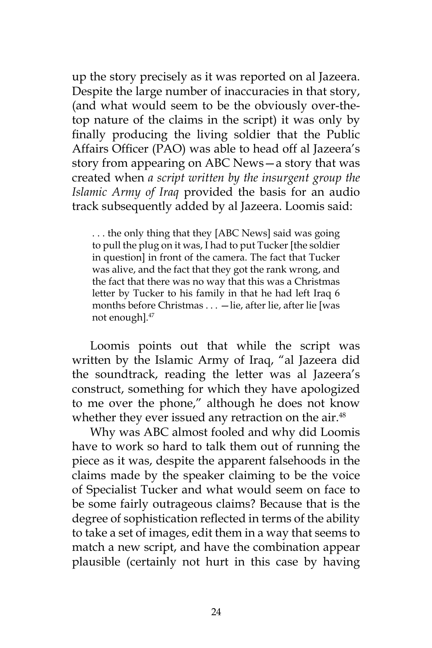up the story precisely as it was reported on al Jazeera. Despite the large number of inaccuracies in that story, (and what would seem to be the obviously over-thetop nature of the claims in the script) it was only by finally producing the living soldier that the Public Affairs Officer (PAO) was able to head off al Jazeera's story from appearing on ABC News—a story that was created when *a script written by the insurgent group the Islamic Army of Iraq* provided the basis for an audio track subsequently added by al Jazeera. Loomis said:

. . . the only thing that they [ABC News] said was going to pull the plug on it was, I had to put Tucker [the soldier in question] in front of the camera. The fact that Tucker was alive, and the fact that they got the rank wrong, and the fact that there was no way that this was a Christmas letter by Tucker to his family in that he had left Iraq 6 months before Christmas . . . —lie, after lie, after lie [was not enough].47

Loomis points out that while the script was written by the Islamic Army of Iraq, "al Jazeera did the soundtrack, reading the letter was al Jazeera's construct, something for which they have apologized to me over the phone," although he does not know whether they ever issued any retraction on the air.<sup>48</sup>

Why was ABC almost fooled and why did Loomis have to work so hard to talk them out of running the piece as it was, despite the apparent falsehoods in the claims made by the speaker claiming to be the voice of Specialist Tucker and what would seem on face to be some fairly outrageous claims? Because that is the degree of sophistication reflected in terms of the ability to take a set of images, edit them in a way that seems to match a new script, and have the combination appear plausible (certainly not hurt in this case by having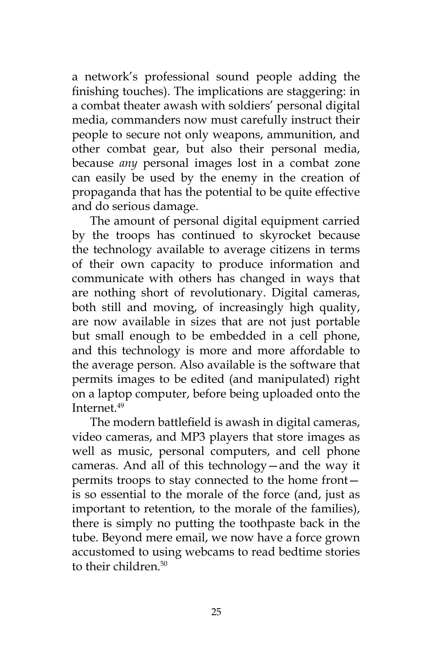a network's professional sound people adding the finishing touches). The implications are staggering: in a combat theater awash with soldiers' personal digital media, commanders now must carefully instruct their people to secure not only weapons, ammunition, and other combat gear, but also their personal media, because *any* personal images lost in a combat zone can easily be used by the enemy in the creation of propaganda that has the potential to be quite effective and do serious damage.

The amount of personal digital equipment carried by the troops has continued to skyrocket because the technology available to average citizens in terms of their own capacity to produce information and communicate with others has changed in ways that are nothing short of revolutionary. Digital cameras, both still and moving, of increasingly high quality, are now available in sizes that are not just portable but small enough to be embedded in a cell phone, and this technology is more and more affordable to the average person. Also available is the software that permits images to be edited (and manipulated) right on a laptop computer, before being uploaded onto the Internet.<sup>49</sup>

The modern battlefield is awash in digital cameras, video cameras, and MP3 players that store images as well as music, personal computers, and cell phone cameras. And all of this technology—and the way it permits troops to stay connected to the home front is so essential to the morale of the force (and, just as important to retention, to the morale of the families), there is simply no putting the toothpaste back in the tube. Beyond mere email, we now have a force grown accustomed to using webcams to read bedtime stories to their children<sup>50</sup>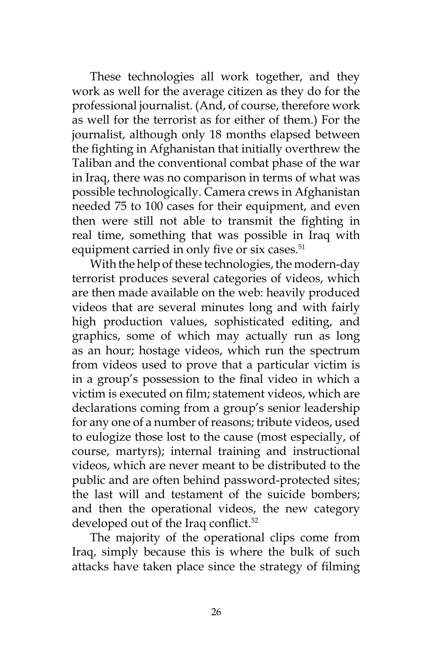These technologies all work together, and they work as well for the average citizen as they do for the professional journalist. (And, of course, therefore work as well for the terrorist as for either of them.) For the journalist, although only 18 months elapsed between the fighting in Afghanistan that initially overthrew the Taliban and the conventional combat phase of the war in Iraq, there was no comparison in terms of what was possible technologically. Camera crews in Afghanistan needed 75 to 100 cases for their equipment, and even then were still not able to transmit the fighting in real time, something that was possible in Iraq with equipment carried in only five or six cases.<sup>51</sup>

With the help of these technologies, the modern-day terrorist produces several categories of videos, which are then made available on the web: heavily produced videos that are several minutes long and with fairly high production values, sophisticated editing, and graphics, some of which may actually run as long as an hour; hostage videos, which run the spectrum from videos used to prove that a particular victim is in a group's possession to the final video in which a victim is executed on film; statement videos, which are declarations coming from a group's senior leadership for any one of a number of reasons; tribute videos, used to eulogize those lost to the cause (most especially, of course, martyrs); internal training and instructional videos, which are never meant to be distributed to the public and are often behind password-protected sites; the last will and testament of the suicide bombers; and then the operational videos, the new category developed out of the Iraq conflict.<sup>52</sup>

The majority of the operational clips come from Iraq, simply because this is where the bulk of such attacks have taken place since the strategy of filming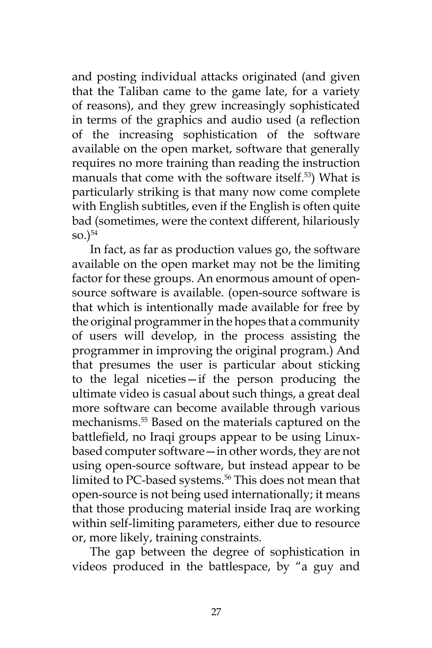and posting individual attacks originated (and given that the Taliban came to the game late, for a variety of reasons), and they grew increasingly sophisticated in terms of the graphics and audio used (a reflection of the increasing sophistication of the software available on the open market, software that generally requires no more training than reading the instruction manuals that come with the software itself.<sup>53</sup>) What is particularly striking is that many now come complete with English subtitles, even if the English is often quite bad (sometimes, were the context different, hilariously  $\mathrm{so.}$ )<sup>54</sup>

In fact, as far as production values go, the software available on the open market may not be the limiting factor for these groups. An enormous amount of opensource software is available. (open-source software is that which is intentionally made available for free by the original programmer in the hopes that a community of users will develop, in the process assisting the programmer in improving the original program.) And that presumes the user is particular about sticking to the legal niceties—if the person producing the ultimate video is casual about such things, a great deal more software can become available through various mechanisms.<sup>55</sup> Based on the materials captured on the battlefield, no Iraqi groups appear to be using Linuxbased computer software—in other words, they are not using open-source software, but instead appear to be limited to PC-based systems.<sup>56</sup> This does not mean that open-source is not being used internationally; it means that those producing material inside Iraq are working within self-limiting parameters, either due to resource or, more likely, training constraints.

The gap between the degree of sophistication in videos produced in the battlespace, by "a guy and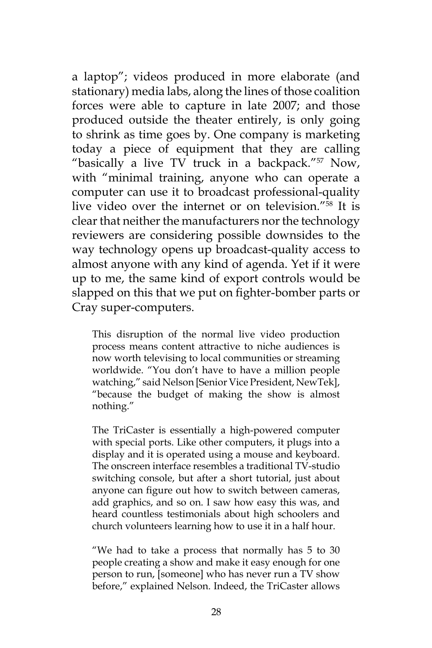a laptop"; videos produced in more elaborate (and stationary) media labs, along the lines of those coalition forces were able to capture in late 2007; and those produced outside the theater entirely, is only going to shrink as time goes by. One company is marketing today a piece of equipment that they are calling "basically a live TV truck in a backpack."57 Now, with "minimal training, anyone who can operate a computer can use it to broadcast professional-quality live video over the internet or on television."<sup>58</sup> It is clear that neither the manufacturers nor the technology reviewers are considering possible downsides to the way technology opens up broadcast-quality access to almost anyone with any kind of agenda. Yet if it were up to me, the same kind of export controls would be slapped on this that we put on fighter-bomber parts or Cray super-computers.

This disruption of the normal live video production process means content attractive to niche audiences is now worth televising to local communities or streaming worldwide. "You don't have to have a million people watching," said Nelson [Senior Vice President, NewTek], "because the budget of making the show is almost nothing."

The TriCaster is essentially a high-powered computer with special ports. Like other computers, it plugs into a display and it is operated using a mouse and keyboard. The onscreen interface resembles a traditional TV-studio switching console, but after a short tutorial, just about anyone can figure out how to switch between cameras, add graphics, and so on. I saw how easy this was, and heard countless testimonials about high schoolers and church volunteers learning how to use it in a half hour.

"We had to take a process that normally has 5 to 30 people creating a show and make it easy enough for one person to run, [someone] who has never run a TV show before," explained Nelson. Indeed, the TriCaster allows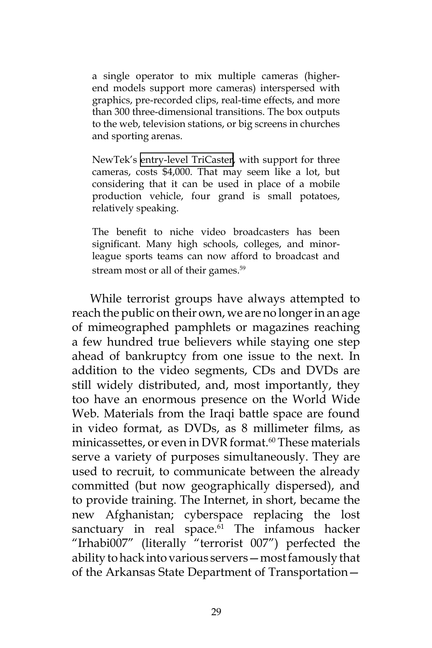a single operator to mix multiple cameras (higherend models support more cameras) interspersed with graphics, pre-recorded clips, real-time effects, and more than 300 three-dimensional transitions. The box outputs to the web, television stations, or big screens in churches and sporting arenas.

NewTek's [entry-level TriCaster](http://www.newtek.com/tricaster/tricaster_duo.php), with support for three cameras, costs \$4,000. That may seem like a lot, but considering that it can be used in place of a mobile production vehicle, four grand is small potatoes, relatively speaking.

The benefit to niche video broadcasters has been significant. Many high schools, colleges, and minorleague sports teams can now afford to broadcast and stream most or all of their games.<sup>59</sup>

While terrorist groups have always attempted to reach the public on their own, we are no longer in an age of mimeographed pamphlets or magazines reaching a few hundred true believers while staying one step ahead of bankruptcy from one issue to the next. In addition to the video segments, CDs and DVDs are still widely distributed, and, most importantly, they too have an enormous presence on the World Wide Web. Materials from the Iraqi battle space are found in video format, as DVDs, as 8 millimeter films, as minicassettes, or even in DVR format.<sup>60</sup> These materials serve a variety of purposes simultaneously. They are used to recruit, to communicate between the already committed (but now geographically dispersed), and to provide training. The Internet, in short, became the new Afghanistan; cyberspace replacing the lost sanctuary in real space. $61$  The infamous hacker "Irhabi007" (literally "terrorist 007") perfected the ability to hack into various servers—most famously that of the Arkansas State Department of Transportation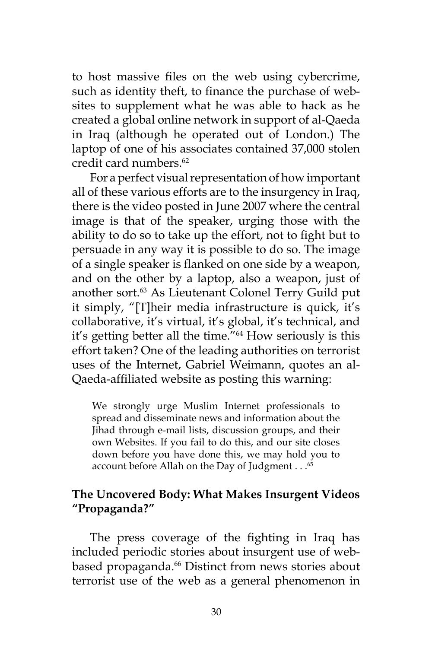to host massive files on the web using cybercrime, such as identity theft, to finance the purchase of websites to supplement what he was able to hack as he created a global online network in support of al-Qaeda in Iraq (although he operated out of London.) The laptop of one of his associates contained 37,000 stolen credit card numbers.<sup>62</sup>

For a perfect visual representation of how important all of these various efforts are to the insurgency in Iraq, there is the video posted in June 2007 where the central image is that of the speaker, urging those with the ability to do so to take up the effort, not to fight but to persuade in any way it is possible to do so. The image of a single speaker is flanked on one side by a weapon, and on the other by a laptop, also a weapon, just of another sort.<sup>63</sup> As Lieutenant Colonel Terry Guild put it simply, "[T]heir media infrastructure is quick, it's collaborative, it's virtual, it's global, it's technical, and it's getting better all the time."64 How seriously is this effort taken? One of the leading authorities on terrorist uses of the Internet, Gabriel Weimann, quotes an al-Qaeda-affiliated website as posting this warning:

We strongly urge Muslim Internet professionals to spread and disseminate news and information about the Jihad through e-mail lists, discussion groups, and their own Websites. If you fail to do this, and our site closes down before you have done this, we may hold you to account before Allah on the Day of Judgment . . .<sup>65</sup>

## **The Uncovered Body: What Makes Insurgent Videos "Propaganda?"**

The press coverage of the fighting in Iraq has included periodic stories about insurgent use of webbased propaganda.<sup>66</sup> Distinct from news stories about terrorist use of the web as a general phenomenon in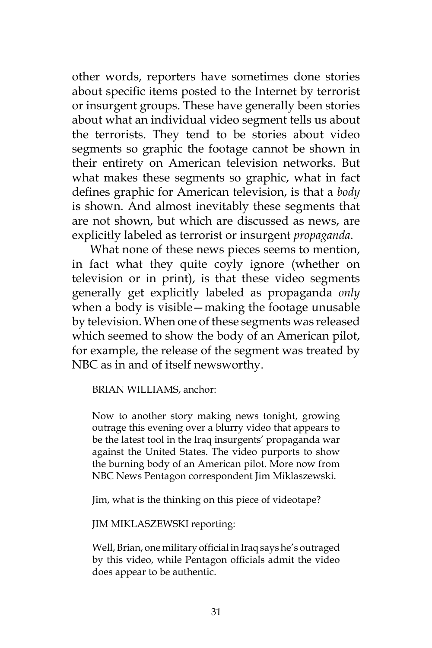other words, reporters have sometimes done stories about specific items posted to the Internet by terrorist or insurgent groups. These have generally been stories about what an individual video segment tells us about the terrorists. They tend to be stories about video segments so graphic the footage cannot be shown in their entirety on American television networks. But what makes these segments so graphic, what in fact defines graphic for American television, is that a *body* is shown. And almost inevitably these segments that are not shown, but which are discussed as news, are explicitly labeled as terrorist or insurgent *propaganda*.

What none of these news pieces seems to mention, in fact what they quite coyly ignore (whether on television or in print), is that these video segments generally get explicitly labeled as propaganda *only* when a body is visible—making the footage unusable by television. When one of these segments was released which seemed to show the body of an American pilot, for example, the release of the segment was treated by NBC as in and of itself newsworthy.

## BRIAN WILLIAMS, anchor:

Now to another story making news tonight, growing outrage this evening over a blurry video that appears to be the latest tool in the Iraq insurgents' propaganda war against the United States. The video purports to show the burning body of an American pilot. More now from NBC News Pentagon correspondent Jim Miklaszewski.

Jim, what is the thinking on this piece of videotape?

JIM MIKLASZEWSKI reporting:

Well, Brian, one military official in Iraq says he's outraged by this video, while Pentagon officials admit the video does appear to be authentic.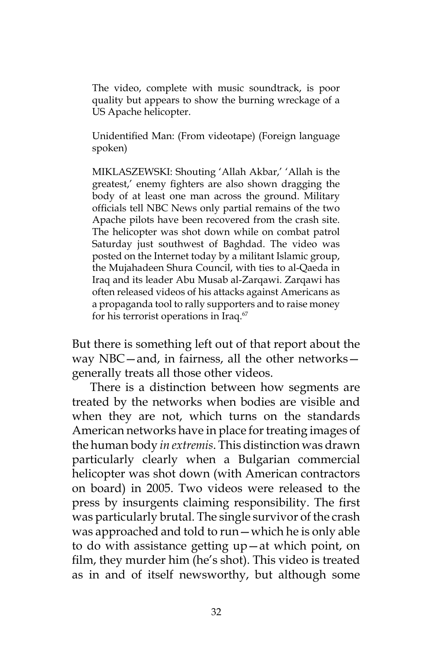The video, complete with music soundtrack, is poor quality but appears to show the burning wreckage of a US Apache helicopter.

Unidentified Man: (From videotape) (Foreign language spoken)

MIKLASZEWSKI: Shouting 'Allah Akbar,' 'Allah is the greatest,' enemy fighters are also shown dragging the body of at least one man across the ground. Military officials tell NBC News only partial remains of the two Apache pilots have been recovered from the crash site. The helicopter was shot down while on combat patrol Saturday just southwest of Baghdad. The video was posted on the Internet today by a militant Islamic group, the Mujahadeen Shura Council, with ties to al-Qaeda in Iraq and its leader Abu Musab al-Zarqawi. Zarqawi has often released videos of his attacks against Americans as a propaganda tool to rally supporters and to raise money for his terrorist operations in Iraq.<sup>67</sup>

But there is something left out of that report about the way NBC—and, in fairness, all the other networks generally treats all those other videos.

There is a distinction between how segments are treated by the networks when bodies are visible and when they are not, which turns on the standards American networks have in place for treating images of the human body *in extremis*. This distinction was drawn particularly clearly when a Bulgarian commercial helicopter was shot down (with American contractors on board) in 2005. Two videos were released to the press by insurgents claiming responsibility. The first was particularly brutal. The single survivor of the crash was approached and told to run—which he is only able to do with assistance getting up—at which point, on film, they murder him (he's shot). This video is treated as in and of itself newsworthy, but although some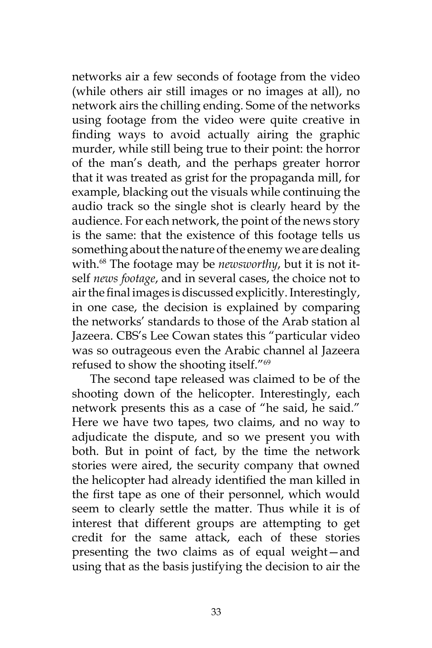networks air a few seconds of footage from the video (while others air still images or no images at all), no network airs the chilling ending. Some of the networks using footage from the video were quite creative in finding ways to avoid actually airing the graphic murder, while still being true to their point: the horror of the man's death, and the perhaps greater horror that it was treated as grist for the propaganda mill, for example, blacking out the visuals while continuing the audio track so the single shot is clearly heard by the audience. For each network, the point of the news story is the same: that the existence of this footage tells us something about the nature of the enemy we are dealing with.68 The footage may be *newsworthy*, but it is not itself *news footage*, and in several cases, the choice not to air the final images is discussed explicitly. Interestingly, in one case, the decision is explained by comparing the networks' standards to those of the Arab station al Jazeera. CBS's Lee Cowan states this "particular video was so outrageous even the Arabic channel al Jazeera refused to show the shooting itself."69

The second tape released was claimed to be of the shooting down of the helicopter. Interestingly, each network presents this as a case of "he said, he said." Here we have two tapes, two claims, and no way to adjudicate the dispute, and so we present you with both. But in point of fact, by the time the network stories were aired, the security company that owned the helicopter had already identified the man killed in the first tape as one of their personnel, which would seem to clearly settle the matter. Thus while it is of interest that different groups are attempting to get credit for the same attack, each of these stories presenting the two claims as of equal weight—and using that as the basis justifying the decision to air the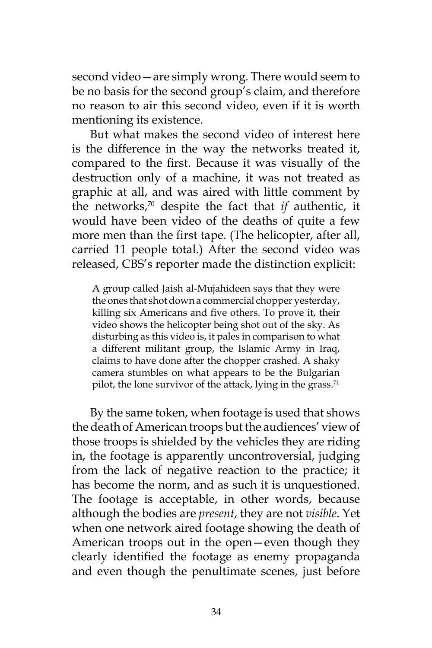second video—are simply wrong. There would seem to be no basis for the second group's claim, and therefore no reason to air this second video, even if it is worth mentioning its existence.

But what makes the second video of interest here is the difference in the way the networks treated it, compared to the first. Because it was visually of the destruction only of a machine, it was not treated as graphic at all, and was aired with little comment by the networks,70 despite the fact that *if* authentic, it would have been video of the deaths of quite a few more men than the first tape. (The helicopter, after all, carried 11 people total.) After the second video was released, CBS's reporter made the distinction explicit:

A group called Jaish al-Mujahideen says that they were the ones that shot down a commercial chopper yesterday, killing six Americans and five others. To prove it, their video shows the helicopter being shot out of the sky. As disturbing as this video is, it pales in comparison to what a different militant group, the Islamic Army in Iraq, claims to have done after the chopper crashed. A shaky camera stumbles on what appears to be the Bulgarian pilot, the lone survivor of the attack, lying in the grass. $71$ 

By the same token, when footage is used that shows the death of American troops but the audiences' view of those troops is shielded by the vehicles they are riding in, the footage is apparently uncontroversial, judging from the lack of negative reaction to the practice; it has become the norm, and as such it is unquestioned. The footage is acceptable, in other words, because although the bodies are *present*, they are not *visible*. Yet when one network aired footage showing the death of American troops out in the open—even though they clearly identified the footage as enemy propaganda and even though the penultimate scenes, just before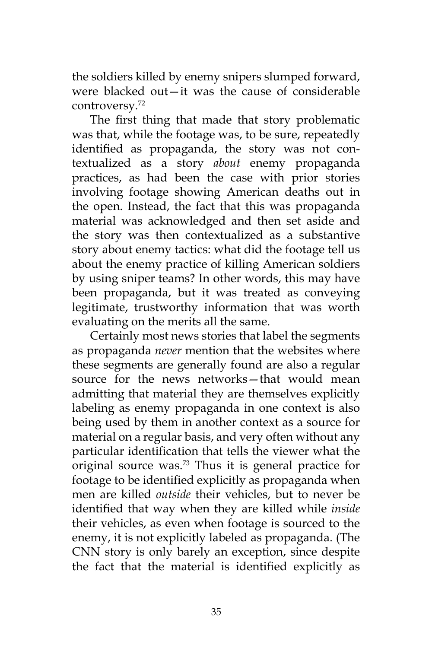the soldiers killed by enemy snipers slumped forward, were blacked out—it was the cause of considerable controversy.72

The first thing that made that story problematic was that, while the footage was, to be sure, repeatedly identified as propaganda, the story was not contextualized as a story *about* enemy propaganda practices, as had been the case with prior stories involving footage showing American deaths out in the open. Instead, the fact that this was propaganda material was acknowledged and then set aside and the story was then contextualized as a substantive story about enemy tactics: what did the footage tell us about the enemy practice of killing American soldiers by using sniper teams? In other words, this may have been propaganda, but it was treated as conveying legitimate, trustworthy information that was worth evaluating on the merits all the same.

Certainly most news stories that label the segments as propaganda *never* mention that the websites where these segments are generally found are also a regular source for the news networks—that would mean admitting that material they are themselves explicitly labeling as enemy propaganda in one context is also being used by them in another context as a source for material on a regular basis, and very often without any particular identification that tells the viewer what the original source was.<sup>73</sup> Thus it is general practice for footage to be identified explicitly as propaganda when men are killed *outside* their vehicles, but to never be identified that way when they are killed while *inside* their vehicles, as even when footage is sourced to the enemy, it is not explicitly labeled as propaganda. (The CNN story is only barely an exception, since despite the fact that the material is identified explicitly as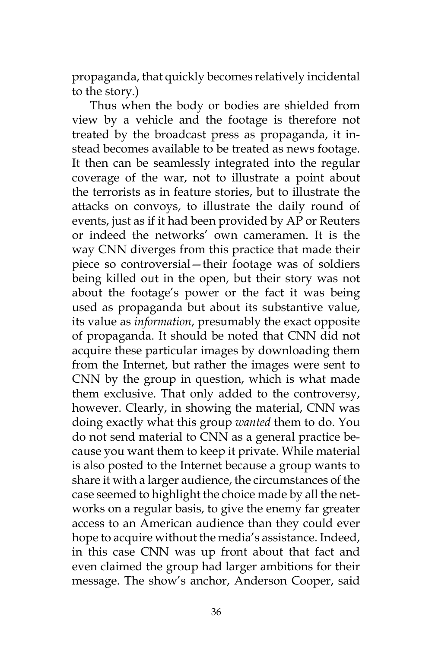propaganda, that quickly becomes relatively incidental to the story.)

Thus when the body or bodies are shielded from view by a vehicle and the footage is therefore not treated by the broadcast press as propaganda, it instead becomes available to be treated as news footage. It then can be seamlessly integrated into the regular coverage of the war, not to illustrate a point about the terrorists as in feature stories, but to illustrate the attacks on convoys, to illustrate the daily round of events, just as if it had been provided by AP or Reuters or indeed the networks' own cameramen. It is the way CNN diverges from this practice that made their piece so controversial—their footage was of soldiers being killed out in the open, but their story was not about the footage's power or the fact it was being used as propaganda but about its substantive value, its value as *information*, presumably the exact opposite of propaganda. It should be noted that CNN did not acquire these particular images by downloading them from the Internet, but rather the images were sent to CNN by the group in question, which is what made them exclusive. That only added to the controversy, however. Clearly, in showing the material, CNN was doing exactly what this group *wanted* them to do. You do not send material to CNN as a general practice because you want them to keep it private. While material is also posted to the Internet because a group wants to share it with a larger audience, the circumstances of the case seemed to highlight the choice made by all the networks on a regular basis, to give the enemy far greater access to an American audience than they could ever hope to acquire without the media's assistance. Indeed, in this case CNN was up front about that fact and even claimed the group had larger ambitions for their message. The show's anchor, Anderson Cooper, said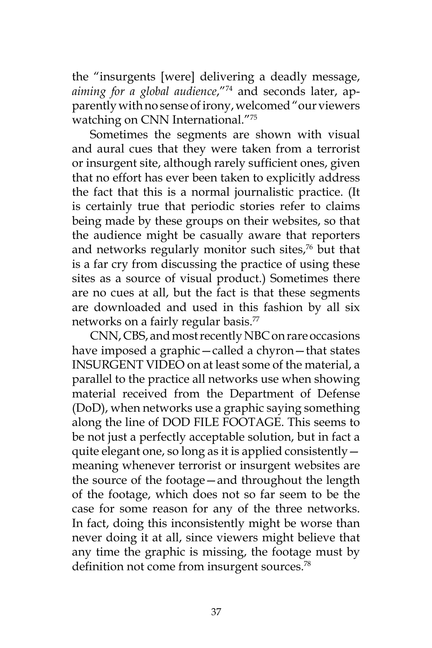the "insurgents [were] delivering a deadly message, *aiming for a global audience*,"74 and seconds later, apparently with no sense of irony, welcomed "our viewers watching on CNN International."75

Sometimes the segments are shown with visual and aural cues that they were taken from a terrorist or insurgent site, although rarely sufficient ones, given that no effort has ever been taken to explicitly address the fact that this is a normal journalistic practice. (It is certainly true that periodic stories refer to claims being made by these groups on their websites, so that the audience might be casually aware that reporters and networks regularly monitor such sites,<sup>76</sup> but that is a far cry from discussing the practice of using these sites as a source of visual product.) Sometimes there are no cues at all, but the fact is that these segments are downloaded and used in this fashion by all six networks on a fairly regular basis.<sup>77</sup>

CNN, CBS, and most recently NBC on rare occasions have imposed a graphic—called a chyron—that states INSURGENT VIDEO on at least some of the material, a parallel to the practice all networks use when showing material received from the Department of Defense (DoD), when networks use a graphic saying something along the line of DOD FILE FOOTAGE. This seems to be not just a perfectly acceptable solution, but in fact a quite elegant one, so long as it is applied consistently meaning whenever terrorist or insurgent websites are the source of the footage—and throughout the length of the footage, which does not so far seem to be the case for some reason for any of the three networks. In fact, doing this inconsistently might be worse than never doing it at all, since viewers might believe that any time the graphic is missing, the footage must by definition not come from insurgent sources.<sup>78</sup>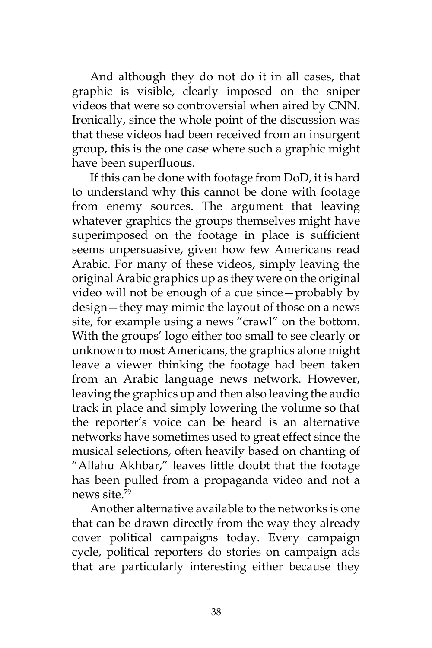And although they do not do it in all cases, that graphic is visible, clearly imposed on the sniper videos that were so controversial when aired by CNN. Ironically, since the whole point of the discussion was that these videos had been received from an insurgent group, this is the one case where such a graphic might have been superfluous.

If this can be done with footage from DoD, it is hard to understand why this cannot be done with footage from enemy sources. The argument that leaving whatever graphics the groups themselves might have superimposed on the footage in place is sufficient seems unpersuasive, given how few Americans read Arabic. For many of these videos, simply leaving the original Arabic graphics up as they were on the original video will not be enough of a cue since—probably by design—they may mimic the layout of those on a news site, for example using a news "crawl" on the bottom. With the groups' logo either too small to see clearly or unknown to most Americans, the graphics alone might leave a viewer thinking the footage had been taken from an Arabic language news network. However, leaving the graphics up and then also leaving the audio track in place and simply lowering the volume so that the reporter's voice can be heard is an alternative networks have sometimes used to great effect since the musical selections, often heavily based on chanting of "Allahu Akhbar," leaves little doubt that the footage has been pulled from a propaganda video and not a news site<sup>79</sup>

Another alternative available to the networks is one that can be drawn directly from the way they already cover political campaigns today. Every campaign cycle, political reporters do stories on campaign ads that are particularly interesting either because they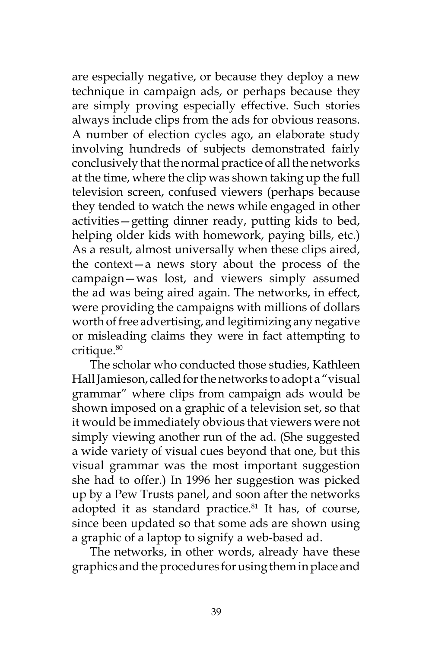are especially negative, or because they deploy a new technique in campaign ads, or perhaps because they are simply proving especially effective. Such stories always include clips from the ads for obvious reasons. A number of election cycles ago, an elaborate study involving hundreds of subjects demonstrated fairly conclusively that the normal practice of all the networks at the time, where the clip was shown taking up the full television screen, confused viewers (perhaps because they tended to watch the news while engaged in other activities—getting dinner ready, putting kids to bed, helping older kids with homework, paying bills, etc.) As a result, almost universally when these clips aired, the context—a news story about the process of the campaign—was lost, and viewers simply assumed the ad was being aired again. The networks, in effect, were providing the campaigns with millions of dollars worth of free advertising, and legitimizing any negative or misleading claims they were in fact attempting to critique.<sup>80</sup>

The scholar who conducted those studies, Kathleen Hall Jamieson, called for the networks to adopt a "visual grammar" where clips from campaign ads would be shown imposed on a graphic of a television set, so that it would be immediately obvious that viewers were not simply viewing another run of the ad. (She suggested a wide variety of visual cues beyond that one, but this visual grammar was the most important suggestion she had to offer.) In 1996 her suggestion was picked up by a Pew Trusts panel, and soon after the networks adopted it as standard practice.<sup>81</sup> It has, of course, since been updated so that some ads are shown using a graphic of a laptop to signify a web-based ad.

The networks, in other words, already have these graphics and the procedures for using them in place and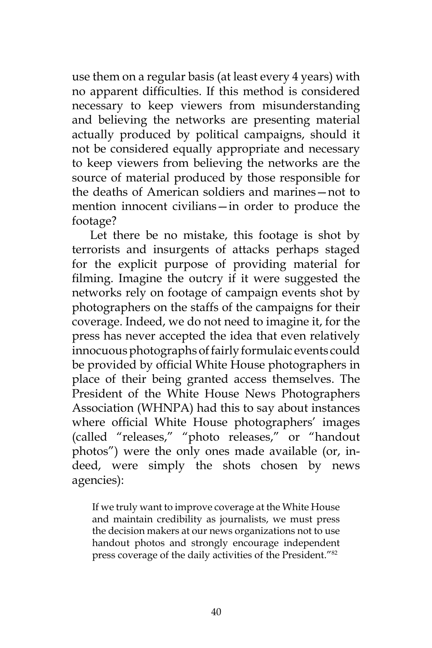use them on a regular basis (at least every 4 years) with no apparent difficulties. If this method is considered necessary to keep viewers from misunderstanding and believing the networks are presenting material actually produced by political campaigns, should it not be considered equally appropriate and necessary to keep viewers from believing the networks are the source of material produced by those responsible for the deaths of American soldiers and marines—not to mention innocent civilians—in order to produce the footage?

Let there be no mistake, this footage is shot by terrorists and insurgents of attacks perhaps staged for the explicit purpose of providing material for filming. Imagine the outcry if it were suggested the networks rely on footage of campaign events shot by photographers on the staffs of the campaigns for their coverage. Indeed, we do not need to imagine it, for the press has never accepted the idea that even relatively innocuous photographs of fairly formulaic events could be provided by official White House photographers in place of their being granted access themselves. The President of the White House News Photographers Association (WHNPA) had this to say about instances where official White House photographers' images (called "releases," "photo releases," or "handout photos") were the only ones made available (or, indeed, were simply the shots chosen by news agencies):

If we truly want to improve coverage at the White House and maintain credibility as journalists, we must press the decision makers at our news organizations not to use handout photos and strongly encourage independent press coverage of the daily activities of the President."82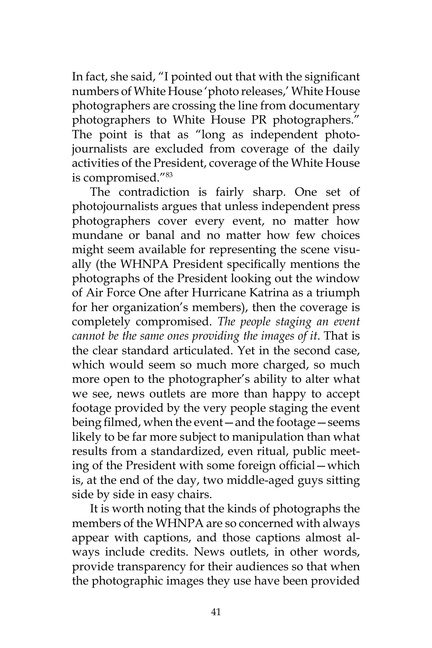In fact, she said, "I pointed out that with the significant numbers of White House 'photo releases,' White House photographers are crossing the line from documentary photographers to White House PR photographers." The point is that as "long as independent photojournalists are excluded from coverage of the daily activities of the President, coverage of the White House is compromised."83

The contradiction is fairly sharp. One set of photojournalists argues that unless independent press photographers cover every event, no matter how mundane or banal and no matter how few choices might seem available for representing the scene visually (the WHNPA President specifically mentions the photographs of the President looking out the window of Air Force One after Hurricane Katrina as a triumph for her organization's members), then the coverage is completely compromised. *The people staging an event cannot be the same ones providing the images of it*. That is the clear standard articulated. Yet in the second case, which would seem so much more charged, so much more open to the photographer's ability to alter what we see, news outlets are more than happy to accept footage provided by the very people staging the event being filmed, when the event—and the footage—seems likely to be far more subject to manipulation than what results from a standardized, even ritual, public meeting of the President with some foreign official—which is, at the end of the day, two middle-aged guys sitting side by side in easy chairs.

It is worth noting that the kinds of photographs the members of the WHNPA are so concerned with always appear with captions, and those captions almost always include credits. News outlets, in other words, provide transparency for their audiences so that when the photographic images they use have been provided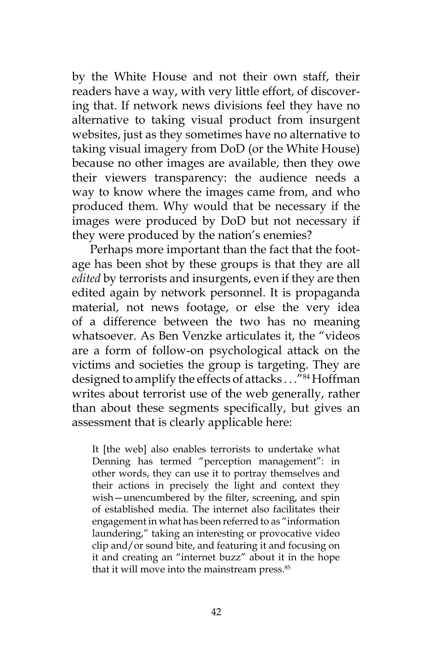by the White House and not their own staff, their readers have a way, with very little effort, of discovering that. If network news divisions feel they have no alternative to taking visual product from insurgent websites, just as they sometimes have no alternative to taking visual imagery from DoD (or the White House) because no other images are available, then they owe their viewers transparency: the audience needs a way to know where the images came from, and who produced them. Why would that be necessary if the images were produced by DoD but not necessary if they were produced by the nation's enemies?

Perhaps more important than the fact that the footage has been shot by these groups is that they are all *edited* by terrorists and insurgents, even if they are then edited again by network personnel. It is propaganda material, not news footage, or else the very idea of a difference between the two has no meaning whatsoever. As Ben Venzke articulates it, the "videos are a form of follow-on psychological attack on the victims and societies the group is targeting. They are designed to amplify the effects of attacks . . ."84 Hoffman writes about terrorist use of the web generally, rather than about these segments specifically, but gives an assessment that is clearly applicable here:

It [the web] also enables terrorists to undertake what Denning has termed "perception management": in other words, they can use it to portray themselves and their actions in precisely the light and context they wish—unencumbered by the filter, screening, and spin of established media. The internet also facilitates their engagement in what has been referred to as "information laundering," taking an interesting or provocative video clip and/or sound bite, and featuring it and focusing on it and creating an "internet buzz" about it in the hope that it will move into the mainstream press.<sup>85</sup>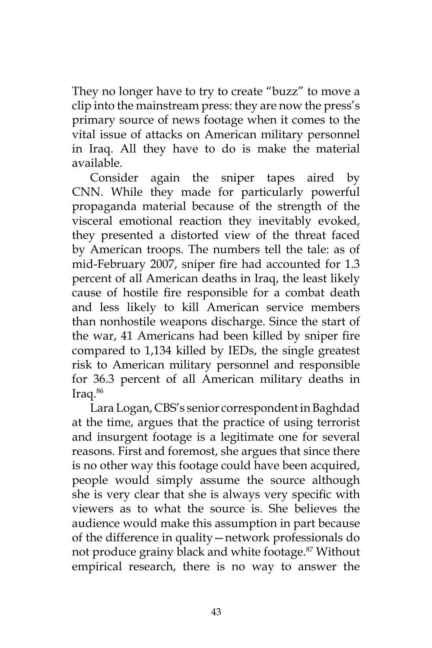They no longer have to try to create "buzz" to move a clip into the mainstream press: they are now the press's primary source of news footage when it comes to the vital issue of attacks on American military personnel in Iraq. All they have to do is make the material available.

Consider again the sniper tapes aired by CNN. While they made for particularly powerful propaganda material because of the strength of the visceral emotional reaction they inevitably evoked, they presented a distorted view of the threat faced by American troops. The numbers tell the tale: as of mid-February 2007, sniper fire had accounted for 1.3 percent of all American deaths in Iraq, the least likely cause of hostile fire responsible for a combat death and less likely to kill American service members than nonhostile weapons discharge. Since the start of the war, 41 Americans had been killed by sniper fire compared to 1,134 killed by IEDs, the single greatest risk to American military personnel and responsible for 36.3 percent of all American military deaths in Iraq.86

Lara Logan, CBS's senior correspondent in Baghdad at the time, argues that the practice of using terrorist and insurgent footage is a legitimate one for several reasons. First and foremost, she argues that since there is no other way this footage could have been acquired, people would simply assume the source although she is very clear that she is always very specific with viewers as to what the source is. She believes the audience would make this assumption in part because of the difference in quality—network professionals do not produce grainy black and white footage.<sup>87</sup> Without empirical research, there is no way to answer the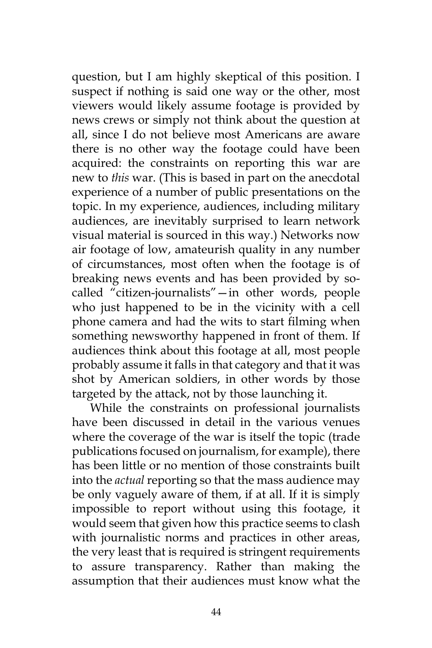question, but I am highly skeptical of this position. I suspect if nothing is said one way or the other, most viewers would likely assume footage is provided by news crews or simply not think about the question at all, since I do not believe most Americans are aware there is no other way the footage could have been acquired: the constraints on reporting this war are new to *this* war. (This is based in part on the anecdotal experience of a number of public presentations on the topic. In my experience, audiences, including military audiences, are inevitably surprised to learn network visual material is sourced in this way.) Networks now air footage of low, amateurish quality in any number of circumstances, most often when the footage is of breaking news events and has been provided by socalled "citizen-journalists"—in other words, people who just happened to be in the vicinity with a cell phone camera and had the wits to start filming when something newsworthy happened in front of them. If audiences think about this footage at all, most people probably assume it falls in that category and that it was shot by American soldiers, in other words by those targeted by the attack, not by those launching it.

While the constraints on professional journalists have been discussed in detail in the various venues where the coverage of the war is itself the topic (trade publications focused on journalism, for example), there has been little or no mention of those constraints built into the *actual* reporting so that the mass audience may be only vaguely aware of them, if at all. If it is simply impossible to report without using this footage, it would seem that given how this practice seems to clash with journalistic norms and practices in other areas, the very least that is required is stringent requirements to assure transparency. Rather than making the assumption that their audiences must know what the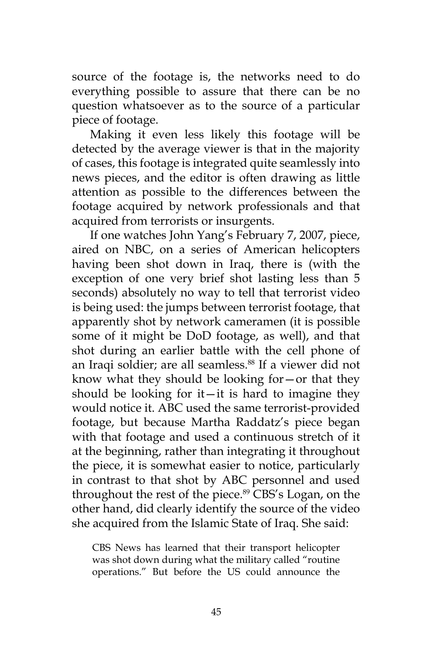source of the footage is, the networks need to do everything possible to assure that there can be no question whatsoever as to the source of a particular piece of footage.

Making it even less likely this footage will be detected by the average viewer is that in the majority of cases, this footage is integrated quite seamlessly into news pieces, and the editor is often drawing as little attention as possible to the differences between the footage acquired by network professionals and that acquired from terrorists or insurgents.

If one watches John Yang's February 7, 2007, piece, aired on NBC, on a series of American helicopters having been shot down in Iraq, there is (with the exception of one very brief shot lasting less than 5 seconds) absolutely no way to tell that terrorist video is being used: the jumps between terrorist footage, that apparently shot by network cameramen (it is possible some of it might be DoD footage, as well), and that shot during an earlier battle with the cell phone of an Iraqi soldier; are all seamless.<sup>88</sup> If a viewer did not know what they should be looking for—or that they should be looking for it—it is hard to imagine they would notice it. ABC used the same terrorist-provided footage, but because Martha Raddatz's piece began with that footage and used a continuous stretch of it at the beginning, rather than integrating it throughout the piece, it is somewhat easier to notice, particularly in contrast to that shot by ABC personnel and used throughout the rest of the piece.<sup>89</sup> CBS's Logan, on the other hand, did clearly identify the source of the video she acquired from the Islamic State of Iraq. She said:

CBS News has learned that their transport helicopter was shot down during what the military called "routine operations." But before the US could announce the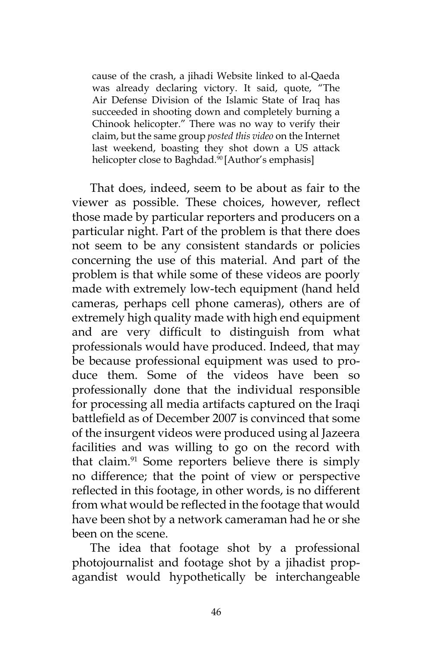cause of the crash, a jihadi Website linked to al-Qaeda was already declaring victory. It said, quote, "The Air Defense Division of the Islamic State of Iraq has succeeded in shooting down and completely burning a Chinook helicopter." There was no way to verify their claim, but the same group *posted this video* on the Internet last weekend, boasting they shot down a US attack helicopter close to Baghdad.<sup>90</sup> [Author's emphasis]

That does, indeed, seem to be about as fair to the viewer as possible. These choices, however, reflect those made by particular reporters and producers on a particular night. Part of the problem is that there does not seem to be any consistent standards or policies concerning the use of this material. And part of the problem is that while some of these videos are poorly made with extremely low-tech equipment (hand held cameras, perhaps cell phone cameras), others are of extremely high quality made with high end equipment and are very difficult to distinguish from what professionals would have produced. Indeed, that may be because professional equipment was used to produce them. Some of the videos have been so professionally done that the individual responsible for processing all media artifacts captured on the Iraqi battlefield as of December 2007 is convinced that some of the insurgent videos were produced using al Jazeera facilities and was willing to go on the record with that claim. $91$  Some reporters believe there is simply no difference; that the point of view or perspective reflected in this footage, in other words, is no different from what would be reflected in the footage that would have been shot by a network cameraman had he or she been on the scene.

The idea that footage shot by a professional photojournalist and footage shot by a jihadist propagandist would hypothetically be interchangeable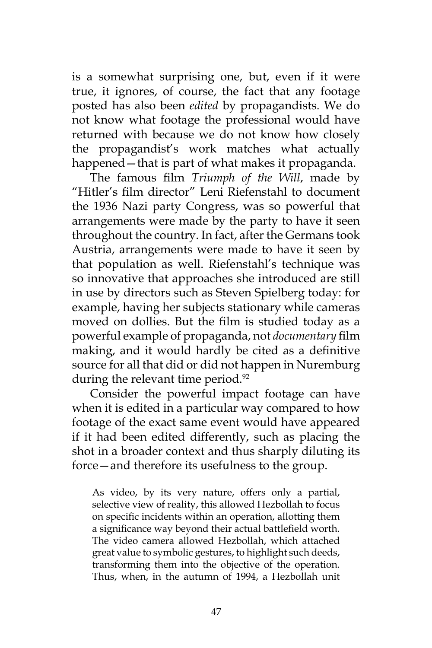is a somewhat surprising one, but, even if it were true, it ignores, of course, the fact that any footage posted has also been *edited* by propagandists. We do not know what footage the professional would have returned with because we do not know how closely the propagandist's work matches what actually happened—that is part of what makes it propaganda.

The famous film *Triumph of the Will*, made by "Hitler's film director" Leni Riefenstahl to document the 1936 Nazi party Congress, was so powerful that arrangements were made by the party to have it seen throughout the country. In fact, after the Germans took Austria, arrangements were made to have it seen by that population as well. Riefenstahl's technique was so innovative that approaches she introduced are still in use by directors such as Steven Spielberg today: for example, having her subjects stationary while cameras moved on dollies. But the film is studied today as a powerful example of propaganda, not *documentary* film making, and it would hardly be cited as a definitive source for all that did or did not happen in Nuremburg during the relevant time period.<sup>92</sup>

Consider the powerful impact footage can have when it is edited in a particular way compared to how footage of the exact same event would have appeared if it had been edited differently, such as placing the shot in a broader context and thus sharply diluting its force—and therefore its usefulness to the group.

As video, by its very nature, offers only a partial, selective view of reality, this allowed Hezbollah to focus on specific incidents within an operation, allotting them a significance way beyond their actual battlefield worth. The video camera allowed Hezbollah, which attached great value to symbolic gestures, to highlight such deeds, transforming them into the objective of the operation. Thus, when, in the autumn of 1994, a Hezbollah unit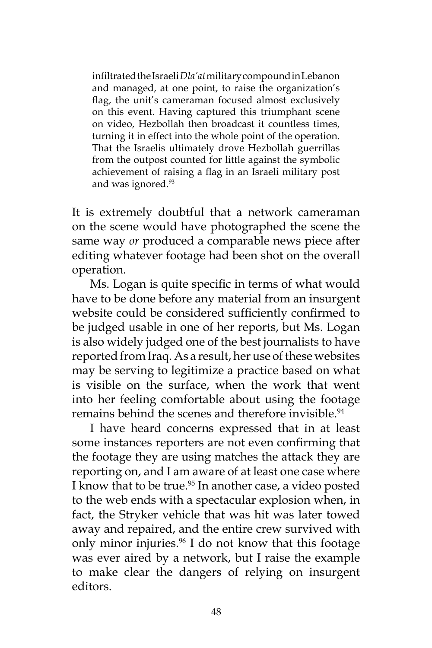infiltrated the Israeli *Dla'at* military compound in Lebanon and managed, at one point, to raise the organization's flag, the unit's cameraman focused almost exclusively on this event. Having captured this triumphant scene on video, Hezbollah then broadcast it countless times, turning it in effect into the whole point of the operation. That the Israelis ultimately drove Hezbollah guerrillas from the outpost counted for little against the symbolic achievement of raising a flag in an Israeli military post and was ignored.<sup>93</sup>

It is extremely doubtful that a network cameraman on the scene would have photographed the scene the same way *or* produced a comparable news piece after editing whatever footage had been shot on the overall operation.

Ms. Logan is quite specific in terms of what would have to be done before any material from an insurgent website could be considered sufficiently confirmed to be judged usable in one of her reports, but Ms. Logan is also widely judged one of the best journalists to have reported from Iraq. As a result, her use of these websites may be serving to legitimize a practice based on what is visible on the surface, when the work that went into her feeling comfortable about using the footage remains behind the scenes and therefore invisible.<sup>94</sup>

I have heard concerns expressed that in at least some instances reporters are not even confirming that the footage they are using matches the attack they are reporting on, and I am aware of at least one case where I know that to be true. $95$  In another case, a video posted to the web ends with a spectacular explosion when, in fact, the Stryker vehicle that was hit was later towed away and repaired, and the entire crew survived with only minor injuries.<sup>96</sup> I do not know that this footage was ever aired by a network, but I raise the example to make clear the dangers of relying on insurgent editors.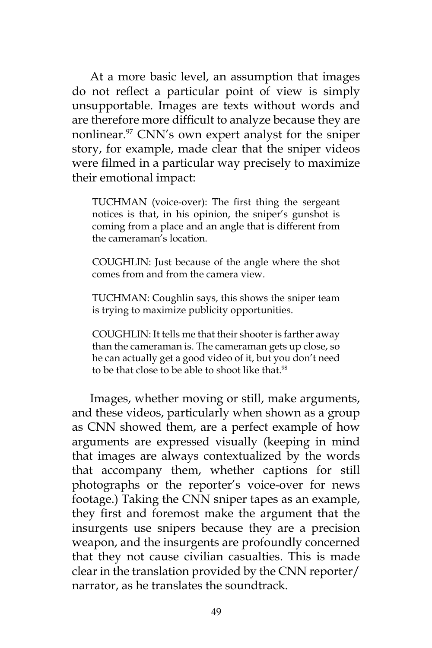At a more basic level, an assumption that images do not reflect a particular point of view is simply unsupportable. Images are texts without words and are therefore more difficult to analyze because they are nonlinear.<sup>97</sup> CNN's own expert analyst for the sniper story, for example, made clear that the sniper videos were filmed in a particular way precisely to maximize their emotional impact:

TUCHMAN (voice-over): The first thing the sergeant notices is that, in his opinion, the sniper's gunshot is coming from a place and an angle that is different from the cameraman's location.

COUGHLIN: Just because of the angle where the shot comes from and from the camera view.

TUCHMAN: Coughlin says, this shows the sniper team is trying to maximize publicity opportunities.

COUGHLIN: It tells me that their shooter is farther away than the cameraman is. The cameraman gets up close, so he can actually get a good video of it, but you don't need to be that close to be able to shoot like that.<sup>98</sup>

Images, whether moving or still, make arguments, and these videos, particularly when shown as a group as CNN showed them, are a perfect example of how arguments are expressed visually (keeping in mind that images are always contextualized by the words that accompany them, whether captions for still photographs or the reporter's voice-over for news footage.) Taking the CNN sniper tapes as an example, they first and foremost make the argument that the insurgents use snipers because they are a precision weapon, and the insurgents are profoundly concerned that they not cause civilian casualties. This is made clear in the translation provided by the CNN reporter/ narrator, as he translates the soundtrack.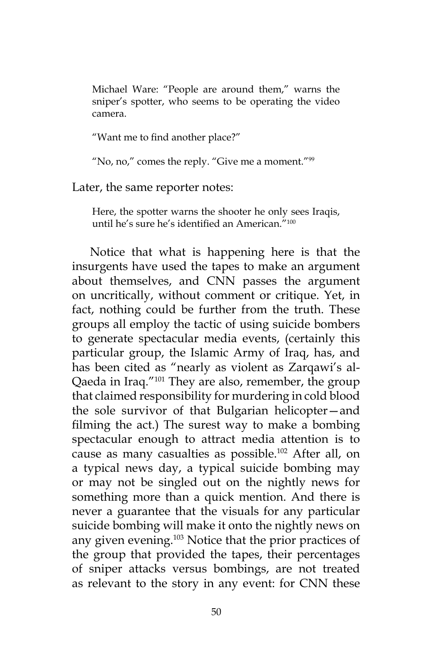Michael Ware: "People are around them," warns the sniper's spotter, who seems to be operating the video camera.

"Want me to find another place?"

"No, no," comes the reply. "Give me a moment."99

Later, the same reporter notes:

Here, the spotter warns the shooter he only sees Iraqis, until he's sure he's identified an American."<sup>100</sup>

Notice that what is happening here is that the insurgents have used the tapes to make an argument about themselves, and CNN passes the argument on uncritically, without comment or critique. Yet, in fact, nothing could be further from the truth. These groups all employ the tactic of using suicide bombers to generate spectacular media events, (certainly this particular group, the Islamic Army of Iraq, has, and has been cited as "nearly as violent as Zarqawi's al-Qaeda in Iraq."101 They are also, remember, the group that claimed responsibility for murdering in cold blood the sole survivor of that Bulgarian helicopter—and filming the act.) The surest way to make a bombing spectacular enough to attract media attention is to cause as many casualties as possible.<sup>102</sup> After all, on a typical news day, a typical suicide bombing may or may not be singled out on the nightly news for something more than a quick mention. And there is never a guarantee that the visuals for any particular suicide bombing will make it onto the nightly news on any given evening.<sup>103</sup> Notice that the prior practices of the group that provided the tapes, their percentages of sniper attacks versus bombings, are not treated as relevant to the story in any event: for CNN these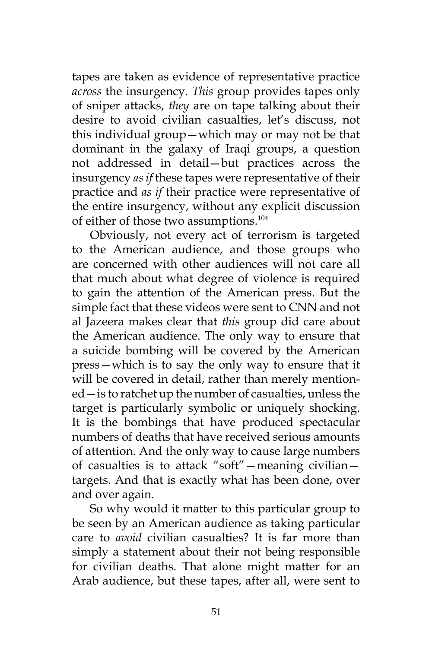tapes are taken as evidence of representative practice *across* the insurgency. *This* group provides tapes only of sniper attacks, *they* are on tape talking about their desire to avoid civilian casualties, let's discuss, not this individual group—which may or may not be that dominant in the galaxy of Iraqi groups, a question not addressed in detail—but practices across the insurgency *as if* these tapes were representative of their practice and *as if* their practice were representative of the entire insurgency, without any explicit discussion of either of those two assumptions.104

Obviously, not every act of terrorism is targeted to the American audience, and those groups who are concerned with other audiences will not care all that much about what degree of violence is required to gain the attention of the American press. But the simple fact that these videos were sent to CNN and not al Jazeera makes clear that *this* group did care about the American audience. The only way to ensure that a suicide bombing will be covered by the American press—which is to say the only way to ensure that it will be covered in detail, rather than merely mentioned—is to ratchet up the number of casualties, unless the target is particularly symbolic or uniquely shocking. It is the bombings that have produced spectacular numbers of deaths that have received serious amounts of attention. And the only way to cause large numbers of casualties is to attack "soft"—meaning civilian targets. And that is exactly what has been done, over and over again.

So why would it matter to this particular group to be seen by an American audience as taking particular care to *avoid* civilian casualties? It is far more than simply a statement about their not being responsible for civilian deaths. That alone might matter for an Arab audience, but these tapes, after all, were sent to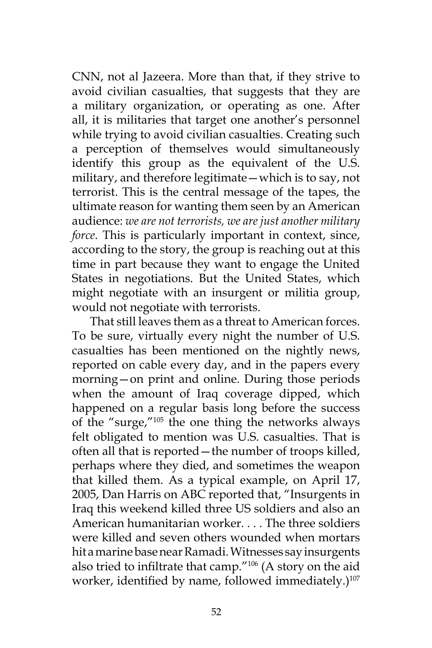CNN, not al Jazeera. More than that, if they strive to avoid civilian casualties, that suggests that they are a military organization, or operating as one. After all, it is militaries that target one another's personnel while trying to avoid civilian casualties. Creating such a perception of themselves would simultaneously identify this group as the equivalent of the U.S. military, and therefore legitimate—which is to say, not terrorist. This is the central message of the tapes, the ultimate reason for wanting them seen by an American audience: *we are not terrorists, we are just another military force*. This is particularly important in context, since, according to the story, the group is reaching out at this time in part because they want to engage the United States in negotiations. But the United States, which might negotiate with an insurgent or militia group, would not negotiate with terrorists.

That still leaves them as a threat to American forces. To be sure, virtually every night the number of U.S. casualties has been mentioned on the nightly news, reported on cable every day, and in the papers every morning—on print and online. During those periods when the amount of Iraq coverage dipped, which happened on a regular basis long before the success of the "surge,"105 the one thing the networks always felt obligated to mention was U.S. casualties. That is often all that is reported—the number of troops killed, perhaps where they died, and sometimes the weapon that killed them. As a typical example, on April 17, 2005, Dan Harris on ABC reported that, "Insurgents in Iraq this weekend killed three US soldiers and also an American humanitarian worker. . . . The three soldiers were killed and seven others wounded when mortars hit a marine base near Ramadi. Witnesses say insurgents also tried to infiltrate that camp."106 (A story on the aid worker, identified by name, followed immediately.)<sup>107</sup>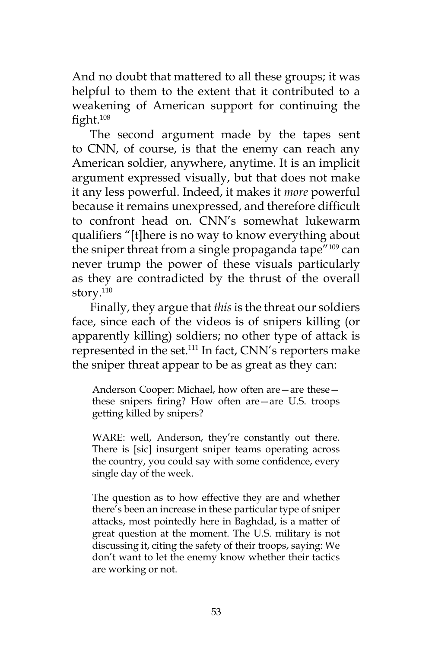And no doubt that mattered to all these groups; it was helpful to them to the extent that it contributed to a weakening of American support for continuing the fight.<sup>108</sup>

The second argument made by the tapes sent to CNN, of course, is that the enemy can reach any American soldier, anywhere, anytime. It is an implicit argument expressed visually, but that does not make it any less powerful. Indeed, it makes it *more* powerful because it remains unexpressed, and therefore difficult to confront head on. CNN's somewhat lukewarm qualifiers "[t]here is no way to know everything about the sniper threat from a single propaganda tape"<sup>109</sup> can never trump the power of these visuals particularly as they are contradicted by the thrust of the overall story.<sup>110</sup>

Finally, they argue that *this* is the threat our soldiers face, since each of the videos is of snipers killing (or apparently killing) soldiers; no other type of attack is represented in the set.<sup>111</sup> In fact, CNN's reporters make the sniper threat appear to be as great as they can:

Anderson Cooper: Michael, how often are—are these these snipers firing? How often are—are U.S. troops getting killed by snipers?

WARE: well, Anderson, they're constantly out there. There is [sic] insurgent sniper teams operating across the country, you could say with some confidence, every single day of the week.

The question as to how effective they are and whether there's been an increase in these particular type of sniper attacks, most pointedly here in Baghdad, is a matter of great question at the moment. The U.S. military is not discussing it, citing the safety of their troops, saying: We don't want to let the enemy know whether their tactics are working or not.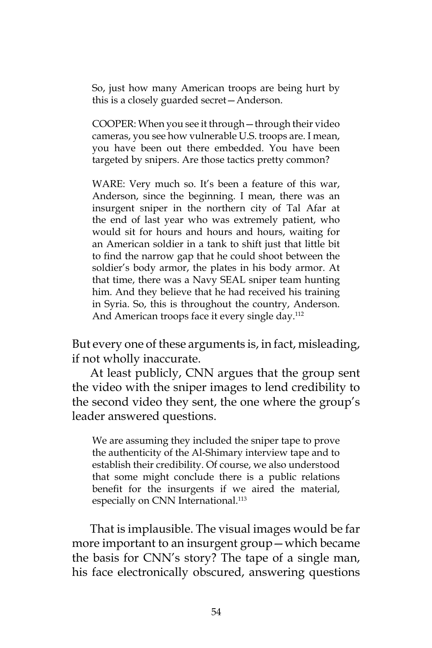So, just how many American troops are being hurt by this is a closely guarded secret—Anderson.

COOPER: When you see it through—through their video cameras, you see how vulnerable U.S. troops are. I mean, you have been out there embedded. You have been targeted by snipers. Are those tactics pretty common?

WARE: Very much so. It's been a feature of this war, Anderson, since the beginning. I mean, there was an insurgent sniper in the northern city of Tal Afar at the end of last year who was extremely patient, who would sit for hours and hours and hours, waiting for an American soldier in a tank to shift just that little bit to find the narrow gap that he could shoot between the soldier's body armor, the plates in his body armor. At that time, there was a Navy SEAL sniper team hunting him. And they believe that he had received his training in Syria. So, this is throughout the country, Anderson. And American troops face it every single day.<sup>112</sup>

But every one of these arguments is, in fact, misleading, if not wholly inaccurate.

At least publicly, CNN argues that the group sent the video with the sniper images to lend credibility to the second video they sent, the one where the group's leader answered questions.

We are assuming they included the sniper tape to prove the authenticity of the Al-Shimary interview tape and to establish their credibility. Of course, we also understood that some might conclude there is a public relations benefit for the insurgents if we aired the material, especially on CNN International.<sup>113</sup>

That is implausible. The visual images would be far more important to an insurgent group—which became the basis for CNN's story? The tape of a single man, his face electronically obscured, answering questions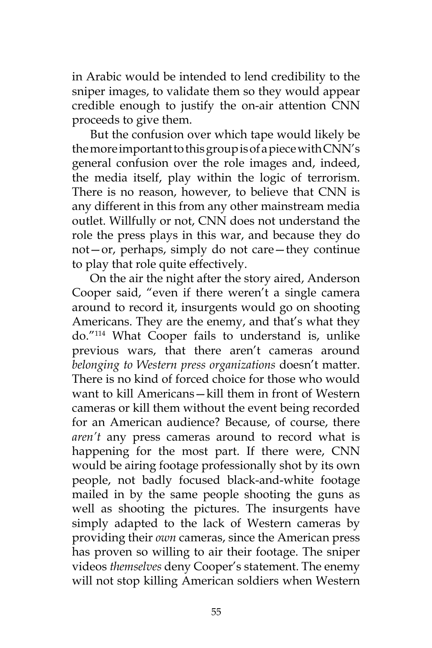in Arabic would be intended to lend credibility to the sniper images, to validate them so they would appear credible enough to justify the on-air attention CNN proceeds to give them.

But the confusion over which tape would likely be the more important to this group is of a piece with CNN's general confusion over the role images and, indeed, the media itself, play within the logic of terrorism. There is no reason, however, to believe that CNN is any different in this from any other mainstream media outlet. Willfully or not, CNN does not understand the role the press plays in this war, and because they do not—or, perhaps, simply do not care—they continue to play that role quite effectively.

On the air the night after the story aired, Anderson Cooper said, "even if there weren't a single camera around to record it, insurgents would go on shooting Americans. They are the enemy, and that's what they do."114 What Cooper fails to understand is, unlike previous wars, that there aren't cameras around *belonging to Western press organizations* doesn't matter. There is no kind of forced choice for those who would want to kill Americans—kill them in front of Western cameras or kill them without the event being recorded for an American audience? Because, of course, there *aren't* any press cameras around to record what is happening for the most part. If there were, CNN would be airing footage professionally shot by its own people, not badly focused black-and-white footage mailed in by the same people shooting the guns as well as shooting the pictures. The insurgents have simply adapted to the lack of Western cameras by providing their *own* cameras, since the American press has proven so willing to air their footage. The sniper videos *themselves* deny Cooper's statement. The enemy will not stop killing American soldiers when Western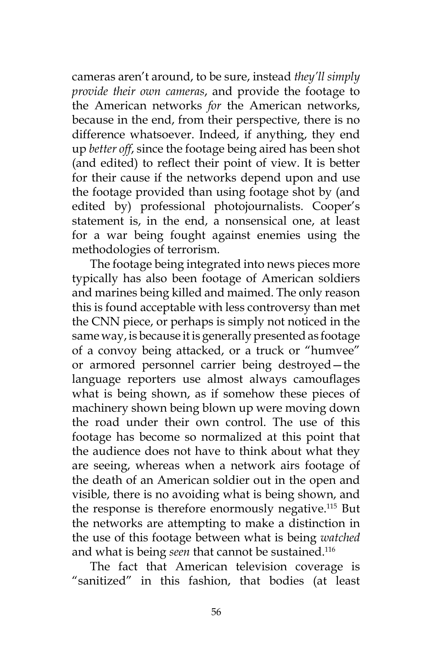cameras aren't around, to be sure, instead *they'll simply provide their own cameras*, and provide the footage to the American networks *for* the American networks, because in the end, from their perspective, there is no difference whatsoever. Indeed, if anything, they end up *better off*, since the footage being aired has been shot (and edited) to reflect their point of view. It is better for their cause if the networks depend upon and use the footage provided than using footage shot by (and edited by) professional photojournalists. Cooper's statement is, in the end, a nonsensical one, at least for a war being fought against enemies using the methodologies of terrorism.

The footage being integrated into news pieces more typically has also been footage of American soldiers and marines being killed and maimed. The only reason this is found acceptable with less controversy than met the CNN piece, or perhaps is simply not noticed in the same way, is because it is generally presented as footage of a convoy being attacked, or a truck or "humvee" or armored personnel carrier being destroyed—the language reporters use almost always camouflages what is being shown, as if somehow these pieces of machinery shown being blown up were moving down the road under their own control. The use of this footage has become so normalized at this point that the audience does not have to think about what they are seeing, whereas when a network airs footage of the death of an American soldier out in the open and visible, there is no avoiding what is being shown, and the response is therefore enormously negative.115 But the networks are attempting to make a distinction in the use of this footage between what is being *watched* and what is being *seen* that cannot be sustained.<sup>116</sup>

The fact that American television coverage is "sanitized" in this fashion, that bodies (at least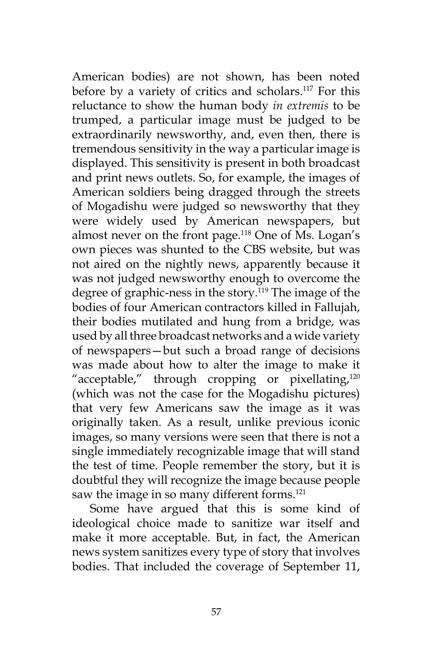American bodies) are not shown, has been noted before by a variety of critics and scholars.117 For this reluctance to show the human body *in extremis* to be trumped, a particular image must be judged to be extraordinarily newsworthy, and, even then, there is tremendous sensitivity in the way a particular image is displayed. This sensitivity is present in both broadcast and print news outlets. So, for example, the images of American soldiers being dragged through the streets of Mogadishu were judged so newsworthy that they were widely used by American newspapers, but almost never on the front page.118 One of Ms. Logan's own pieces was shunted to the CBS website, but was not aired on the nightly news, apparently because it was not judged newsworthy enough to overcome the degree of graphic-ness in the story.<sup>119</sup> The image of the bodies of four American contractors killed in Fallujah, their bodies mutilated and hung from a bridge, was used by all three broadcast networks and a wide variety of newspapers—but such a broad range of decisions was made about how to alter the image to make it "acceptable," through cropping or pixellating,<sup>120</sup> (which was not the case for the Mogadishu pictures) that very few Americans saw the image as it was originally taken. As a result, unlike previous iconic images, so many versions were seen that there is not a single immediately recognizable image that will stand the test of time. People remember the story, but it is doubtful they will recognize the image because people saw the image in so many different forms.<sup>121</sup>

Some have argued that this is some kind of ideological choice made to sanitize war itself and make it more acceptable. But, in fact, the American news system sanitizes every type of story that involves bodies. That included the coverage of September 11,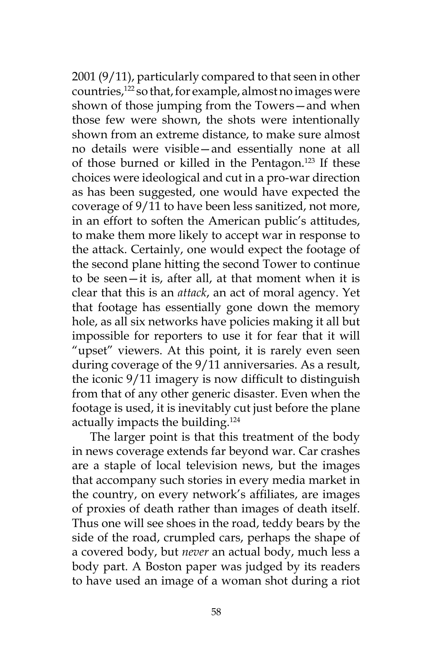2001 (9/11), particularly compared to that seen in other countries,122 so that, for example, almost no images were shown of those jumping from the Towers—and when those few were shown, the shots were intentionally shown from an extreme distance, to make sure almost no details were visible—and essentially none at all of those burned or killed in the Pentagon.<sup>123</sup> If these choices were ideological and cut in a pro-war direction as has been suggested, one would have expected the coverage of 9/11 to have been less sanitized, not more, in an effort to soften the American public's attitudes, to make them more likely to accept war in response to the attack. Certainly, one would expect the footage of the second plane hitting the second Tower to continue to be seen—it is, after all, at that moment when it is clear that this is an *attack*, an act of moral agency. Yet that footage has essentially gone down the memory hole, as all six networks have policies making it all but impossible for reporters to use it for fear that it will "upset" viewers. At this point, it is rarely even seen during coverage of the 9/11 anniversaries. As a result, the iconic 9/11 imagery is now difficult to distinguish from that of any other generic disaster. Even when the footage is used, it is inevitably cut just before the plane actually impacts the building.124

The larger point is that this treatment of the body in news coverage extends far beyond war. Car crashes are a staple of local television news, but the images that accompany such stories in every media market in the country, on every network's affiliates, are images of proxies of death rather than images of death itself. Thus one will see shoes in the road, teddy bears by the side of the road, crumpled cars, perhaps the shape of a covered body, but *never* an actual body, much less a body part. A Boston paper was judged by its readers to have used an image of a woman shot during a riot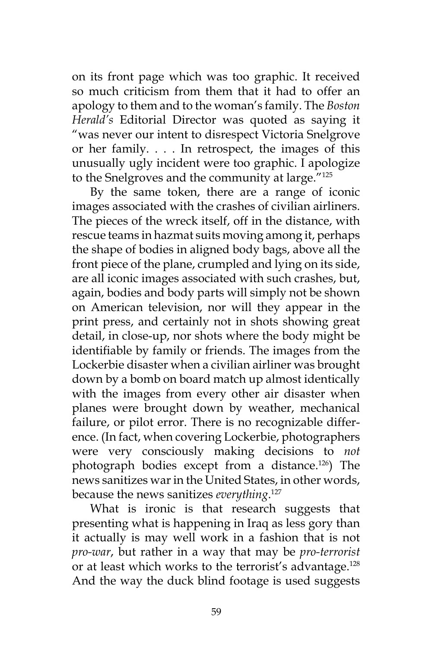on its front page which was too graphic. It received so much criticism from them that it had to offer an apology to them and to the woman's family. The *Boston Herald's* Editorial Director was quoted as saying it "was never our intent to disrespect Victoria Snelgrove or her family. . . . In retrospect, the images of this unusually ugly incident were too graphic. I apologize to the Snelgroves and the community at large."125

By the same token, there are a range of iconic images associated with the crashes of civilian airliners. The pieces of the wreck itself, off in the distance, with rescue teams in hazmat suits moving among it, perhaps the shape of bodies in aligned body bags, above all the front piece of the plane, crumpled and lying on its side, are all iconic images associated with such crashes, but, again, bodies and body parts will simply not be shown on American television, nor will they appear in the print press, and certainly not in shots showing great detail, in close-up, nor shots where the body might be identifiable by family or friends. The images from the Lockerbie disaster when a civilian airliner was brought down by a bomb on board match up almost identically with the images from every other air disaster when planes were brought down by weather, mechanical failure, or pilot error. There is no recognizable difference. (In fact, when covering Lockerbie, photographers were very consciously making decisions to *not* photograph bodies except from a distance.126) The news sanitizes war in the United States, in other words, because the news sanitizes *everything*. 127

What is ironic is that research suggests that presenting what is happening in Iraq as less gory than it actually is may well work in a fashion that is not *pro-war*, but rather in a way that may be *pro-terrorist*  or at least which works to the terrorist's advantage.<sup>128</sup> And the way the duck blind footage is used suggests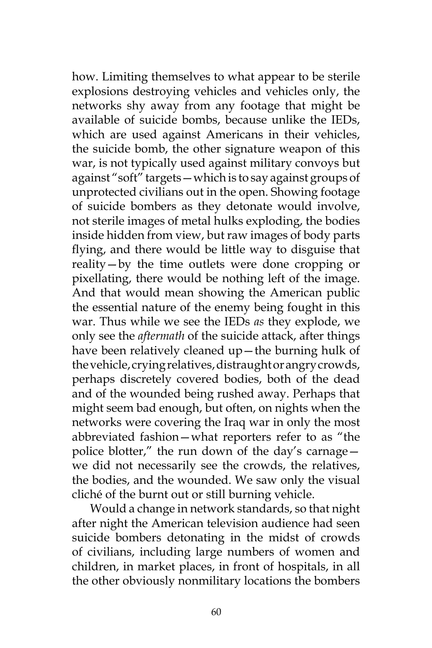how. Limiting themselves to what appear to be sterile explosions destroying vehicles and vehicles only, the networks shy away from any footage that might be available of suicide bombs, because unlike the IEDs, which are used against Americans in their vehicles, the suicide bomb, the other signature weapon of this war, is not typically used against military convoys but against "soft" targets—which is to say against groups of unprotected civilians out in the open. Showing footage of suicide bombers as they detonate would involve, not sterile images of metal hulks exploding, the bodies inside hidden from view, but raw images of body parts flying, and there would be little way to disguise that reality—by the time outlets were done cropping or pixellating, there would be nothing left of the image. And that would mean showing the American public the essential nature of the enemy being fought in this war. Thus while we see the IEDs *as* they explode, we only see the *aftermath* of the suicide attack, after things have been relatively cleaned up—the burning hulk of the vehicle, crying relatives, distraught or angry crowds, perhaps discretely covered bodies, both of the dead and of the wounded being rushed away. Perhaps that might seem bad enough, but often, on nights when the networks were covering the Iraq war in only the most abbreviated fashion—what reporters refer to as "the police blotter," the run down of the day's carnage we did not necessarily see the crowds, the relatives, the bodies, and the wounded. We saw only the visual cliché of the burnt out or still burning vehicle.

Would a change in network standards, so that night after night the American television audience had seen suicide bombers detonating in the midst of crowds of civilians, including large numbers of women and children, in market places, in front of hospitals, in all the other obviously nonmilitary locations the bombers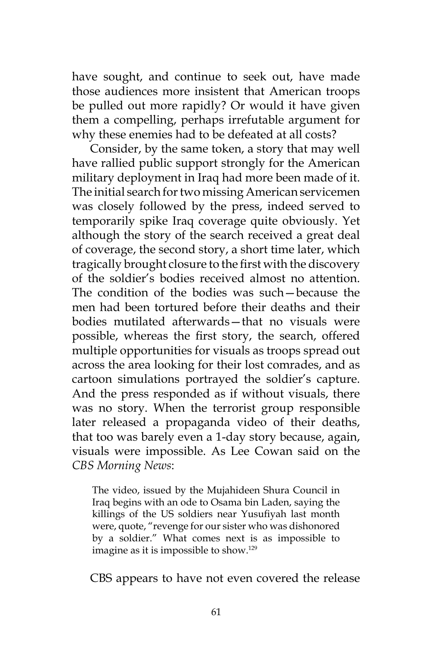have sought, and continue to seek out, have made those audiences more insistent that American troops be pulled out more rapidly? Or would it have given them a compelling, perhaps irrefutable argument for why these enemies had to be defeated at all costs?

Consider, by the same token, a story that may well have rallied public support strongly for the American military deployment in Iraq had more been made of it. The initial search for two missing American servicemen was closely followed by the press, indeed served to temporarily spike Iraq coverage quite obviously. Yet although the story of the search received a great deal of coverage, the second story, a short time later, which tragically brought closure to the first with the discovery of the soldier's bodies received almost no attention. The condition of the bodies was such—because the men had been tortured before their deaths and their bodies mutilated afterwards—that no visuals were possible, whereas the first story, the search, offered multiple opportunities for visuals as troops spread out across the area looking for their lost comrades, and as cartoon simulations portrayed the soldier's capture. And the press responded as if without visuals, there was no story. When the terrorist group responsible later released a propaganda video of their deaths, that too was barely even a 1-day story because, again, visuals were impossible. As Lee Cowan said on the *CBS Morning News*:

The video, issued by the Mujahideen Shura Council in Iraq begins with an ode to Osama bin Laden, saying the killings of the US soldiers near Yusufiyah last month were, quote, "revenge for our sister who was dishonored by a soldier." What comes next is as impossible to imagine as it is impossible to show.129

CBS appears to have not even covered the release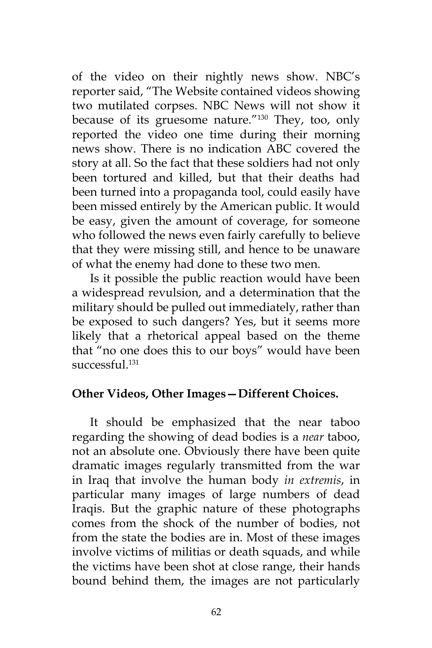of the video on their nightly news show. NBC's reporter said, "The Website contained videos showing two mutilated corpses. NBC News will not show it because of its gruesome nature."130 They, too, only reported the video one time during their morning news show. There is no indication ABC covered the story at all. So the fact that these soldiers had not only been tortured and killed, but that their deaths had been turned into a propaganda tool, could easily have been missed entirely by the American public. It would be easy, given the amount of coverage, for someone who followed the news even fairly carefully to believe that they were missing still, and hence to be unaware of what the enemy had done to these two men.

Is it possible the public reaction would have been a widespread revulsion, and a determination that the military should be pulled out immediately, rather than be exposed to such dangers? Yes, but it seems more likely that a rhetorical appeal based on the theme that "no one does this to our boys" would have been successful.<sup>131</sup>

## **Other Videos, Other Images—Different Choices.**

It should be emphasized that the near taboo regarding the showing of dead bodies is a *near* taboo, not an absolute one. Obviously there have been quite dramatic images regularly transmitted from the war in Iraq that involve the human body *in extremis*, in particular many images of large numbers of dead Iraqis. But the graphic nature of these photographs comes from the shock of the number of bodies, not from the state the bodies are in. Most of these images involve victims of militias or death squads, and while the victims have been shot at close range, their hands bound behind them, the images are not particularly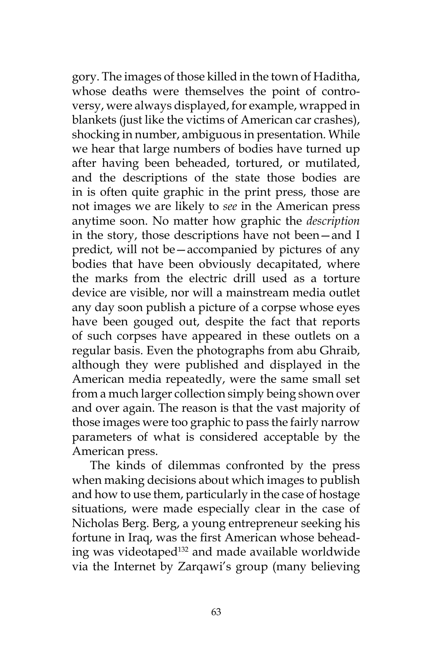gory. The images of those killed in the town of Haditha, whose deaths were themselves the point of controversy, were always displayed, for example, wrapped in blankets (just like the victims of American car crashes), shocking in number, ambiguous in presentation. While we hear that large numbers of bodies have turned up after having been beheaded, tortured, or mutilated, and the descriptions of the state those bodies are in is often quite graphic in the print press, those are not images we are likely to *see* in the American press anytime soon. No matter how graphic the *description* in the story, those descriptions have not been—and I predict, will not be—accompanied by pictures of any bodies that have been obviously decapitated, where the marks from the electric drill used as a torture device are visible, nor will a mainstream media outlet any day soon publish a picture of a corpse whose eyes have been gouged out, despite the fact that reports of such corpses have appeared in these outlets on a regular basis. Even the photographs from abu Ghraib, although they were published and displayed in the American media repeatedly, were the same small set from a much larger collection simply being shown over and over again. The reason is that the vast majority of those images were too graphic to pass the fairly narrow parameters of what is considered acceptable by the American press.

The kinds of dilemmas confronted by the press when making decisions about which images to publish and how to use them, particularly in the case of hostage situations, were made especially clear in the case of Nicholas Berg. Berg, a young entrepreneur seeking his fortune in Iraq, was the first American whose beheading was videotaped<sup>132</sup> and made available worldwide via the Internet by Zarqawi's group (many believing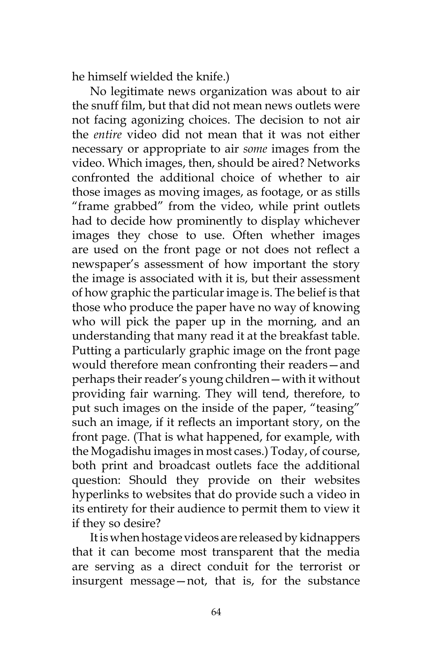he himself wielded the knife.)

No legitimate news organization was about to air the snuff film, but that did not mean news outlets were not facing agonizing choices. The decision to not air the *entire* video did not mean that it was not either necessary or appropriate to air *some* images from the video. Which images, then, should be aired? Networks confronted the additional choice of whether to air those images as moving images, as footage, or as stills "frame grabbed" from the video, while print outlets had to decide how prominently to display whichever images they chose to use. Often whether images are used on the front page or not does not reflect a newspaper's assessment of how important the story the image is associated with it is, but their assessment of how graphic the particular image is. The belief is that those who produce the paper have no way of knowing who will pick the paper up in the morning, and an understanding that many read it at the breakfast table. Putting a particularly graphic image on the front page would therefore mean confronting their readers—and perhaps their reader's young children—with it without providing fair warning. They will tend, therefore, to put such images on the inside of the paper, "teasing" such an image, if it reflects an important story, on the front page. (That is what happened, for example, with the Mogadishu images in most cases.) Today, of course, both print and broadcast outlets face the additional question: Should they provide on their websites hyperlinks to websites that do provide such a video in its entirety for their audience to permit them to view it if they so desire?

It is when hostage videos are released by kidnappers that it can become most transparent that the media are serving as a direct conduit for the terrorist or insurgent message—not, that is, for the substance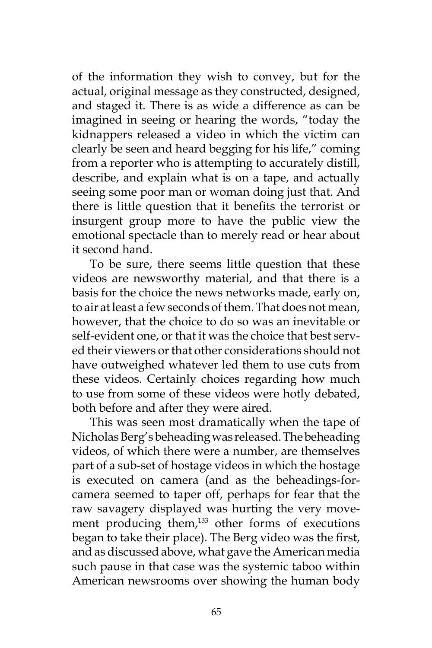of the information they wish to convey, but for the actual, original message as they constructed, designed, and staged it. There is as wide a difference as can be imagined in seeing or hearing the words, "today the kidnappers released a video in which the victim can clearly be seen and heard begging for his life," coming from a reporter who is attempting to accurately distill, describe, and explain what is on a tape, and actually seeing some poor man or woman doing just that. And there is little question that it benefits the terrorist or insurgent group more to have the public view the emotional spectacle than to merely read or hear about it second hand.

To be sure, there seems little question that these videos are newsworthy material, and that there is a basis for the choice the news networks made, early on, to air at least a few seconds of them. That does not mean, however, that the choice to do so was an inevitable or self-evident one, or that it was the choice that best served their viewers or that other considerations should not have outweighed whatever led them to use cuts from these videos. Certainly choices regarding how much to use from some of these videos were hotly debated, both before and after they were aired.

This was seen most dramatically when the tape of Nicholas Berg's beheading was released. The beheading videos, of which there were a number, are themselves part of a sub-set of hostage videos in which the hostage is executed on camera (and as the beheadings-forcamera seemed to taper off, perhaps for fear that the raw savagery displayed was hurting the very movement producing them, $133$  other forms of executions began to take their place). The Berg video was the first, and as discussed above, what gave the American media such pause in that case was the systemic taboo within American newsrooms over showing the human body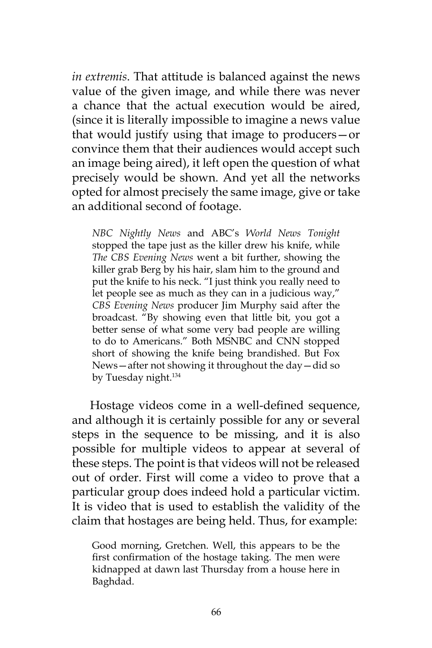*in extremis*. That attitude is balanced against the news value of the given image, and while there was never a chance that the actual execution would be aired, (since it is literally impossible to imagine a news value that would justify using that image to producers—or convince them that their audiences would accept such an image being aired), it left open the question of what precisely would be shown. And yet all the networks opted for almost precisely the same image, give or take an additional second of footage.

*NBC Nightly News* and ABC's *World News Tonight*  stopped the tape just as the killer drew his knife, while *The CBS Evening News* went a bit further, showing the killer grab Berg by his hair, slam him to the ground and put the knife to his neck. "I just think you really need to let people see as much as they can in a judicious way," *CBS Evening News* producer Jim Murphy said after the broadcast. "By showing even that little bit, you got a better sense of what some very bad people are willing to do to Americans." Both MSNBC and CNN stopped short of showing the knife being brandished. But Fox News—after not showing it throughout the day—did so by Tuesday night.<sup>134</sup>

Hostage videos come in a well-defined sequence, and although it is certainly possible for any or several steps in the sequence to be missing, and it is also possible for multiple videos to appear at several of these steps. The point is that videos will not be released out of order. First will come a video to prove that a particular group does indeed hold a particular victim. It is video that is used to establish the validity of the claim that hostages are being held. Thus, for example:

Good morning, Gretchen. Well, this appears to be the first confirmation of the hostage taking. The men were kidnapped at dawn last Thursday from a house here in Baghdad.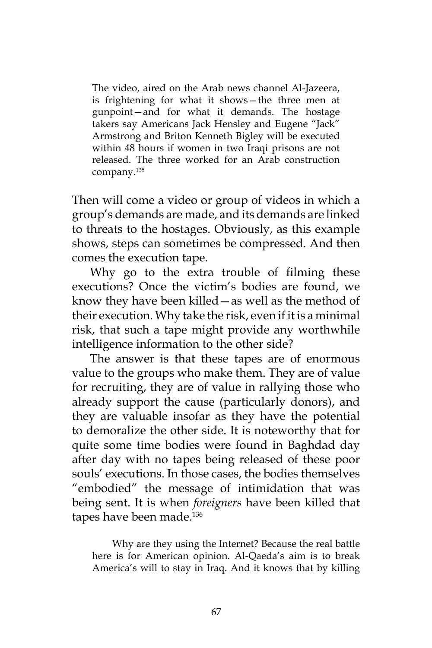The video, aired on the Arab news channel Al-Jazeera, is frightening for what it shows—the three men at gunpoint—and for what it demands. The hostage takers say Americans Jack Hensley and Eugene "Jack" Armstrong and Briton Kenneth Bigley will be executed within 48 hours if women in two Iraqi prisons are not released. The three worked for an Arab construction company.135

Then will come a video or group of videos in which a group's demands are made, and its demands are linked to threats to the hostages. Obviously, as this example shows, steps can sometimes be compressed. And then comes the execution tape.

Why go to the extra trouble of filming these executions? Once the victim's bodies are found, we know they have been killed—as well as the method of their execution. Why take the risk, even if it is a minimal risk, that such a tape might provide any worthwhile intelligence information to the other side?

The answer is that these tapes are of enormous value to the groups who make them. They are of value for recruiting, they are of value in rallying those who already support the cause (particularly donors), and they are valuable insofar as they have the potential to demoralize the other side. It is noteworthy that for quite some time bodies were found in Baghdad day after day with no tapes being released of these poor souls' executions. In those cases, the bodies themselves "embodied" the message of intimidation that was being sent. It is when *foreigners* have been killed that tapes have been made.<sup>136</sup>

Why are they using the Internet? Because the real battle here is for American opinion. Al-Qaeda's aim is to break America's will to stay in Iraq. And it knows that by killing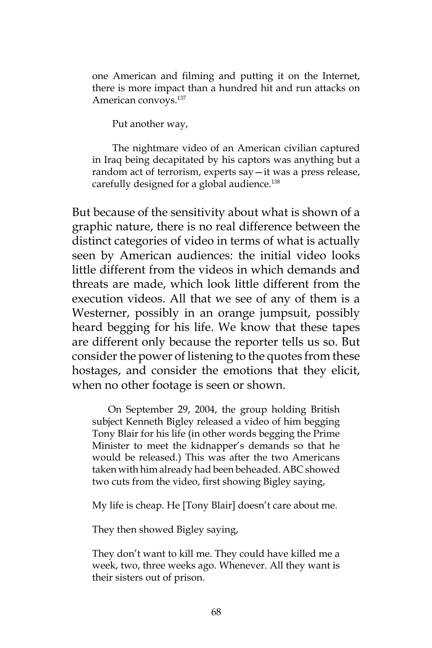one American and filming and putting it on the Internet, there is more impact than a hundred hit and run attacks on American convoys.137

Put another way,

The nightmare video of an American civilian captured in Iraq being decapitated by his captors was anything but a random act of terrorism, experts say—it was a press release, carefully designed for a global audience.<sup>138</sup>

But because of the sensitivity about what is shown of a graphic nature, there is no real difference between the distinct categories of video in terms of what is actually seen by American audiences: the initial video looks little different from the videos in which demands and threats are made, which look little different from the execution videos. All that we see of any of them is a Westerner, possibly in an orange jumpsuit, possibly heard begging for his life. We know that these tapes are different only because the reporter tells us so. But consider the power of listening to the quotes from these hostages, and consider the emotions that they elicit, when no other footage is seen or shown.

On September 29, 2004, the group holding British subject Kenneth Bigley released a video of him begging Tony Blair for his life (in other words begging the Prime Minister to meet the kidnapper's demands so that he would be released.) This was after the two Americans taken with him already had been beheaded. ABC showed two cuts from the video, first showing Bigley saying,

My life is cheap. He [Tony Blair] doesn't care about me.

They then showed Bigley saying,

They don't want to kill me. They could have killed me a week, two, three weeks ago. Whenever. All they want is their sisters out of prison.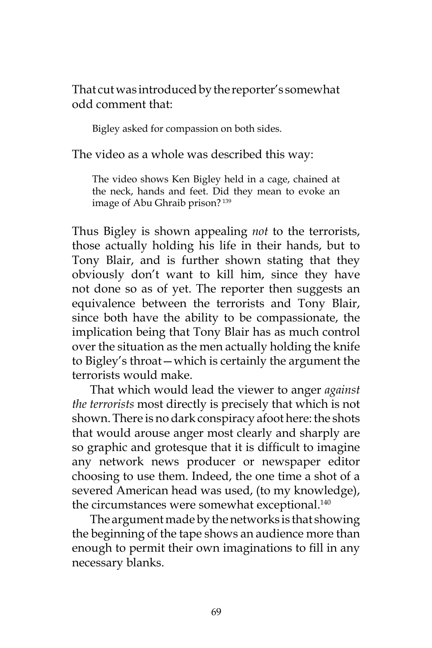That cut was introduced by the reporter's somewhat odd comment that:

Bigley asked for compassion on both sides.

The video as a whole was described this way:

The video shows Ken Bigley held in a cage, chained at the neck, hands and feet. Did they mean to evoke an image of Abu Ghraib prison? 139

Thus Bigley is shown appealing *not* to the terrorists, those actually holding his life in their hands, but to Tony Blair, and is further shown stating that they obviously don't want to kill him, since they have not done so as of yet. The reporter then suggests an equivalence between the terrorists and Tony Blair, since both have the ability to be compassionate, the implication being that Tony Blair has as much control over the situation as the men actually holding the knife to Bigley's throat—which is certainly the argument the terrorists would make.

That which would lead the viewer to anger *against the terrorists* most directly is precisely that which is not shown. There is no dark conspiracy afoot here: the shots that would arouse anger most clearly and sharply are so graphic and grotesque that it is difficult to imagine any network news producer or newspaper editor choosing to use them. Indeed, the one time a shot of a severed American head was used, (to my knowledge), the circumstances were somewhat exceptional.<sup>140</sup>

The argument made by the networks is that showing the beginning of the tape shows an audience more than enough to permit their own imaginations to fill in any necessary blanks.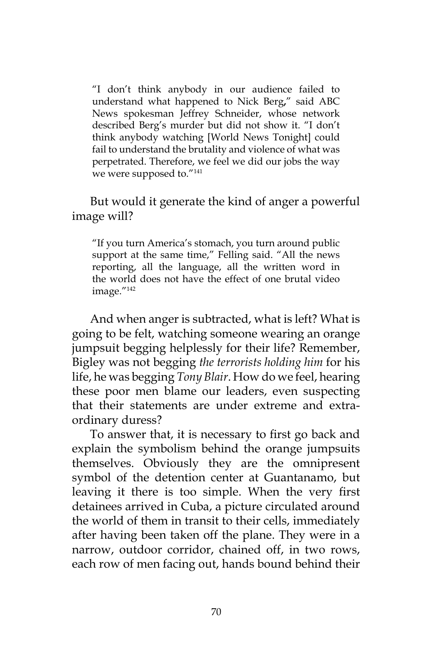"I don't think anybody in our audience failed to understand what happened to Nick Berg**,**" said ABC News spokesman Jeffrey Schneider, whose network described Berg's murder but did not show it. "I don't think anybody watching [World News Tonight] could fail to understand the brutality and violence of what was perpetrated. Therefore, we feel we did our jobs the way we were supposed to."<sup>141</sup>

But would it generate the kind of anger a powerful image will?

"If you turn America's stomach, you turn around public support at the same time," Felling said. "All the news reporting, all the language, all the written word in the world does not have the effect of one brutal video image."142

And when anger is subtracted, what is left? What is going to be felt, watching someone wearing an orange jumpsuit begging helplessly for their life? Remember, Bigley was not begging *the terrorists holding him* for his life, he was begging *Tony Blair*. How do we feel, hearing these poor men blame our leaders, even suspecting that their statements are under extreme and extraordinary duress?

To answer that, it is necessary to first go back and explain the symbolism behind the orange jumpsuits themselves. Obviously they are the omnipresent symbol of the detention center at Guantanamo, but leaving it there is too simple. When the very first detainees arrived in Cuba, a picture circulated around the world of them in transit to their cells, immediately after having been taken off the plane. They were in a narrow, outdoor corridor, chained off, in two rows, each row of men facing out, hands bound behind their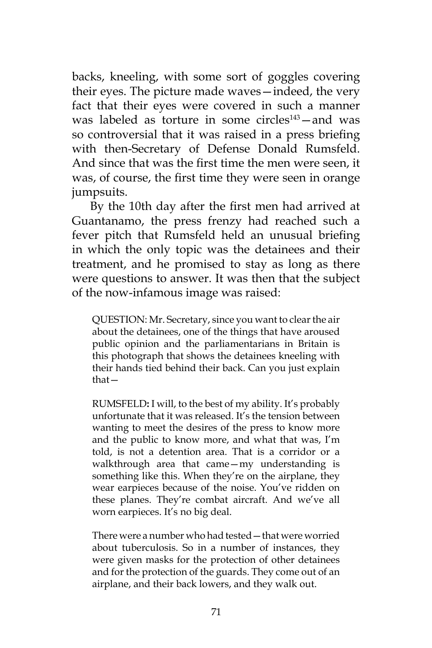backs, kneeling, with some sort of goggles covering their eyes. The picture made waves—indeed, the very fact that their eyes were covered in such a manner was labeled as torture in some circles<sup>143</sup>-and was so controversial that it was raised in a press briefing with then-Secretary of Defense Donald Rumsfeld. And since that was the first time the men were seen, it was, of course, the first time they were seen in orange jumpsuits.

By the 10th day after the first men had arrived at Guantanamo, the press frenzy had reached such a fever pitch that Rumsfeld held an unusual briefing in which the only topic was the detainees and their treatment, and he promised to stay as long as there were questions to answer. It was then that the subject of the now-infamous image was raised:

QUESTION: Mr. Secretary, since you want to clear the air about the detainees, one of the things that have aroused public opinion and the parliamentarians in Britain is this photograph that shows the detainees kneeling with their hands tied behind their back. Can you just explain that—

RUMSFELD**:** I will, to the best of my ability. It's probably unfortunate that it was released. It's the tension between wanting to meet the desires of the press to know more and the public to know more, and what that was, I'm told, is not a detention area. That is a corridor or a walkthrough area that came—my understanding is something like this. When they're on the airplane, they wear earpieces because of the noise. You've ridden on these planes. They're combat aircraft. And we've all worn earpieces. It's no big deal.

There were a number who had tested—that were worried about tuberculosis. So in a number of instances, they were given masks for the protection of other detainees and for the protection of the guards. They come out of an airplane, and their back lowers, and they walk out.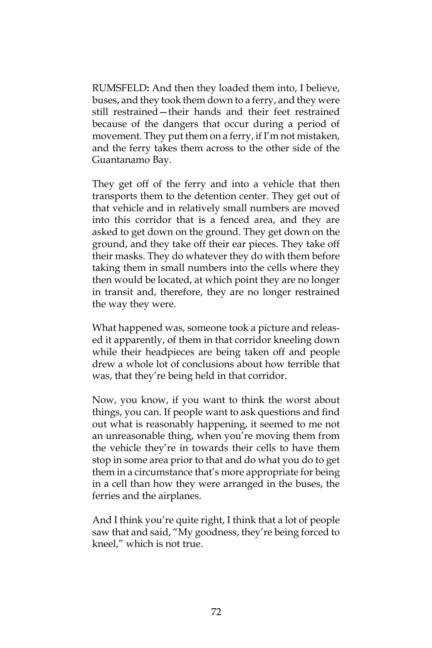RUMSFELD**:** And then they loaded them into, I believe, buses, and they took them down to a ferry, and they were still restrained—their hands and their feet restrained because of the dangers that occur during a period of movement. They put them on a ferry, if I'm not mistaken, and the ferry takes them across to the other side of the Guantanamo Bay.

They get off of the ferry and into a vehicle that then transports them to the detention center. They get out of that vehicle and in relatively small numbers are moved into this corridor that is a fenced area, and they are asked to get down on the ground. They get down on the ground, and they take off their ear pieces. They take off their masks. They do whatever they do with them before taking them in small numbers into the cells where they then would be located, at which point they are no longer in transit and, therefore, they are no longer restrained the way they were.

What happened was, someone took a picture and released it apparently, of them in that corridor kneeling down while their headpieces are being taken off and people drew a whole lot of conclusions about how terrible that was, that they're being held in that corridor.

Now, you know, if you want to think the worst about things, you can. If people want to ask questions and find out what is reasonably happening, it seemed to me not an unreasonable thing, when you're moving them from the vehicle they're in towards their cells to have them stop in some area prior to that and do what you do to get them in a circumstance that's more appropriate for being in a cell than how they were arranged in the buses, the ferries and the airplanes.

And I think you're quite right, I think that a lot of people saw that and said, "My goodness, they're being forced to kneel," which is not true.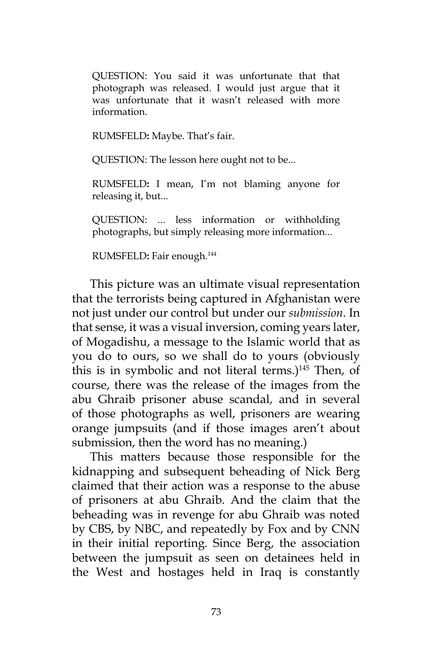QUESTION: You said it was unfortunate that that photograph was released. I would just argue that it was unfortunate that it wasn't released with more information.

RUMSFELD**:** Maybe. That's fair.

QUESTION: The lesson here ought not to be...

RUMSFELD**:** I mean, I'm not blaming anyone for releasing it, but...

QUESTION: ... less information or withholding photographs, but simply releasing more information...

RUMSFELD**:** Fair enough.144

This picture was an ultimate visual representation that the terrorists being captured in Afghanistan were not just under our control but under our *submission*. In that sense, it was a visual inversion, coming years later, of Mogadishu, a message to the Islamic world that as you do to ours, so we shall do to yours (obviously this is in symbolic and not literal terms.)<sup>145</sup> Then, of course, there was the release of the images from the abu Ghraib prisoner abuse scandal, and in several of those photographs as well, prisoners are wearing orange jumpsuits (and if those images aren't about submission, then the word has no meaning.)

This matters because those responsible for the kidnapping and subsequent beheading of Nick Berg claimed that their action was a response to the abuse of prisoners at abu Ghraib. And the claim that the beheading was in revenge for abu Ghraib was noted by CBS, by NBC, and repeatedly by Fox and by CNN in their initial reporting. Since Berg, the association between the jumpsuit as seen on detainees held in the West and hostages held in Iraq is constantly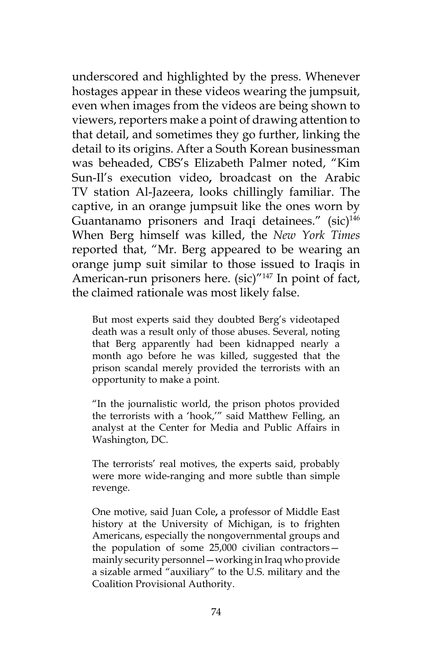underscored and highlighted by the press. Whenever hostages appear in these videos wearing the jumpsuit, even when images from the videos are being shown to viewers, reporters make a point of drawing attention to that detail, and sometimes they go further, linking the detail to its origins. After a South Korean businessman was beheaded, CBS's Elizabeth Palmer noted, "Kim Sun-Il's execution video**,** broadcast on the Arabic TV station Al-Jazeera, looks chillingly familiar. The captive, in an orange jumpsuit like the ones worn by Guantanamo prisoners and Iraqi detainees." (sic)<sup>146</sup> When Berg himself was killed, the *New York Times* reported that, "Mr. Berg appeared to be wearing an orange jump suit similar to those issued to Iraqis in American-run prisoners here. (sic)"147 In point of fact, the claimed rationale was most likely false.

But most experts said they doubted Berg's videotaped death was a result only of those abuses. Several, noting that Berg apparently had been kidnapped nearly a month ago before he was killed, suggested that the prison scandal merely provided the terrorists with an opportunity to make a point.

"In the journalistic world, the prison photos provided the terrorists with a 'hook,'" said Matthew Felling, an analyst at the Center for Media and Public Affairs in Washington, DC.

The terrorists' real motives, the experts said, probably were more wide-ranging and more subtle than simple revenge.

One motive, said Juan Cole**,** a professor of Middle East history at the University of Michigan, is to frighten Americans, especially the nongovernmental groups and the population of some 25,000 civilian contractors mainly security personnel—working in Iraq who provide a sizable armed "auxiliary" to the U.S. military and the Coalition Provisional Authority.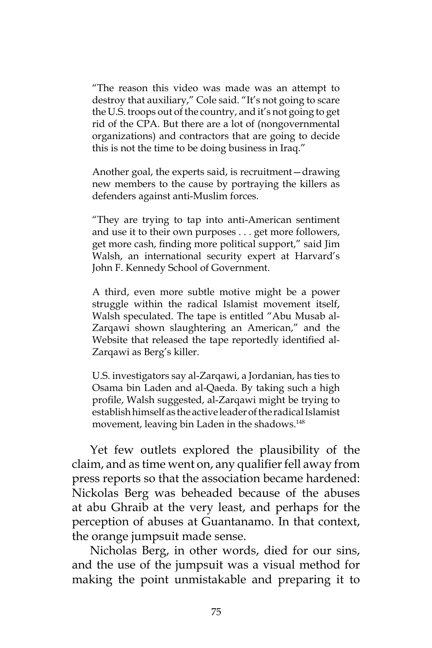"The reason this video was made was an attempt to destroy that auxiliary," Cole said. "It's not going to scare the U.S. troops out of the country, and it's not going to get rid of the CPA. But there are a lot of (nongovernmental organizations) and contractors that are going to decide this is not the time to be doing business in Iraq."

Another goal, the experts said, is recruitment—drawing new members to the cause by portraying the killers as defenders against anti-Muslim forces.

"They are trying to tap into anti-American sentiment and use it to their own purposes . . . get more followers, get more cash, finding more political support," said Jim Walsh, an international security expert at Harvard's John F. Kennedy School of Government.

A third, even more subtle motive might be a power struggle within the radical Islamist movement itself, Walsh speculated. The tape is entitled "Abu Musab al-Zarqawi shown slaughtering an American," and the Website that released the tape reportedly identified al-Zarqawi as Berg's killer.

U.S. investigators say al-Zarqawi, a Jordanian, has ties to Osama bin Laden and al-Qaeda. By taking such a high profile, Walsh suggested, al-Zarqawi might be trying to establish himself as the active leader of the radical Islamist movement, leaving bin Laden in the shadows.<sup>148</sup>

Yet few outlets explored the plausibility of the claim, and as time went on, any qualifier fell away from press reports so that the association became hardened: Nickolas Berg was beheaded because of the abuses at abu Ghraib at the very least, and perhaps for the perception of abuses at Guantanamo. In that context, the orange jumpsuit made sense.

Nicholas Berg, in other words, died for our sins, and the use of the jumpsuit was a visual method for making the point unmistakable and preparing it to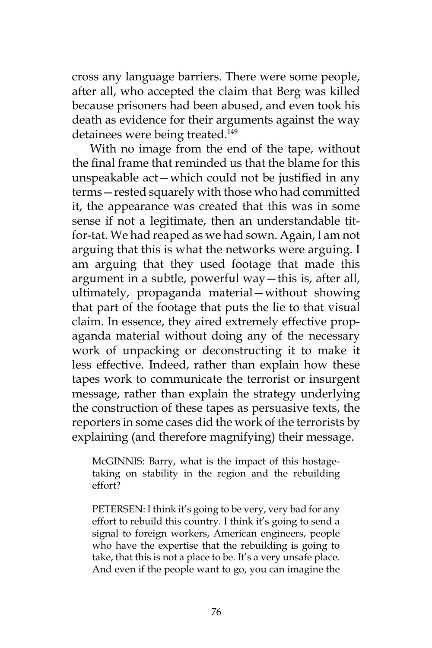cross any language barriers. There were some people, after all, who accepted the claim that Berg was killed because prisoners had been abused, and even took his death as evidence for their arguments against the way detainees were being treated.<sup>149</sup>

With no image from the end of the tape, without the final frame that reminded us that the blame for this unspeakable act—which could not be justified in any terms—rested squarely with those who had committed it, the appearance was created that this was in some sense if not a legitimate, then an understandable titfor-tat. We had reaped as we had sown. Again, I am not arguing that this is what the networks were arguing. I am arguing that they used footage that made this argument in a subtle, powerful way—this is, after all, ultimately, propaganda material—without showing that part of the footage that puts the lie to that visual claim. In essence, they aired extremely effective propaganda material without doing any of the necessary work of unpacking or deconstructing it to make it less effective. Indeed, rather than explain how these tapes work to communicate the terrorist or insurgent message, rather than explain the strategy underlying the construction of these tapes as persuasive texts, the reporters in some cases did the work of the terrorists by explaining (and therefore magnifying) their message.

McGINNIS: Barry, what is the impact of this hostagetaking on stability in the region and the rebuilding effort?

PETERSEN: I think it's going to be very, very bad for any effort to rebuild this country. I think it's going to send a signal to foreign workers, American engineers, people who have the expertise that the rebuilding is going to take, that this is not a place to be. It's a very unsafe place. And even if the people want to go, you can imagine the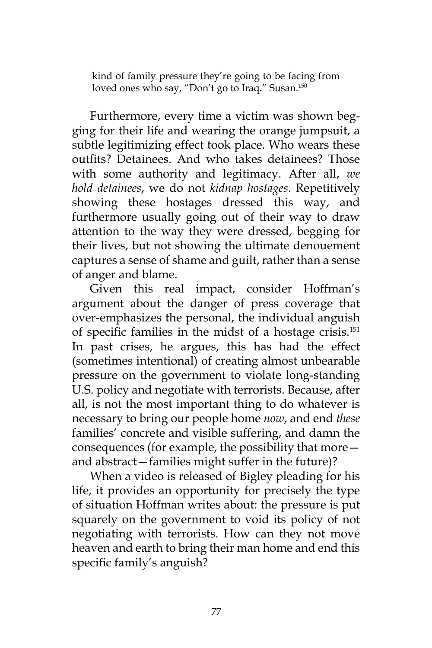kind of family pressure they're going to be facing from loved ones who say, "Don't go to Iraq." Susan.150

Furthermore, every time a victim was shown begging for their life and wearing the orange jumpsuit, a subtle legitimizing effect took place. Who wears these outfits? Detainees. And who takes detainees? Those with some authority and legitimacy. After all, *we hold detainees*, we do not *kidnap hostages*. Repetitively showing these hostages dressed this way, and furthermore usually going out of their way to draw attention to the way they were dressed, begging for their lives, but not showing the ultimate denouement captures a sense of shame and guilt, rather than a sense of anger and blame.

Given this real impact, consider Hoffman's argument about the danger of press coverage that over-emphasizes the personal, the individual anguish of specific families in the midst of a hostage crisis.<sup>151</sup> In past crises, he argues, this has had the effect (sometimes intentional) of creating almost unbearable pressure on the government to violate long-standing U.S. policy and negotiate with terrorists. Because, after all, is not the most important thing to do whatever is necessary to bring our people home *now*, and end *these* families' concrete and visible suffering, and damn the consequences (for example, the possibility that more and abstract—families might suffer in the future)?

When a video is released of Bigley pleading for his life, it provides an opportunity for precisely the type of situation Hoffman writes about: the pressure is put squarely on the government to void its policy of not negotiating with terrorists. How can they not move heaven and earth to bring their man home and end this specific family's anguish?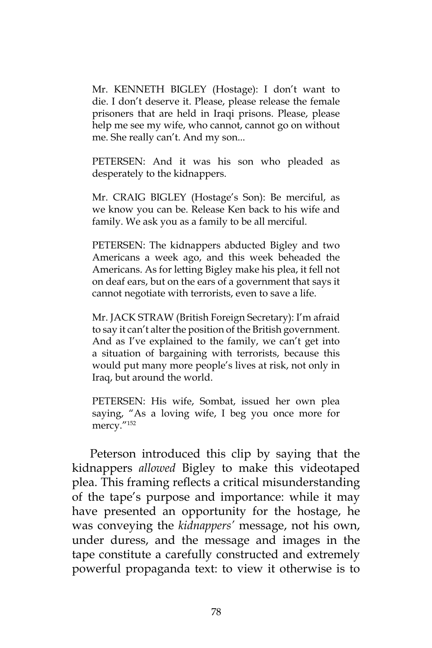Mr. KENNETH BIGLEY (Hostage): I don't want to die. I don't deserve it. Please, please release the female prisoners that are held in Iraqi prisons. Please, please help me see my wife, who cannot, cannot go on without me. She really can't. And my son...

PETERSEN: And it was his son who pleaded as desperately to the kidnappers.

Mr. CRAIG BIGLEY (Hostage's Son): Be merciful, as we know you can be. Release Ken back to his wife and family. We ask you as a family to be all merciful.

PETERSEN: The kidnappers abducted Bigley and two Americans a week ago, and this week beheaded the Americans. As for letting Bigley make his plea, it fell not on deaf ears, but on the ears of a government that says it cannot negotiate with terrorists, even to save a life.

Mr. JACK STRAW (British Foreign Secretary): I'm afraid to say it can't alter the position of the British government. And as I've explained to the family, we can't get into a situation of bargaining with terrorists, because this would put many more people's lives at risk, not only in Iraq, but around the world.

PETERSEN: His wife, Sombat, issued her own plea saying, "As a loving wife, I beg you once more for mercy."152

Peterson introduced this clip by saying that the kidnappers *allowed* Bigley to make this videotaped plea. This framing reflects a critical misunderstanding of the tape's purpose and importance: while it may have presented an opportunity for the hostage, he was conveying the *kidnappers'* message, not his own, under duress, and the message and images in the tape constitute a carefully constructed and extremely powerful propaganda text: to view it otherwise is to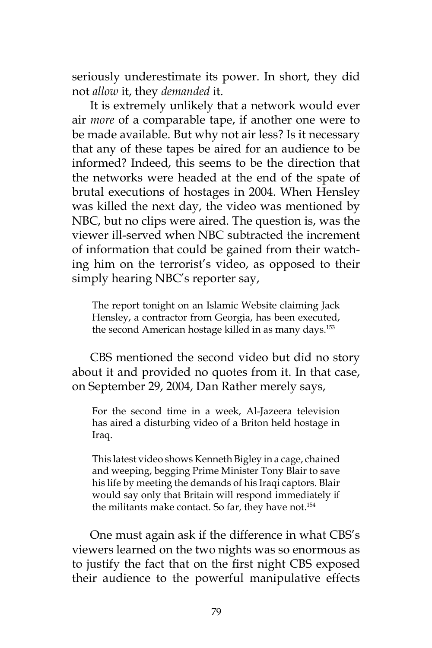seriously underestimate its power. In short, they did not *allow* it, they *demanded* it.

It is extremely unlikely that a network would ever air *more* of a comparable tape, if another one were to be made available. But why not air less? Is it necessary that any of these tapes be aired for an audience to be informed? Indeed, this seems to be the direction that the networks were headed at the end of the spate of brutal executions of hostages in 2004. When Hensley was killed the next day, the video was mentioned by NBC, but no clips were aired. The question is, was the viewer ill-served when NBC subtracted the increment of information that could be gained from their watching him on the terrorist's video, as opposed to their simply hearing NBC's reporter say,

The report tonight on an Islamic Website claiming Jack Hensley, a contractor from Georgia, has been executed, the second American hostage killed in as many days.<sup>153</sup>

CBS mentioned the second video but did no story about it and provided no quotes from it. In that case, on September 29, 2004, Dan Rather merely says,

For the second time in a week, Al-Jazeera television has aired a disturbing video of a Briton held hostage in Iraq.

This latest video shows Kenneth Bigley in a cage, chained and weeping, begging Prime Minister Tony Blair to save his life by meeting the demands of his Iraqi captors. Blair would say only that Britain will respond immediately if the militants make contact. So far, they have not.<sup>154</sup>

One must again ask if the difference in what CBS's viewers learned on the two nights was so enormous as to justify the fact that on the first night CBS exposed their audience to the powerful manipulative effects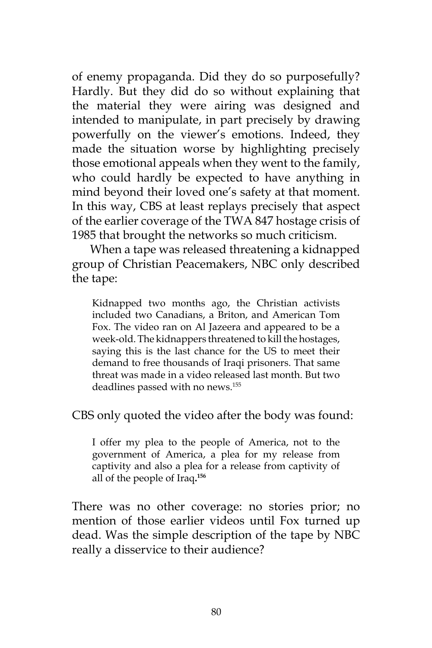of enemy propaganda. Did they do so purposefully? Hardly. But they did do so without explaining that the material they were airing was designed and intended to manipulate, in part precisely by drawing powerfully on the viewer's emotions. Indeed, they made the situation worse by highlighting precisely those emotional appeals when they went to the family, who could hardly be expected to have anything in mind beyond their loved one's safety at that moment. In this way, CBS at least replays precisely that aspect of the earlier coverage of the TWA 847 hostage crisis of 1985 that brought the networks so much criticism.

When a tape was released threatening a kidnapped group of Christian Peacemakers, NBC only described the tape:

Kidnapped two months ago, the Christian activists included two Canadians, a Briton, and American Tom Fox. The video ran on Al Jazeera and appeared to be a week-old. The kidnappers threatened to kill the hostages, saying this is the last chance for the US to meet their demand to free thousands of Iraqi prisoners. That same threat was made in a video released last month. But two deadlines passed with no news.155

CBS only quoted the video after the body was found:

I offer my plea to the people of America, not to the government of America, a plea for my release from captivity and also a plea for a release from captivity of all of the people of Iraq**. 156**

There was no other coverage: no stories prior; no mention of those earlier videos until Fox turned up dead. Was the simple description of the tape by NBC really a disservice to their audience?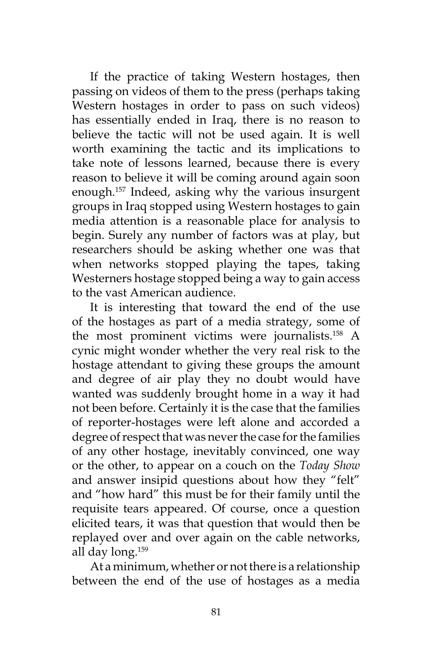If the practice of taking Western hostages, then passing on videos of them to the press (perhaps taking Western hostages in order to pass on such videos) has essentially ended in Iraq, there is no reason to believe the tactic will not be used again. It is well worth examining the tactic and its implications to take note of lessons learned, because there is every reason to believe it will be coming around again soon enough.157 Indeed, asking why the various insurgent groups in Iraq stopped using Western hostages to gain media attention is a reasonable place for analysis to begin. Surely any number of factors was at play, but researchers should be asking whether one was that when networks stopped playing the tapes, taking Westerners hostage stopped being a way to gain access to the vast American audience.

It is interesting that toward the end of the use of the hostages as part of a media strategy, some of the most prominent victims were journalists.158 A cynic might wonder whether the very real risk to the hostage attendant to giving these groups the amount and degree of air play they no doubt would have wanted was suddenly brought home in a way it had not been before. Certainly it is the case that the families of reporter-hostages were left alone and accorded a degree of respect that was never the case for the families of any other hostage, inevitably convinced, one way or the other, to appear on a couch on the *Today Show* and answer insipid questions about how they "felt" and "how hard" this must be for their family until the requisite tears appeared. Of course, once a question elicited tears, it was that question that would then be replayed over and over again on the cable networks, all day long.159

At a minimum, whether or not there is a relationship between the end of the use of hostages as a media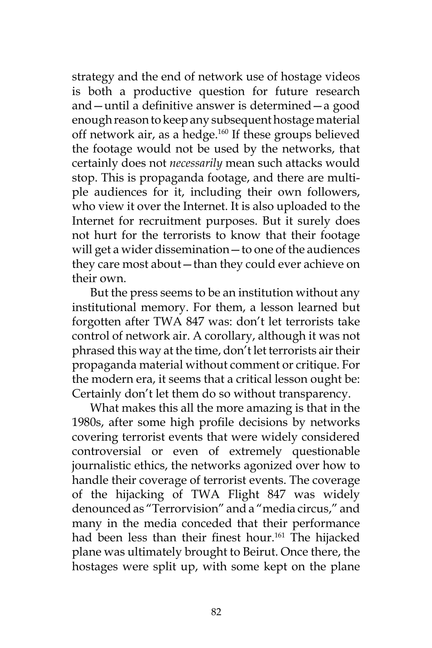strategy and the end of network use of hostage videos is both a productive question for future research and—until a definitive answer is determined—a good enough reason to keep any subsequent hostage material off network air, as a hedge.<sup>160</sup> If these groups believed the footage would not be used by the networks, that certainly does not *necessarily* mean such attacks would stop. This is propaganda footage, and there are multiple audiences for it, including their own followers, who view it over the Internet. It is also uploaded to the Internet for recruitment purposes. But it surely does not hurt for the terrorists to know that their footage will get a wider dissemination—to one of the audiences they care most about—than they could ever achieve on their own.

But the press seems to be an institution without any institutional memory. For them, a lesson learned but forgotten after TWA 847 was: don't let terrorists take control of network air. A corollary, although it was not phrased this way at the time, don't let terrorists air their propaganda material without comment or critique. For the modern era, it seems that a critical lesson ought be: Certainly don't let them do so without transparency.

What makes this all the more amazing is that in the 1980s, after some high profile decisions by networks covering terrorist events that were widely considered controversial or even of extremely questionable journalistic ethics, the networks agonized over how to handle their coverage of terrorist events. The coverage of the hijacking of TWA Flight 847 was widely denounced as "Terrorvision" and a "media circus," and many in the media conceded that their performance had been less than their finest hour.<sup>161</sup> The hijacked plane was ultimately brought to Beirut. Once there, the hostages were split up, with some kept on the plane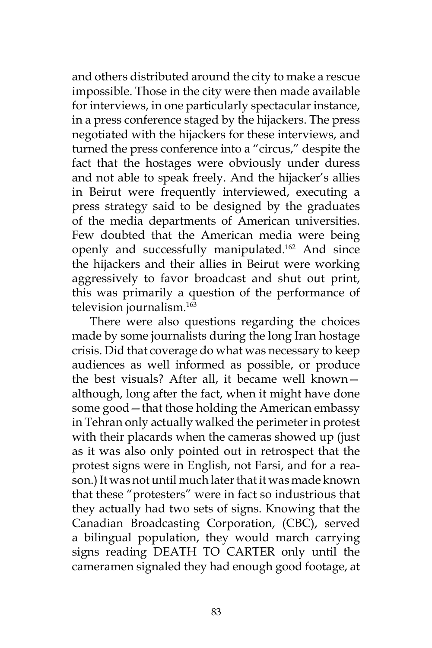and others distributed around the city to make a rescue impossible. Those in the city were then made available for interviews, in one particularly spectacular instance, in a press conference staged by the hijackers. The press negotiated with the hijackers for these interviews, and turned the press conference into a "circus," despite the fact that the hostages were obviously under duress and not able to speak freely. And the hijacker's allies in Beirut were frequently interviewed, executing a press strategy said to be designed by the graduates of the media departments of American universities. Few doubted that the American media were being openly and successfully manipulated.162 And since the hijackers and their allies in Beirut were working aggressively to favor broadcast and shut out print, this was primarily a question of the performance of television journalism.<sup>163</sup>

There were also questions regarding the choices made by some journalists during the long Iran hostage crisis. Did that coverage do what was necessary to keep audiences as well informed as possible, or produce the best visuals? After all, it became well known although, long after the fact, when it might have done some good—that those holding the American embassy in Tehran only actually walked the perimeter in protest with their placards when the cameras showed up (just as it was also only pointed out in retrospect that the protest signs were in English, not Farsi, and for a reason.) It was not until much later that it was made known that these "protesters" were in fact so industrious that they actually had two sets of signs. Knowing that the Canadian Broadcasting Corporation, (CBC), served a bilingual population, they would march carrying signs reading DEATH TO CARTER only until the cameramen signaled they had enough good footage, at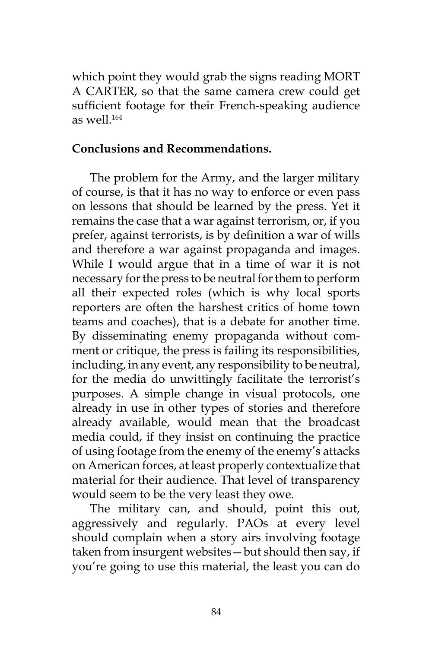which point they would grab the signs reading MORT A CARTER, so that the same camera crew could get sufficient footage for their French-speaking audience as well.164

## **Conclusions and Recommendations.**

The problem for the Army, and the larger military of course, is that it has no way to enforce or even pass on lessons that should be learned by the press. Yet it remains the case that a war against terrorism, or, if you prefer, against terrorists, is by definition a war of wills and therefore a war against propaganda and images. While I would argue that in a time of war it is not necessary for the press to be neutral for them to perform all their expected roles (which is why local sports reporters are often the harshest critics of home town teams and coaches), that is a debate for another time. By disseminating enemy propaganda without comment or critique, the press is failing its responsibilities, including, in any event, any responsibility to be neutral, for the media do unwittingly facilitate the terrorist's purposes. A simple change in visual protocols, one already in use in other types of stories and therefore already available, would mean that the broadcast media could, if they insist on continuing the practice of using footage from the enemy of the enemy's attacks on American forces, at least properly contextualize that material for their audience. That level of transparency would seem to be the very least they owe.

The military can, and should, point this out, aggressively and regularly. PAOs at every level should complain when a story airs involving footage taken from insurgent websites—but should then say, if you're going to use this material, the least you can do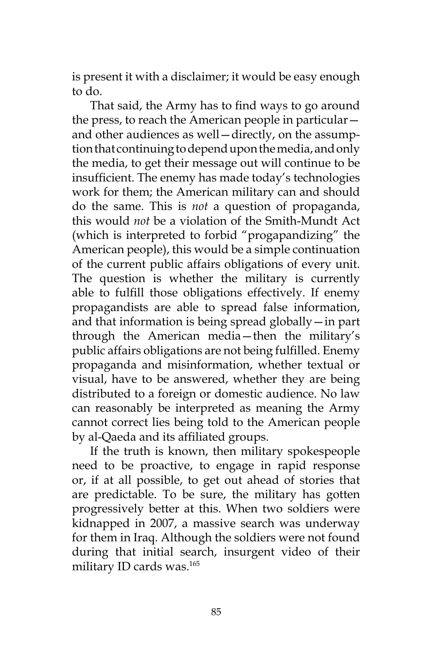is present it with a disclaimer; it would be easy enough to do.

That said, the Army has to find ways to go around the press, to reach the American people in particular and other audiences as well—directly, on the assumption that continuing to depend upon the media, and only the media, to get their message out will continue to be insufficient. The enemy has made today's technologies work for them; the American military can and should do the same. This is *not* a question of propaganda, this would *not* be a violation of the Smith-Mundt Act (which is interpreted to forbid "progapandizing" the American people), this would be a simple continuation of the current public affairs obligations of every unit. The question is whether the military is currently able to fulfill those obligations effectively. If enemy propagandists are able to spread false information, and that information is being spread globally—in part through the American media—then the military's public affairs obligations are not being fulfilled. Enemy propaganda and misinformation, whether textual or visual, have to be answered, whether they are being distributed to a foreign or domestic audience. No law can reasonably be interpreted as meaning the Army cannot correct lies being told to the American people by al-Qaeda and its affiliated groups.

If the truth is known, then military spokespeople need to be proactive, to engage in rapid response or, if at all possible, to get out ahead of stories that are predictable. To be sure, the military has gotten progressively better at this. When two soldiers were kidnapped in 2007, a massive search was underway for them in Iraq. Although the soldiers were not found during that initial search, insurgent video of their military ID cards was.<sup>165</sup>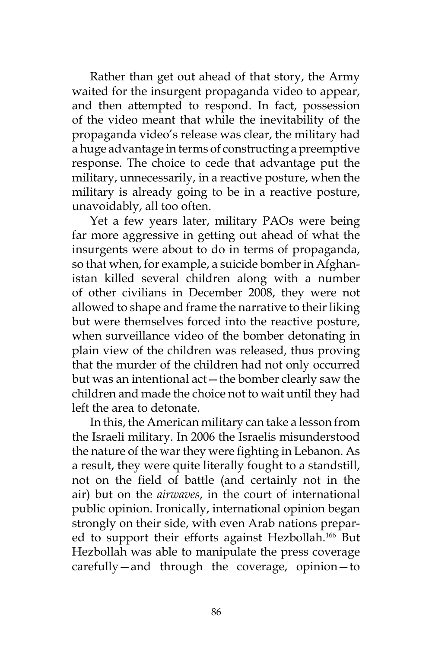Rather than get out ahead of that story, the Army waited for the insurgent propaganda video to appear, and then attempted to respond. In fact, possession of the video meant that while the inevitability of the propaganda video's release was clear, the military had a huge advantage in terms of constructing a preemptive response. The choice to cede that advantage put the military, unnecessarily, in a reactive posture, when the military is already going to be in a reactive posture, unavoidably, all too often.

Yet a few years later, military PAOs were being far more aggressive in getting out ahead of what the insurgents were about to do in terms of propaganda, so that when, for example, a suicide bomber in Afghanistan killed several children along with a number of other civilians in December 2008, they were not allowed to shape and frame the narrative to their liking but were themselves forced into the reactive posture, when surveillance video of the bomber detonating in plain view of the children was released, thus proving that the murder of the children had not only occurred but was an intentional act—the bomber clearly saw the children and made the choice not to wait until they had left the area to detonate.

In this, the American military can take a lesson from the Israeli military. In 2006 the Israelis misunderstood the nature of the war they were fighting in Lebanon. As a result, they were quite literally fought to a standstill, not on the field of battle (and certainly not in the air) but on the *airwaves*, in the court of international public opinion. Ironically, international opinion began strongly on their side, with even Arab nations prepared to support their efforts against Hezbollah.<sup>166</sup> But Hezbollah was able to manipulate the press coverage carefully—and through the coverage, opinion—to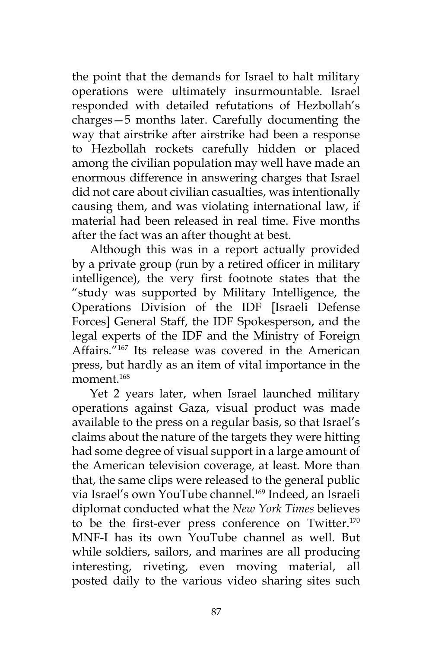the point that the demands for Israel to halt military operations were ultimately insurmountable. Israel responded with detailed refutations of Hezbollah's charges—5 months later. Carefully documenting the way that airstrike after airstrike had been a response to Hezbollah rockets carefully hidden or placed among the civilian population may well have made an enormous difference in answering charges that Israel did not care about civilian casualties, was intentionally causing them, and was violating international law, if material had been released in real time. Five months after the fact was an after thought at best.

Although this was in a report actually provided by a private group (run by a retired officer in military intelligence), the very first footnote states that the "study was supported by Military Intelligence, the Operations Division of the IDF [Israeli Defense Forces] General Staff, the IDF Spokesperson, and the legal experts of the IDF and the Ministry of Foreign Affairs."167 Its release was covered in the American press, but hardly as an item of vital importance in the moment.<sup>168</sup>

Yet 2 years later, when Israel launched military operations against Gaza, visual product was made available to the press on a regular basis, so that Israel's claims about the nature of the targets they were hitting had some degree of visual support in a large amount of the American television coverage, at least. More than that, the same clips were released to the general public via Israel's own YouTube channel.<sup>169</sup> Indeed, an Israeli diplomat conducted what the *New York Times* believes to be the first-ever press conference on Twitter.<sup>170</sup> MNF-I has its own YouTube channel as well. But while soldiers, sailors, and marines are all producing interesting, riveting, even moving material, all posted daily to the various video sharing sites such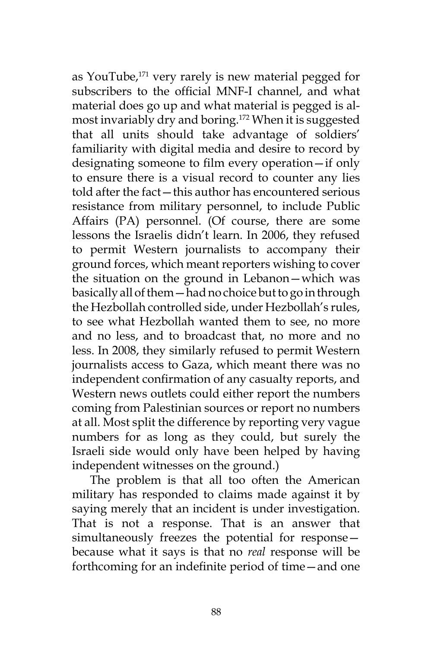as YouTube,<sup>171</sup> very rarely is new material pegged for subscribers to the official MNF-I channel, and what material does go up and what material is pegged is almost invariably dry and boring.172 When it is suggested that all units should take advantage of soldiers' familiarity with digital media and desire to record by designating someone to film every operation—if only to ensure there is a visual record to counter any lies told after the fact—this author has encountered serious resistance from military personnel, to include Public Affairs (PA) personnel. (Of course, there are some lessons the Israelis didn't learn. In 2006, they refused to permit Western journalists to accompany their ground forces, which meant reporters wishing to cover the situation on the ground in Lebanon—which was basically all of them—had no choice but to go in through the Hezbollah controlled side, under Hezbollah's rules, to see what Hezbollah wanted them to see, no more and no less, and to broadcast that, no more and no less. In 2008, they similarly refused to permit Western journalists access to Gaza, which meant there was no independent confirmation of any casualty reports, and Western news outlets could either report the numbers coming from Palestinian sources or report no numbers at all. Most split the difference by reporting very vague numbers for as long as they could, but surely the Israeli side would only have been helped by having independent witnesses on the ground.)

The problem is that all too often the American military has responded to claims made against it by saying merely that an incident is under investigation. That is not a response. That is an answer that simultaneously freezes the potential for response because what it says is that no *real* response will be forthcoming for an indefinite period of time—and one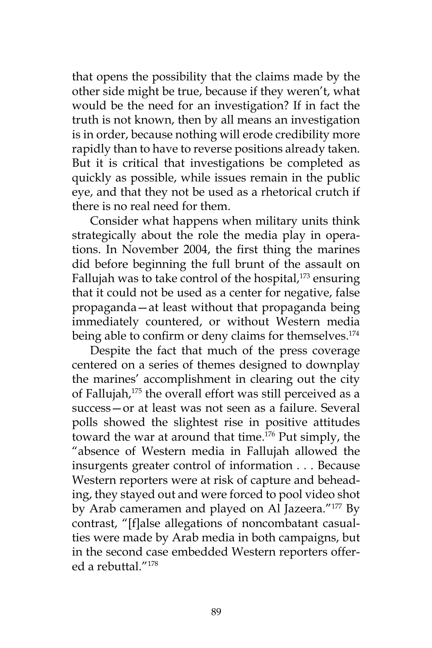that opens the possibility that the claims made by the other side might be true, because if they weren't, what would be the need for an investigation? If in fact the truth is not known, then by all means an investigation is in order, because nothing will erode credibility more rapidly than to have to reverse positions already taken. But it is critical that investigations be completed as quickly as possible, while issues remain in the public eye, and that they not be used as a rhetorical crutch if there is no real need for them.

Consider what happens when military units think strategically about the role the media play in operations. In November 2004, the first thing the marines did before beginning the full brunt of the assault on Fallujah was to take control of the hospital, $173$  ensuring that it could not be used as a center for negative, false propaganda—at least without that propaganda being immediately countered, or without Western media being able to confirm or deny claims for themselves.<sup>174</sup>

Despite the fact that much of the press coverage centered on a series of themes designed to downplay the marines' accomplishment in clearing out the city of Fallujah,<sup>175</sup> the overall effort was still perceived as a success—or at least was not seen as a failure. Several polls showed the slightest rise in positive attitudes toward the war at around that time.<sup>176</sup> Put simply, the "absence of Western media in Fallujah allowed the insurgents greater control of information . . . Because Western reporters were at risk of capture and beheading, they stayed out and were forced to pool video shot by Arab cameramen and played on Al Jazeera."177 By contrast, "[f]alse allegations of noncombatant casualties were made by Arab media in both campaigns, but in the second case embedded Western reporters offered a rebuttal<sup>"178</sup>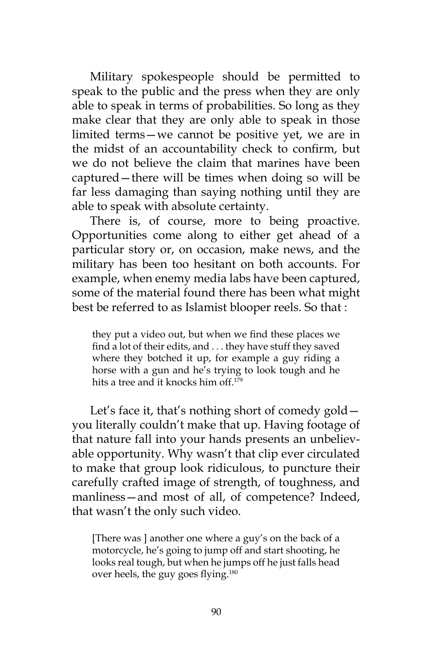Military spokespeople should be permitted to speak to the public and the press when they are only able to speak in terms of probabilities. So long as they make clear that they are only able to speak in those limited terms—we cannot be positive yet, we are in the midst of an accountability check to confirm, but we do not believe the claim that marines have been captured—there will be times when doing so will be far less damaging than saying nothing until they are able to speak with absolute certainty.

There is, of course, more to being proactive. Opportunities come along to either get ahead of a particular story or, on occasion, make news, and the military has been too hesitant on both accounts. For example, when enemy media labs have been captured, some of the material found there has been what might best be referred to as Islamist blooper reels. So that :

they put a video out, but when we find these places we find a lot of their edits, and . . . they have stuff they saved where they botched it up, for example a guy riding a horse with a gun and he's trying to look tough and he hits a tree and it knocks him off.<sup>179</sup>

Let's face it, that's nothing short of comedy gold you literally couldn't make that up. Having footage of that nature fall into your hands presents an unbelievable opportunity. Why wasn't that clip ever circulated to make that group look ridiculous, to puncture their carefully crafted image of strength, of toughness, and manliness—and most of all, of competence? Indeed, that wasn't the only such video.

[There was ] another one where a guy's on the back of a motorcycle, he's going to jump off and start shooting, he looks real tough, but when he jumps off he just falls head over heels, the guy goes flying.180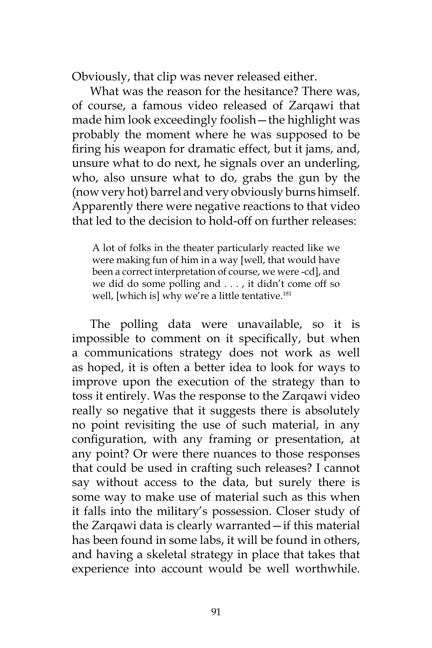Obviously, that clip was never released either.

What was the reason for the hesitance? There was, of course, a famous video released of Zarqawi that made him look exceedingly foolish—the highlight was probably the moment where he was supposed to be firing his weapon for dramatic effect, but it jams, and, unsure what to do next, he signals over an underling, who, also unsure what to do, grabs the gun by the (now very hot) barrel and very obviously burns himself. Apparently there were negative reactions to that video that led to the decision to hold-off on further releases:

A lot of folks in the theater particularly reacted like we were making fun of him in a way [well, that would have been a correct interpretation of course, we were -cd], and we did do some polling and . . . , it didn't come off so well, [which is] why we're a little tentative.<sup>181</sup>

The polling data were unavailable, so it is impossible to comment on it specifically, but when a communications strategy does not work as well as hoped, it is often a better idea to look for ways to improve upon the execution of the strategy than to toss it entirely. Was the response to the Zarqawi video really so negative that it suggests there is absolutely no point revisiting the use of such material, in any configuration, with any framing or presentation, at any point? Or were there nuances to those responses that could be used in crafting such releases? I cannot say without access to the data, but surely there is some way to make use of material such as this when it falls into the military's possession. Closer study of the Zarqawi data is clearly warranted—if this material has been found in some labs, it will be found in others, and having a skeletal strategy in place that takes that experience into account would be well worthwhile.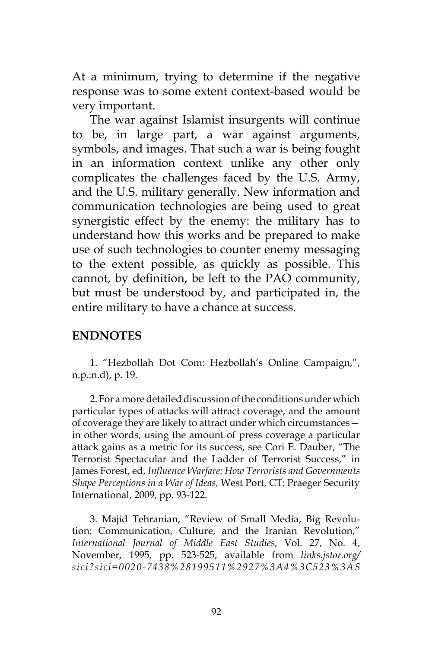At a minimum, trying to determine if the negative response was to some extent context-based would be very important.

The war against Islamist insurgents will continue to be, in large part, a war against arguments, symbols, and images. That such a war is being fought in an information context unlike any other only complicates the challenges faced by the U.S. Army, and the U.S. military generally. New information and communication technologies are being used to great synergistic effect by the enemy: the military has to understand how this works and be prepared to make use of such technologies to counter enemy messaging to the extent possible, as quickly as possible. This cannot, by definition, be left to the PAO community, but must be understood by, and participated in, the entire military to have a chance at success.

## **ENDNOTES**

1. "Hezbollah Dot Com: Hezbollah's Online Campaign,", n.p.:n.d), p. 19.

2. For a more detailed discussion of the conditions under which particular types of attacks will attract coverage, and the amount of coverage they are likely to attract under which circumstances in other words, using the amount of press coverage a particular attack gains as a metric for its success, see Cori E. Dauber, "The Terrorist Spectacular and the Ladder of Terrorist Success," in James Forest, ed, *Influence Warfare: How Terrorists and Governments Shape Perceptions in a War of Ideas,* West Port, CT: Praeger Security International, 2009, pp. 93-122.

3. Majid Tehranian, "Review of Small Media, Big Revolution: Communication, Culture, and the Iranian Revolution," *International Journal of Middle East Studies*, Vol. 27, No. 4, November, 1995, pp. 523-525, available from *links.jstor.org/ sici?sici=0020-7438%28199511%2927%3A4%3C523%3AS*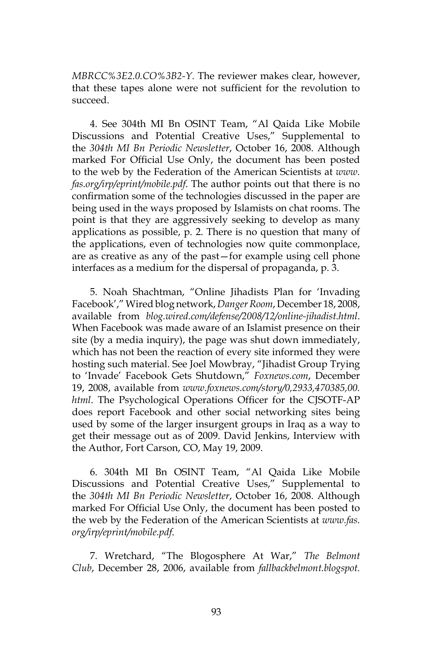*MBRCC%3E2.0.CO%3B2-Y*. The reviewer makes clear, however, that these tapes alone were not sufficient for the revolution to succeed.

4. See 304th MI Bn OSINT Team, "Al Qaida Like Mobile Discussions and Potential Creative Uses," Supplemental to the *304th MI Bn Periodic Newsletter*, October 16, 2008. Although marked For Official Use Only, the document has been posted to the web by the Federation of the American Scientists at *www. fas.org/irp/eprint/mobile.pdf*. The author points out that there is no confirmation some of the technologies discussed in the paper are being used in the ways proposed by Islamists on chat rooms. The point is that they are aggressively seeking to develop as many applications as possible, p. 2. There is no question that many of the applications, even of technologies now quite commonplace, are as creative as any of the past—for example using cell phone interfaces as a medium for the dispersal of propaganda, p. 3.

5. Noah Shachtman, "Online Jihadists Plan for 'Invading Facebook'," Wired blog network, *Danger Room*, December 18, 2008, available from *blog.wired.com/defense/2008/12/online-jihadist.html*. When Facebook was made aware of an Islamist presence on their site (by a media inquiry), the page was shut down immediately, which has not been the reaction of every site informed they were hosting such material. See Joel Mowbray, "Jihadist Group Trying to 'Invade' Facebook Gets Shutdown," *Foxnews.com*, December 19, 2008, available from *www.foxnews.com/story/0,2933,470385,00. html*. The Psychological Operations Officer for the CJSOTF-AP does report Facebook and other social networking sites being used by some of the larger insurgent groups in Iraq as a way to get their message out as of 2009. David Jenkins, Interview with the Author, Fort Carson, CO, May 19, 2009.

6. 304th MI Bn OSINT Team, "Al Qaida Like Mobile Discussions and Potential Creative Uses," Supplemental to the *304th MI Bn Periodic Newsletter*, October 16, 2008. Although marked For Official Use Only, the document has been posted to the web by the Federation of the American Scientists at *www.fas. org/irp/eprint/mobile.pdf*.

7. Wretchard, "The Blogosphere At War," *The Belmont Club*, December 28, 2006, available from *fallbackbelmont.blogspot.*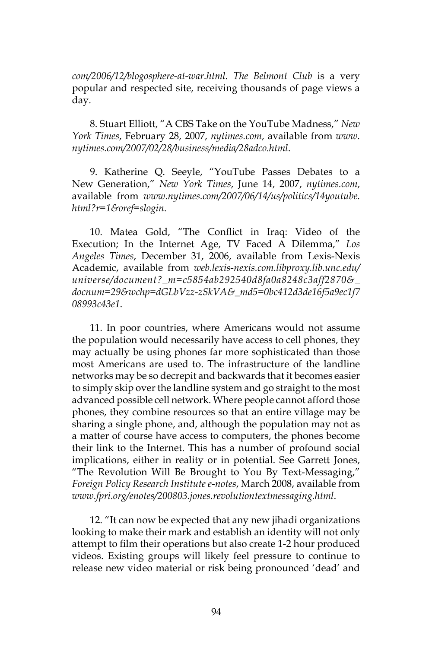*com/2006/12/blogosphere-at-war.html*. *The Belmont Club* is a very popular and respected site, receiving thousands of page views a day.

8. Stuart Elliott, "A CBS Take on the YouTube Madness," *New York Times*, February 28, 2007, *nytimes.com*, available from *www. nytimes.com/2007/02/28/business/media/28adco.html*.

9. Katherine Q. Seeyle, "YouTube Passes Debates to a New Generation," *New York Times*, June 14, 2007, *nytimes.com*, available from *www.nytimes.com/2007/06/14/us/politics/14youtube. html?r=1&oref=slogin*.

10. Matea Gold, "The Conflict in Iraq: Video of the Execution; In the Internet Age, TV Faced A Dilemma," *Los Angeles Times*, December 31, 2006, available from Lexis-Nexis Academic, available from *web.lexis-nexis.com.libproxy.lib.unc.edu/ universe/document?\_m=c5854ab292540d8fa0a8248c3aff2870&\_ docnum=29&wchp=dGLbVzz-zSkVA&\_md5=0bc412d3de16f5a9ec1f7 08993c43e1*.

11. In poor countries, where Americans would not assume the population would necessarily have access to cell phones, they may actually be using phones far more sophisticated than those most Americans are used to. The infrastructure of the landline networks may be so decrepit and backwards that it becomes easier to simply skip over the landline system and go straight to the most advanced possible cell network. Where people cannot afford those phones, they combine resources so that an entire village may be sharing a single phone, and, although the population may not as a matter of course have access to computers, the phones become their link to the Internet. This has a number of profound social implications, either in reality or in potential. See Garrett Jones, "The Revolution Will Be Brought to You By Text-Messaging," *Foreign Policy Research Institute e-notes*, March 2008, available from *www.fpri.org/enotes/200803.jones.revolutiontextmessaging.html*.

12. "It can now be expected that any new jihadi organizations looking to make their mark and establish an identity will not only attempt to film their operations but also create 1-2 hour produced videos. Existing groups will likely feel pressure to continue to release new video material or risk being pronounced 'dead' and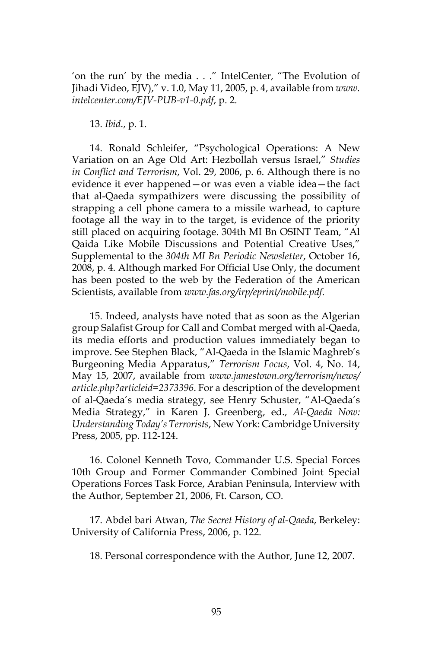'on the run' by the media . . ." IntelCenter, "The Evolution of Jihadi Video, EJV)," v. 1.0, May 11, 2005, p. 4, available from *www. intelcenter.com/EJV-PUB-v1-0.pdf*, p. 2.

13. *Ibid*., p. 1.

14. Ronald Schleifer, "Psychological Operations: A New Variation on an Age Old Art: Hezbollah versus Israel," *Studies in Conflict and Terrorism*, Vol. 29, 2006, p. 6. Although there is no evidence it ever happened—or was even a viable idea—the fact that al-Qaeda sympathizers were discussing the possibility of strapping a cell phone camera to a missile warhead, to capture footage all the way in to the target, is evidence of the priority still placed on acquiring footage. 304th MI Bn OSINT Team, "Al Qaida Like Mobile Discussions and Potential Creative Uses," Supplemental to the *304th MI Bn Periodic Newsletter*, October 16, 2008, p. 4. Although marked For Official Use Only, the document has been posted to the web by the Federation of the American Scientists, available from *www.fas.org/irp/eprint/mobile.pdf*.

15. Indeed, analysts have noted that as soon as the Algerian group Salafist Group for Call and Combat merged with al-Qaeda, its media efforts and production values immediately began to improve. See Stephen Black, "Al-Qaeda in the Islamic Maghreb's Burgeoning Media Apparatus," *Terrorism Focus*, Vol. 4, No. 14, May 15, 2007, available from *www.jamestown.org/terrorism/news/ article.php?articleid=2373396*. For a description of the development of al-Qaeda's media strategy, see Henry Schuster, "Al-Qaeda's Media Strategy," in Karen J. Greenberg, ed., *Al-Qaeda Now: Understanding Today's Terrorists*, New York: Cambridge University Press, 2005, pp. 112-124.

16. Colonel Kenneth Tovo, Commander U.S. Special Forces 10th Group and Former Commander Combined Joint Special Operations Forces Task Force, Arabian Peninsula, Interview with the Author, September 21, 2006, Ft. Carson, CO.

17. Abdel bari Atwan, *The Secret History of al-Qaeda*, Berkeley: University of California Press, 2006, p. 122.

18. Personal correspondence with the Author, June 12, 2007.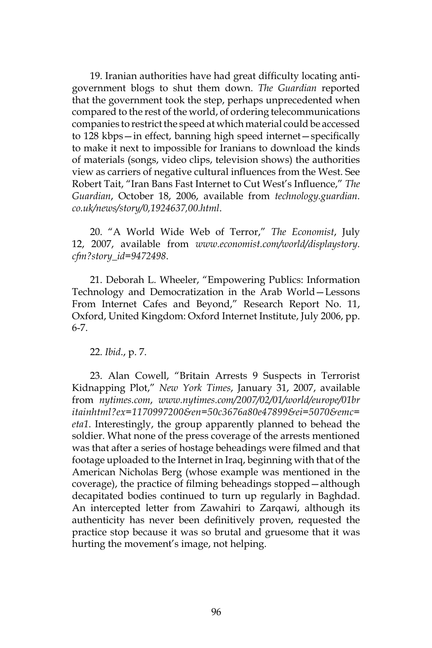19. Iranian authorities have had great difficulty locating antigovernment blogs to shut them down. *The Guardian* reported that the government took the step, perhaps unprecedented when compared to the rest of the world, of ordering telecommunications companies to restrict the speed at which material could be accessed to 128 kbps—in effect, banning high speed internet—specifically to make it next to impossible for Iranians to download the kinds of materials (songs, video clips, television shows) the authorities view as carriers of negative cultural influences from the West. See Robert Tait, "Iran Bans Fast Internet to Cut West's Influence," *The Guardian*, October 18, 2006, available from *technology.guardian. co.uk/news/story/0,1924637,00.html*.

20. "A World Wide Web of Terror," *The Economist*, July 12, 2007, available from *www.economist.com/world/displaystory. cfm?story\_id=9472498*.

21. Deborah L. Wheeler, "Empowering Publics: Information Technology and Democratization in the Arab World—Lessons From Internet Cafes and Beyond," Research Report No. 11, Oxford, United Kingdom: Oxford Internet Institute, July 2006, pp. 6-7.

22. *Ibid*., p. 7.

23. Alan Cowell, "Britain Arrests 9 Suspects in Terrorist Kidnapping Plot," *New York Times*, January 31, 2007, available from *nytimes.com*, *www.nytimes.com/2007/02/01/world/europe/01br itainhtml?ex=1170997200&en=50c3676a80e47899&ei=5070&emc= eta1*. Interestingly, the group apparently planned to behead the soldier. What none of the press coverage of the arrests mentioned was that after a series of hostage beheadings were filmed and that footage uploaded to the Internet in Iraq, beginning with that of the American Nicholas Berg (whose example was mentioned in the coverage), the practice of filming beheadings stopped—although decapitated bodies continued to turn up regularly in Baghdad. An intercepted letter from Zawahiri to Zarqawi, although its authenticity has never been definitively proven, requested the practice stop because it was so brutal and gruesome that it was hurting the movement's image, not helping.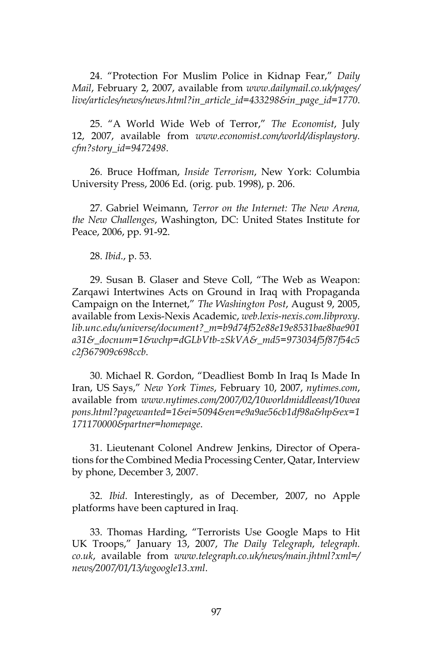24. "Protection For Muslim Police in Kidnap Fear," *Daily Mail*, February 2, 2007, available from *www.dailymail.co.uk/pages/ live/articles/news/news.html?in\_article\_id=433298&in\_page\_id=1770*.

25. "A World Wide Web of Terror," *The Economist*, July 12, 2007, available from *www.economist.com/world/displaystory. cfm?story\_id=9472498*.

26. Bruce Hoffman, *Inside Terrorism*, New York: Columbia University Press, 2006 Ed. (orig. pub. 1998), p. 206.

27. Gabriel Weimann, *Terror on the Internet: The New Arena, the New Challenges*, Washington, DC: United States Institute for Peace, 2006, pp. 91-92.

28. *Ibid*., p. 53.

29. Susan B. Glaser and Steve Coll, "The Web as Weapon: Zarqawi Intertwines Acts on Ground in Iraq with Propaganda Campaign on the Internet," *The Washington Post*, August 9, 2005, available from Lexis-Nexis Academic, *web.lexis-nexis.com.libproxy. lib.unc.edu/universe/document?\_m=b9d74f52e88e19e8531bae8bae901 a31&\_docnum=1&wchp=dGLbVtb-zSkVA&\_md5=973034f5f87f54c5 c2f367909c698ccb*.

30. Michael R. Gordon, "Deadliest Bomb In Iraq Is Made In Iran, US Says," *New York Times*, February 10, 2007, *nytimes.com*, available from *www.nytimes.com/2007/02/10worldmiddleeast/10wea pons.html?pagewanted=1&ei=5094&en=e9a9ae56cb1df98a&hp&ex=1 171170000&partner=homepage*.

31. Lieutenant Colonel Andrew Jenkins, Director of Operations for the Combined Media Processing Center, Qatar, Interview by phone, December 3, 2007.

32. *Ibid*. Interestingly, as of December, 2007, no Apple platforms have been captured in Iraq.

33. Thomas Harding, "Terrorists Use Google Maps to Hit UK Troops," January 13, 2007, *The Daily Telegraph*, *telegraph. co.uk*, available from *www.telegraph.co.uk/news/main.jhtml?xml=/ news/2007/01/13/wgoogle13.xml*.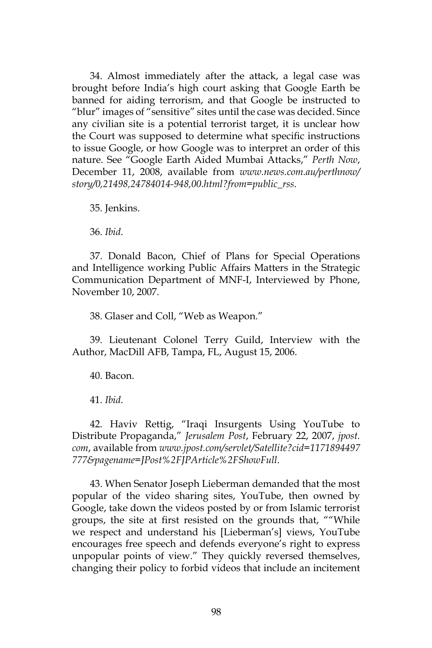34. Almost immediately after the attack, a legal case was brought before India's high court asking that Google Earth be banned for aiding terrorism, and that Google be instructed to "blur" images of "sensitive" sites until the case was decided. Since any civilian site is a potential terrorist target, it is unclear how the Court was supposed to determine what specific instructions to issue Google, or how Google was to interpret an order of this nature. See "Google Earth Aided Mumbai Attacks," *Perth Now*, December 11, 2008, available from *www.news.com.au/perthnow/ story/0,21498,24784014-948,00.html?from=public\_rss*.

35. Jenkins.

36. *Ibid*.

37. Donald Bacon, Chief of Plans for Special Operations and Intelligence working Public Affairs Matters in the Strategic Communication Department of MNF-I, Interviewed by Phone, November 10, 2007.

38. Glaser and Coll, "Web as Weapon."

39. Lieutenant Colonel Terry Guild, Interview with the Author, MacDill AFB, Tampa, FL, August 15, 2006.

40. Bacon.

41. *Ibid*.

42. Haviv Rettig, "Iraqi Insurgents Using YouTube to Distribute Propaganda," *Jerusalem Post*, February 22, 2007, *jpost. com*, available from *www.jpost.com/servlet/Satellite?cid=1171894497 777&pagename=JPost%2FJPArticle%2FShowFull*.

43. When Senator Joseph Lieberman demanded that the most popular of the video sharing sites, YouTube, then owned by Google, take down the videos posted by or from Islamic terrorist groups, the site at first resisted on the grounds that, ""While we respect and understand his [Lieberman's] views, YouTube encourages free speech and defends everyone's right to express unpopular points of view." They quickly reversed themselves, changing their policy to forbid videos that include an incitement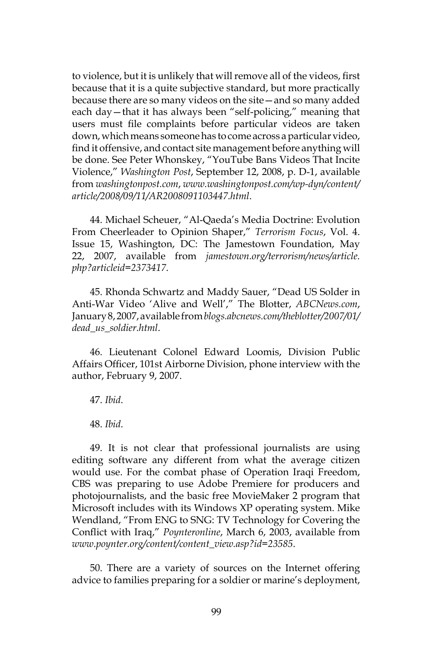to violence, but it is unlikely that will remove all of the videos, first because that it is a quite subjective standard, but more practically because there are so many videos on the site—and so many added each day—that it has always been "self-policing," meaning that users must file complaints before particular videos are taken down, which means someone has to come across a particular video, find it offensive, and contact site management before anything will be done. See Peter Whonskey, "YouTube Bans Videos That Incite Violence," *Washington Post*, September 12, 2008, p. D-1, available from *washingtonpost.com*, *www.washingtonpost.com/wp-dyn/content/ article/2008/09/11/AR2008091103447.html*.

44. Michael Scheuer, "Al-Qaeda's Media Doctrine: Evolution From Cheerleader to Opinion Shaper," *Terrorism Focus*, Vol. 4. Issue 15, Washington, DC: The Jamestown Foundation, May 22, 2007, available from *jamestown.org/terrorism/news/article. php?articleid=2373417*.

45. Rhonda Schwartz and Maddy Sauer, "Dead US Solder in Anti-War Video 'Alive and Well'," The Blotter, *ABCNews.com*, January 8, 2007, available from *blogs.abcnews.com/theblotter/2007/01/ dead\_us\_soldier.html*.

46. Lieutenant Colonel Edward Loomis, Division Public Affairs Officer, 101st Airborne Division, phone interview with the author, February 9, 2007.

47. *Ibid*.

48. *Ibid*.

49. It is not clear that professional journalists are using editing software any different from what the average citizen would use. For the combat phase of Operation Iraqi Freedom, CBS was preparing to use Adobe Premiere for producers and photojournalists, and the basic free MovieMaker 2 program that Microsoft includes with its Windows XP operating system. Mike Wendland, "From ENG to SNG: TV Technology for Covering the Conflict with Iraq," *Poynteronline*, March 6, 2003, available from *www.poynter.org/content/content\_view.asp?id=23585*.

50. There are a variety of sources on the Internet offering advice to families preparing for a soldier or marine's deployment,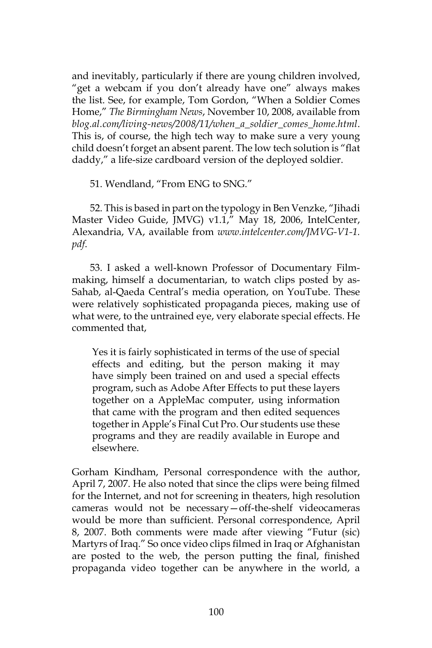and inevitably, particularly if there are young children involved, "get a webcam if you don't already have one" always makes the list. See, for example, Tom Gordon, "When a Soldier Comes Home," *The Birmingham News*, November 10, 2008, available from *blog.al.com/living-news/2008/11/when\_a\_soldier\_comes\_home.html*. This is, of course, the high tech way to make sure a very young child doesn't forget an absent parent. The low tech solution is "flat daddy," a life-size cardboard version of the deployed soldier.

51. Wendland, "From ENG to SNG."

52. This is based in part on the typology in Ben Venzke, "Jihadi Master Video Guide, JMVG) v1.1," May 18, 2006, IntelCenter, Alexandria, VA, available from *www.intelcenter.com/JMVG-V1-1. pdf*.

53. I asked a well-known Professor of Documentary Filmmaking, himself a documentarian, to watch clips posted by as-Sahab, al-Qaeda Central's media operation, on YouTube. These were relatively sophisticated propaganda pieces, making use of what were, to the untrained eye, very elaborate special effects. He commented that,

Yes it is fairly sophisticated in terms of the use of special effects and editing, but the person making it may have simply been trained on and used a special effects program, such as Adobe After Effects to put these layers together on a AppleMac computer, using information that came with the program and then edited sequences together in Apple's Final Cut Pro. Our students use these programs and they are readily available in Europe and elsewhere.

Gorham Kindham, Personal correspondence with the author, April 7, 2007. He also noted that since the clips were being filmed for the Internet, and not for screening in theaters, high resolution cameras would not be necessary—off-the-shelf videocameras would be more than sufficient. Personal correspondence, April 8, 2007. Both comments were made after viewing "Futur (sic) Martyrs of Iraq." So once video clips filmed in Iraq or Afghanistan are posted to the web, the person putting the final, finished propaganda video together can be anywhere in the world, a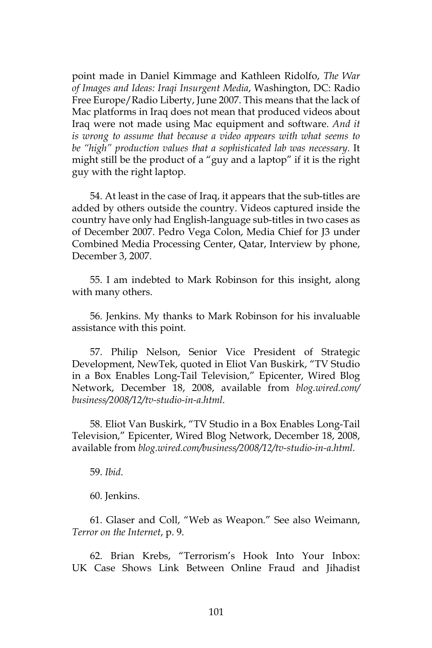point made in Daniel Kimmage and Kathleen Ridolfo, *The War of Images and Ideas: Iraqi Insurgent Media*, Washington, DC: Radio Free Europe/Radio Liberty, June 2007. This means that the lack of Mac platforms in Iraq does not mean that produced videos about Iraq were not made using Mac equipment and software. *And it is wrong to assume that because a video appears with what seems to be "high" production values that a sophisticated lab was necessary*. It might still be the product of a "guy and a laptop" if it is the right guy with the right laptop.

54. At least in the case of Iraq, it appears that the sub-titles are added by others outside the country. Videos captured inside the country have only had English-language sub-titles in two cases as of December 2007. Pedro Vega Colon, Media Chief for J3 under Combined Media Processing Center, Qatar, Interview by phone, December 3, 2007.

55. I am indebted to Mark Robinson for this insight, along with many others.

56. Jenkins. My thanks to Mark Robinson for his invaluable assistance with this point.

57. Philip Nelson, Senior Vice President of Strategic Development, NewTek, quoted in Eliot Van Buskirk, "TV Studio in a Box Enables Long-Tail Television," Epicenter, Wired Blog Network, December 18, 2008, available from *blog.wired.com/ business/2008/12/tv-studio-in-a.html*.

58. Eliot Van Buskirk, "TV Studio in a Box Enables Long-Tail Television," Epicenter, Wired Blog Network, December 18, 2008, available from *blog.wired.com/business/2008/12/tv-studio-in-a.html*.

59. *Ibid*.

60. Jenkins.

61. Glaser and Coll, "Web as Weapon." See also Weimann, *Terror on the Internet*, p. 9.

62. Brian Krebs, "Terrorism's Hook Into Your Inbox: UK Case Shows Link Between Online Fraud and Jihadist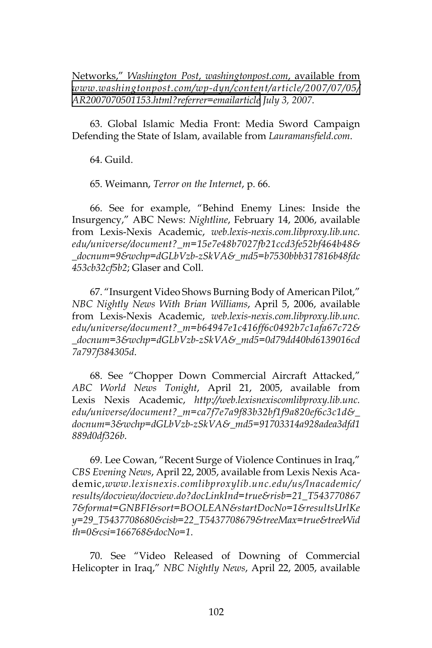Networks," *Washington Post*, *washingtonpost.com*, available from *[www.washingtonpost.com/wp-dyn/content/article/2007/07/05/](http://www.washingtonpost.com/wp-dyn/content/article/2007/07/05/AR2007070501153.html?referrer=emailarticle) [AR2007070501153.html?referrer=emailarticl](http://www.washingtonpost.com/wp-dyn/content/article/2007/07/05/AR2007070501153.html?referrer=emailarticle)e July 3, 2007*.

63. Global Islamic Media Front: Media Sword Campaign Defending the State of Islam, available from *Lauramansfield.com*.

64. Guild.

65. Weimann, *Terror on the Internet*, p. 66.

66. See for example, "Behind Enemy Lines: Inside the Insurgency," ABC News: *Nightline*, February 14, 2006, available from Lexis-Nexis Academic, *web.lexis-nexis.com.libproxy.lib.unc. edu/universe/document?\_m=15e7e48b7027fb21ccd3fe52bf464b48& \_docnum=9&wchp=dGLbVzb-zSkVA&\_md5=b7530bbb317816b48fdc 453cb32cf5b2*; Glaser and Coll.

67. "Insurgent Video Shows Burning Body of American Pilot," *NBC Nightly News With Brian Williams*, April 5, 2006, available from Lexis-Nexis Academic, *web.lexis-nexis.com.libproxy.lib.unc. edu/universe/document?\_m=b64947e1c416ff6c0492b7c1afa67c72& \_docnum=3&wchp=dGLbVzb-zSkVA&\_md5=0d79dd40bd6139016cd 7a797f384305d*.

68. See "Chopper Down Commercial Aircraft Attacked," *ABC World News Tonight*, April 21, 2005, available from Lexis Nexis Academic, *http://web.lexisnexiscomlibproxy.lib.unc. edu/universe/document?\_m=ca7f7e7a9f83b32bf1f9a820ef6c3c1d&\_ docnum=3&wchp=dGLbVzb-zSkVA&\_md5=91703314a928adea3dfd1 889d0df326b*.

69. Lee Cowan, "Recent Surge of Violence Continues in Iraq," *CBS Evening News*, April 22, 2005, available from Lexis Nexis Academic,*www.lexisnexis.comlibproxylib.unc.edu/us/lnacademic/ results/docview/docview.do?docLinkInd=true&risb=21\_T543770867 7&format=GNBFI&sort=BOOLEAN&startDocNo=1&resultsUrlKe y=29\_T5437708680&cisb=22\_T5437708679&treeMax=true&treeWid th=0&csi=166768&docNo=1*.

70. See "Video Released of Downing of Commercial Helicopter in Iraq," *NBC Nightly News*, April 22, 2005, available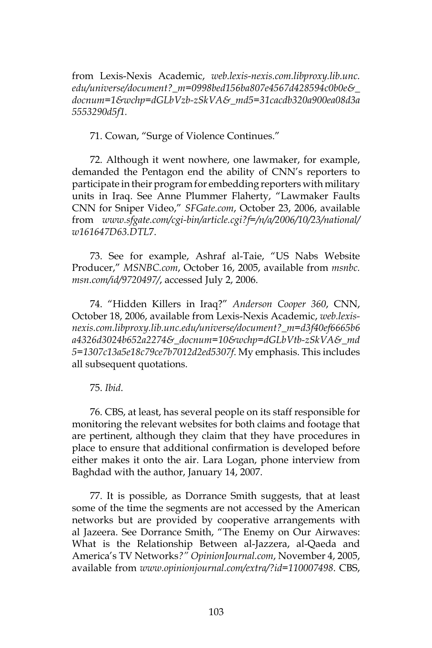from Lexis-Nexis Academic, *web.lexis-nexis.com.libproxy.lib.unc. edu/universe/document?\_m=0998bed156ba807e4567d428594c0b0e&\_ docnum=1&wchp=dGLbVzb-zSkVA&\_md5=31cacdb320a900ea08d3a 5553290d5f1.*

71. Cowan, "Surge of Violence Continues."

72. Although it went nowhere, one lawmaker, for example, demanded the Pentagon end the ability of CNN's reporters to participate in their program for embedding reporters with military units in Iraq. See Anne Plummer Flaherty, "Lawmaker Faults CNN for Sniper Video," *SFGate.com*, October 23, 2006, available from *www.sfgate.com/cgi-bin/article.cgi?f=/n/a/2006/10/23/national/ w161647D63.DTL*7.

73. See for example, Ashraf al-Taie, "US Nabs Website Producer," *MSNBC.com*, October 16, 2005, available from *msnbc. msn.com/id/9720497/*, accessed July 2, 2006.

74. "Hidden Killers in Iraq?" *Anderson Cooper 360*, CNN, October 18, 2006, available from Lexis-Nexis Academic, *web.lexisnexis.com.libproxy.lib.unc.edu/universe/document?\_m=d3f40ef6665b6 a4326d3024b652a2274&\_docnum=10&wchp=dGLbVtb-zSkVA&\_md 5=1307c13a5e18c79ce7b7012d2ed5307f*. My emphasis. This includes all subsequent quotations.

75. *Ibid*.

76. CBS, at least, has several people on its staff responsible for monitoring the relevant websites for both claims and footage that are pertinent, although they claim that they have procedures in place to ensure that additional confirmation is developed before either makes it onto the air. Lara Logan, phone interview from Baghdad with the author, January 14, 2007.

77. It is possible, as Dorrance Smith suggests, that at least some of the time the segments are not accessed by the American networks but are provided by cooperative arrangements with al Jazeera. See Dorrance Smith, "The Enemy on Our Airwaves: What is the Relationship Between al-Jazzera, al-Qaeda and America's TV Networks*?" OpinionJournal.com*, November 4, 2005, available from *www.opinionjournal.com/extra/?id=110007498*. CBS,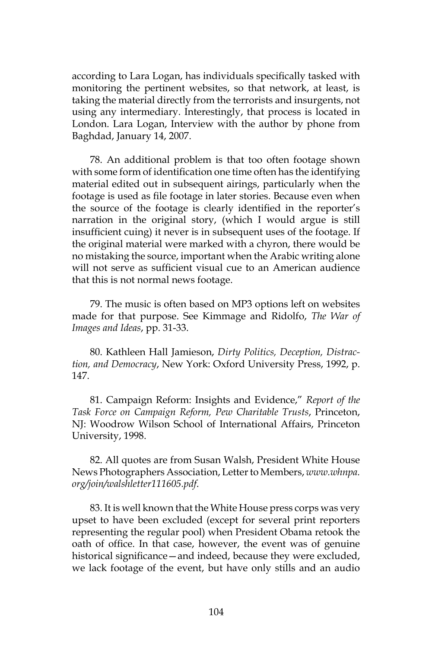according to Lara Logan, has individuals specifically tasked with monitoring the pertinent websites, so that network, at least, is taking the material directly from the terrorists and insurgents, not using any intermediary. Interestingly, that process is located in London. Lara Logan, Interview with the author by phone from Baghdad, January 14, 2007.

78. An additional problem is that too often footage shown with some form of identification one time often has the identifying material edited out in subsequent airings, particularly when the footage is used as file footage in later stories. Because even when the source of the footage is clearly identified in the reporter's narration in the original story, (which I would argue is still insufficient cuing) it never is in subsequent uses of the footage. If the original material were marked with a chyron, there would be no mistaking the source, important when the Arabic writing alone will not serve as sufficient visual cue to an American audience that this is not normal news footage.

79. The music is often based on MP3 options left on websites made for that purpose. See Kimmage and Ridolfo, *The War of Images and Ideas*, pp. 31-33.

80. Kathleen Hall Jamieson, *Dirty Politics, Deception, Distraction, and Democracy*, New York: Oxford University Press, 1992, p. 147.

81. Campaign Reform: Insights and Evidence," *Report of the Task Force on Campaign Reform, Pew Charitable Trusts*, Princeton, NJ: Woodrow Wilson School of International Affairs, Princeton University, 1998.

82. All quotes are from Susan Walsh, President White House News Photographers Association, Letter to Members, *www.whnpa. org/join/walshletter111605.pdf*.

83. It is well known that the White House press corps was very upset to have been excluded (except for several print reporters representing the regular pool) when President Obama retook the oath of office. In that case, however, the event was of genuine historical significance—and indeed, because they were excluded, we lack footage of the event, but have only stills and an audio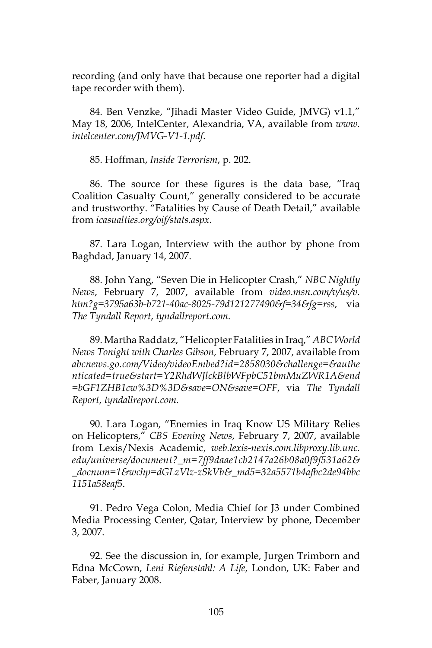recording (and only have that because one reporter had a digital tape recorder with them).

84. Ben Venzke, "Jihadi Master Video Guide, JMVG) v1.1," May 18, 2006, IntelCenter, Alexandria, VA, available from *www. intelcenter.com/JMVG-V1-1.pdf*.

85. Hoffman, *Inside Terrorism*, p. 202.

86. The source for these figures is the data base, "Iraq Coalition Casualty Count," generally considered to be accurate and trustworthy. "Fatalities by Cause of Death Detail," available from *icasualties.org/oif/stats.aspx*.

87. Lara Logan, Interview with the author by phone from Baghdad, January 14, 2007.

88. John Yang, "Seven Die in Helicopter Crash," *NBC Nightly News*, February 7, 2007, available from *video.msn.com/v/us/v. htm?g=3795a63b-b721-40ac-8025-79d121277490&f=34&fg=rss*, via *The Tyndall Report*, *tyndallreport.com*.

89. Martha Raddatz, "Helicopter Fatalities in Iraq," *ABC World News Tonight with Charles Gibson*, February 7, 2007, available from *abcnews.go.com/Video/videoEmbed?id=2858030&challenge=&authe nticated=true&start=Y2RhdWJlckBlbWFpbC51bmMuZWR1A&end =bGF1ZHB1cw%3D%3D&save=ON&save=OFF*, via *The Tyndall Report*, *tyndallreport.com*.

90. Lara Logan, "Enemies in Iraq Know US Military Relies on Helicopters," *CBS Evening News*, February 7, 2007, available from Lexis/Nexis Academic, *web.lexis-nexis.com.libproxy.lib.unc. edu/universe/document?\_m=7ff9daae1cb2147a26b08a0f9f531a62& \_docnum=1&wchp=dGLzVlz-zSkVb&\_md5=32a5571b4afbc2de94bbc 1151a58eaf5*.

91. Pedro Vega Colon, Media Chief for J3 under Combined Media Processing Center, Qatar, Interview by phone, December 3, 2007.

92. See the discussion in, for example, Jurgen Trimborn and Edna McCown, *Leni Riefenstahl: A Life*, London, UK: Faber and Faber, January 2008.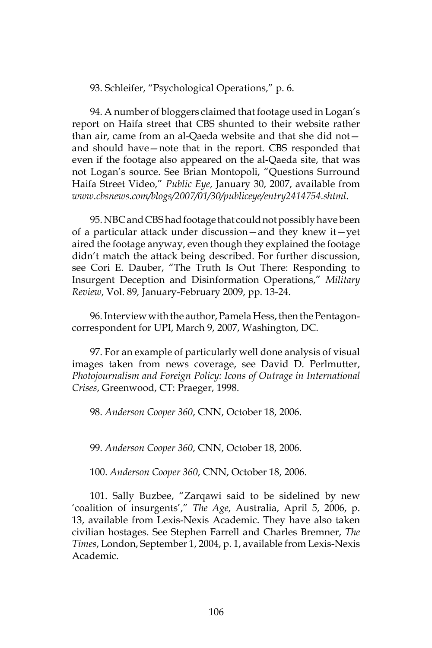93. Schleifer, "Psychological Operations," p. 6.

94. A number of bloggers claimed that footage used in Logan's report on Haifa street that CBS shunted to their website rather than air, came from an al-Qaeda website and that she did not and should have—note that in the report. CBS responded that even if the footage also appeared on the al-Qaeda site, that was not Logan's source. See Brian Montopoli, "Questions Surround Haifa Street Video," *Public Eye*, January 30, 2007, available from *www.cbsnews.com/blogs/2007/01/30/publiceye/entry2414754.shtml*.

95. NBC and CBS had footage that could not possibly have been of a particular attack under discussion—and they knew it—yet aired the footage anyway, even though they explained the footage didn't match the attack being described. For further discussion, see Cori E. Dauber, "The Truth Is Out There: Responding to Insurgent Deception and Disinformation Operations," *Military Review*, Vol. 89*,* January-February 2009, pp. 13-24.

96. Interview with the author, Pamela Hess, then the Pentagoncorrespondent for UPI, March 9, 2007, Washington, DC.

97. For an example of particularly well done analysis of visual images taken from news coverage, see David D. Perlmutter, *Photojournalism and Foreign Policy: Icons of Outrage in International Crises*, Greenwood, CT: Praeger, 1998.

98. *Anderson Cooper 360*, CNN, October 18, 2006.

99. *Anderson Cooper 360*, CNN, October 18, 2006.

100. *Anderson Cooper 360*, CNN, October 18, 2006.

101. Sally Buzbee, "Zarqawi said to be sidelined by new 'coalition of insurgents'," *The Age*, Australia, April 5, 2006, p. 13, available from Lexis-Nexis Academic. They have also taken civilian hostages. See Stephen Farrell and Charles Bremner, *The Times*, London, September 1, 2004, p. 1, available from Lexis-Nexis Academic.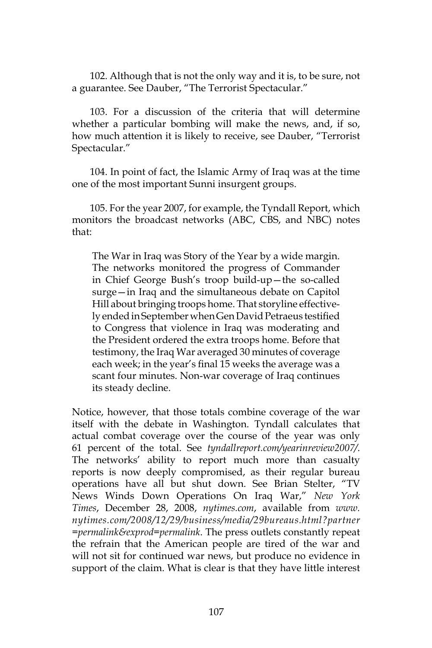102. Although that is not the only way and it is, to be sure, not a guarantee. See Dauber, "The Terrorist Spectacular."

103. For a discussion of the criteria that will determine whether a particular bombing will make the news, and, if so, how much attention it is likely to receive, see Dauber, "Terrorist Spectacular."

104. In point of fact, the Islamic Army of Iraq was at the time one of the most important Sunni insurgent groups.

105. For the year 2007, for example, the Tyndall Report, which monitors the broadcast networks (ABC, CBS, and NBC) notes that:

The War in Iraq was Story of the Year by a wide margin. The networks monitored the progress of Commander in Chief George Bush's troop build-up—the so-called surge—in Iraq and the simultaneous debate on Capitol Hill about bringing troops home. That storyline effectively ended in September when Gen David Petraeus testified to Congress that violence in Iraq was moderating and the President ordered the extra troops home. Before that testimony, the Iraq War averaged 30 minutes of coverage each week; in the year's final 15 weeks the average was a scant four minutes. Non-war coverage of Iraq continues its steady decline.

Notice, however, that those totals combine coverage of the war itself with the debate in Washington. Tyndall calculates that actual combat coverage over the course of the year was only 61 percent of the total. See *tyndallreport.com/yearinreview2007/*. The networks' ability to report much more than casualty reports is now deeply compromised, as their regular bureau operations have all but shut down. See Brian Stelter, "TV News Winds Down Operations On Iraq War," *New York Times*, December 28, 2008, *nytimes.com*, available from *www. nytimes.com/2008/12/29/business/media/29bureaus.html?partner =permalink&exprod=permalink*. The press outlets constantly repeat the refrain that the American people are tired of the war and will not sit for continued war news, but produce no evidence in support of the claim. What is clear is that they have little interest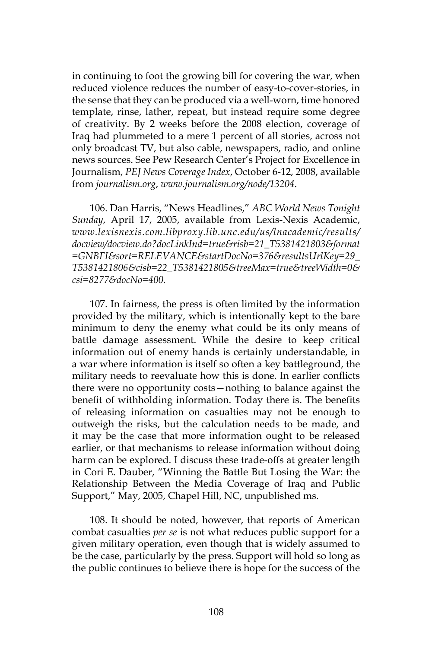in continuing to foot the growing bill for covering the war, when reduced violence reduces the number of easy-to-cover-stories, in the sense that they can be produced via a well-worn, time honored template, rinse, lather, repeat, but instead require some degree of creativity. By 2 weeks before the 2008 election, coverage of Iraq had plummeted to a mere 1 percent of all stories, across not only broadcast TV, but also cable, newspapers, radio, and online news sources. See Pew Research Center's Project for Excellence in Journalism, *PEJ News Coverage Index*, October 6-12, 2008, available from *journalism.org*, *www.journalism.org/node/13204*.

106. Dan Harris, "News Headlines," *ABC World News Tonight Sunday*, April 17, 2005, available from Lexis-Nexis Academic, *www.lexisnexis.com.libproxy.lib.unc.edu/us/lnacademic/results/ docview/docview.do?docLinkInd=true&risb=21\_T5381421803&format =GNBFI&sort=RELEVANCE&startDocNo=376&resultsUrlKey=29\_ T5381421806&cisb=22\_T5381421805&treeMax=true&treeWidth=0& csi=8277&docNo=400.*

107. In fairness, the press is often limited by the information provided by the military, which is intentionally kept to the bare minimum to deny the enemy what could be its only means of battle damage assessment. While the desire to keep critical information out of enemy hands is certainly understandable, in a war where information is itself so often a key battleground, the military needs to reevaluate how this is done. In earlier conflicts there were no opportunity costs—nothing to balance against the benefit of withholding information. Today there is. The benefits of releasing information on casualties may not be enough to outweigh the risks, but the calculation needs to be made, and it may be the case that more information ought to be released earlier, or that mechanisms to release information without doing harm can be explored. I discuss these trade-offs at greater length in Cori E. Dauber, "Winning the Battle But Losing the War: the Relationship Between the Media Coverage of Iraq and Public Support," May, 2005, Chapel Hill, NC, unpublished ms.

108. It should be noted, however, that reports of American combat casualties *per se* is not what reduces public support for a given military operation, even though that is widely assumed to be the case, particularly by the press. Support will hold so long as the public continues to believe there is hope for the success of the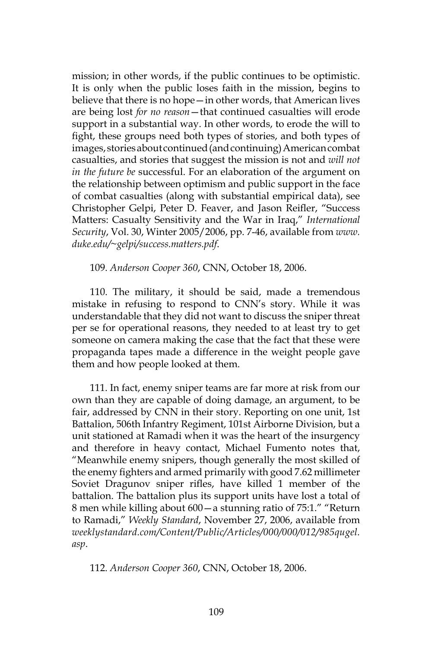mission; in other words, if the public continues to be optimistic. It is only when the public loses faith in the mission, begins to believe that there is no hope—in other words, that American lives are being lost *for no reason*—that continued casualties will erode support in a substantial way. In other words, to erode the will to fight, these groups need both types of stories, and both types of images, stories about continued (and continuing) American combat casualties, and stories that suggest the mission is not and *will not in the future be* successful. For an elaboration of the argument on the relationship between optimism and public support in the face of combat casualties (along with substantial empirical data), see Christopher Gelpi, Peter D. Feaver, and Jason Reifler, "Success Matters: Casualty Sensitivity and the War in Iraq," *International Security*, Vol. 30, Winter 2005/2006, pp. 7-46, available from *www. duke.edu/~gelpi/success.matters.pdf*.

109. *Anderson Cooper 360*, CNN, October 18, 2006.

110. The military, it should be said, made a tremendous mistake in refusing to respond to CNN's story. While it was understandable that they did not want to discuss the sniper threat per se for operational reasons, they needed to at least try to get someone on camera making the case that the fact that these were propaganda tapes made a difference in the weight people gave them and how people looked at them.

111. In fact, enemy sniper teams are far more at risk from our own than they are capable of doing damage, an argument, to be fair, addressed by CNN in their story. Reporting on one unit, 1st Battalion, 506th Infantry Regiment, 101st Airborne Division, but a unit stationed at Ramadi when it was the heart of the insurgency and therefore in heavy contact, Michael Fumento notes that, "Meanwhile enemy snipers, though generally the most skilled of the enemy fighters and armed primarily with good 7.62 millimeter Soviet Dragunov sniper rifles, have killed 1 member of the battalion. The battalion plus its support units have lost a total of 8 men while killing about 600—a stunning ratio of 75:1." "Return to Ramadi," *Weekly Standard*, November 27, 2006, available from *weeklystandard.com/Content/Public/Articles/000/000/012/985qugel. asp*.

112. *Anderson Cooper 360*, CNN, October 18, 2006.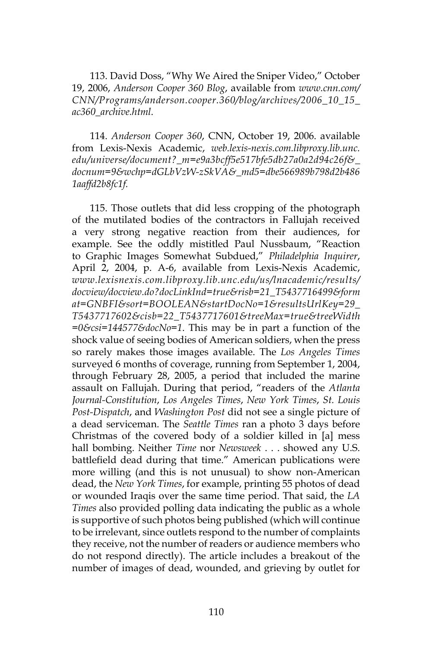113. David Doss, "Why We Aired the Sniper Video," October 19, 2006, *Anderson Cooper 360 Blog*, available from *www.cnn.com/ CNN/Programs/anderson.cooper.360/blog/archives/2006\_10\_15\_ ac360\_archive.html*.

114. *Anderson Cooper 360*, CNN, October 19, 2006. available from Lexis-Nexis Academic, *web.lexis-nexis.com.libproxy.lib.unc. edu/universe/document?\_m=e9a3bcff5e517bfe5db27a0a2d94c26f&\_ docnum=9&wchp=dGLbVzW-zSkVA&\_md5=dbe566989b798d2b486 1aaffd2b8fc1f.*

115. Those outlets that did less cropping of the photograph of the mutilated bodies of the contractors in Fallujah received a very strong negative reaction from their audiences, for example. See the oddly mistitled Paul Nussbaum, "Reaction to Graphic Images Somewhat Subdued," *Philadelphia Inquirer*, April 2, 2004, p. A-6, available from Lexis-Nexis Academic, *www.lexisnexis.com.libproxy.lib.unc.edu/us/lnacademic/results/ docview/docview.do?docLinkInd=true&risb=21\_T5437716499&form at=GNBFI&sort=BOOLEAN&startDocNo=1&resultsUrlKey=29\_ T5437717602&cisb=22\_T5437717601&treeMax=true&treeWidth =0&csi=144577&docNo=1*. This may be in part a function of the shock value of seeing bodies of American soldiers, when the press so rarely makes those images available. The *Los Angeles Times* surveyed 6 months of coverage, running from September 1, 2004, through February 28, 2005, a period that included the marine assault on Fallujah. During that period, "readers of the *Atlanta Journal-Constitution*, *Los Angeles Times*, *New York Times*, *St. Louis Post-Dispatch*, and *Washington Post* did not see a single picture of a dead serviceman. The *Seattle Times* ran a photo 3 days before Christmas of the covered body of a soldier killed in [a] mess hall bombing. Neither *Time* nor *Newsweek* . . . showed any U.S. battlefield dead during that time." American publications were more willing (and this is not unusual) to show non-American dead, the *New York Times*, for example, printing 55 photos of dead or wounded Iraqis over the same time period. That said, the *LA Times* also provided polling data indicating the public as a whole is supportive of such photos being published (which will continue to be irrelevant, since outlets respond to the number of complaints they receive, not the number of readers or audience members who do not respond directly). The article includes a breakout of the number of images of dead, wounded, and grieving by outlet for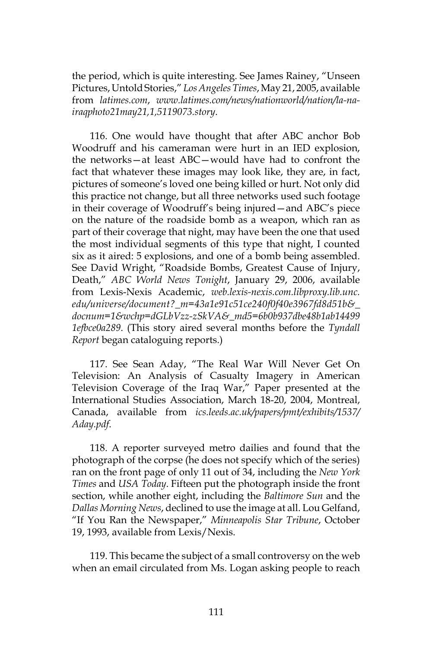the period, which is quite interesting. See James Rainey, "Unseen Pictures, Untold Stories," *Los Angeles Times*, May 21, 2005, available from *latimes.com*, *www.latimes.com/news/nationworld/nation/la-nairaqphoto21may21,1,5119073.story*.

116. One would have thought that after ABC anchor Bob Woodruff and his cameraman were hurt in an IED explosion, the networks—at least ABC—would have had to confront the fact that whatever these images may look like, they are, in fact, pictures of someone's loved one being killed or hurt. Not only did this practice not change, but all three networks used such footage in their coverage of Woodruff's being injured—and ABC's piece on the nature of the roadside bomb as a weapon, which ran as part of their coverage that night, may have been the one that used the most individual segments of this type that night, I counted six as it aired: 5 explosions, and one of a bomb being assembled. See David Wright, "Roadside Bombs, Greatest Cause of Injury, Death," *ABC World News Tonight*, January 29, 2006, available from Lexis-Nexis Academic, *web.lexis-nexis.com.libproxy.lib.unc. edu/universe/document?\_m=43a1e91c51ce240f0f40e3967fd8d51b&\_ docnum=1&wchp=dGLbVzz-zSkVA&\_md5=6b0b937dbe48b1ab14499 1efbce0a289*. (This story aired several months before the *Tyndall Report* began cataloguing reports.)

117. See Sean Aday, "The Real War Will Never Get On Television: An Analysis of Casualty Imagery in American Television Coverage of the Iraq War," Paper presented at the International Studies Association, March 18-20, 2004, Montreal, Canada, available from *ics.leeds.ac.uk/papers/pmt/exhibits/1537/ Aday.pdf*.

118. A reporter surveyed metro dailies and found that the photograph of the corpse (he does not specify which of the series) ran on the front page of only 11 out of 34, including the *New York Times* and *USA Today*. Fifteen put the photograph inside the front section, while another eight, including the *Baltimore Sun* and the *Dallas Morning News*, declined to use the image at all. Lou Gelfand, "If You Ran the Newspaper," *Minneapolis Star Tribune*, October 19, 1993, available from Lexis/Nexis.

119. This became the subject of a small controversy on the web when an email circulated from Ms. Logan asking people to reach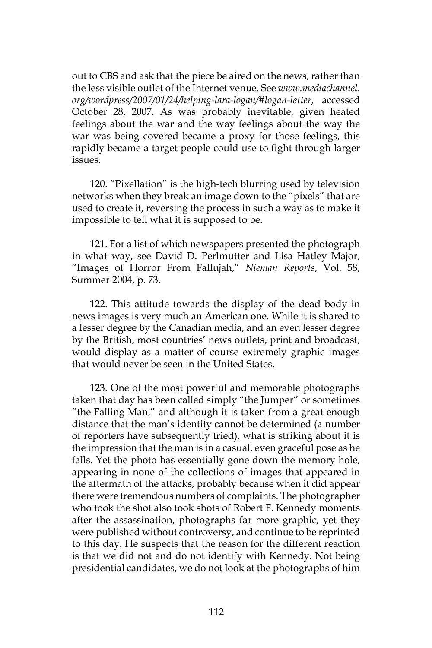out to CBS and ask that the piece be aired on the news, rather than the less visible outlet of the Internet venue. See *www.mediachannel. org/wordpress/2007/01/24/helping-lara-logan/#logan-letter*, accessed October 28, 2007. As was probably inevitable, given heated feelings about the war and the way feelings about the way the war was being covered became a proxy for those feelings, this rapidly became a target people could use to fight through larger issues.

120. "Pixellation" is the high-tech blurring used by television networks when they break an image down to the "pixels" that are used to create it, reversing the process in such a way as to make it impossible to tell what it is supposed to be.

121. For a list of which newspapers presented the photograph in what way, see David D. Perlmutter and Lisa Hatley Major, "Images of Horror From Fallujah," *Nieman Reports*, Vol. 58, Summer 2004, p. 73.

122. This attitude towards the display of the dead body in news images is very much an American one. While it is shared to a lesser degree by the Canadian media, and an even lesser degree by the British, most countries' news outlets, print and broadcast, would display as a matter of course extremely graphic images that would never be seen in the United States.

123. One of the most powerful and memorable photographs taken that day has been called simply "the Jumper" or sometimes "the Falling Man," and although it is taken from a great enough distance that the man's identity cannot be determined (a number of reporters have subsequently tried), what is striking about it is the impression that the man is in a casual, even graceful pose as he falls. Yet the photo has essentially gone down the memory hole, appearing in none of the collections of images that appeared in the aftermath of the attacks, probably because when it did appear there were tremendous numbers of complaints. The photographer who took the shot also took shots of Robert F. Kennedy moments after the assassination, photographs far more graphic, yet they were published without controversy, and continue to be reprinted to this day. He suspects that the reason for the different reaction is that we did not and do not identify with Kennedy. Not being presidential candidates, we do not look at the photographs of him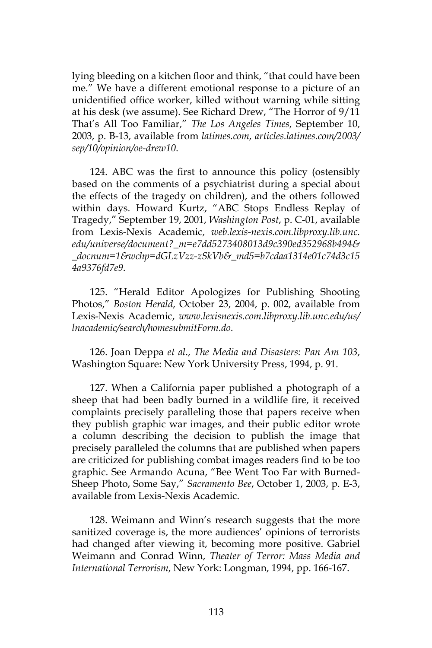lying bleeding on a kitchen floor and think, "that could have been me." We have a different emotional response to a picture of an unidentified office worker, killed without warning while sitting at his desk (we assume). See Richard Drew, "The Horror of 9/11 That's All Too Familiar," *The Los Angeles Times*, September 10, 2003, p. B-13, available from *latimes.com*, *articles.latimes.com/2003/ sep/10/opinion/oe-drew10*.

124. ABC was the first to announce this policy (ostensibly based on the comments of a psychiatrist during a special about the effects of the tragedy on children), and the others followed within days. Howard Kurtz, "ABC Stops Endless Replay of Tragedy," September 19, 2001, *Washington Post*, p. C-01, available from Lexis-Nexis Academic, *web.lexis-nexis.com.libproxy.lib.unc. edu/universe/document?\_m=e7dd5273408013d9c390ed352968b494& \_docnum=1&wchp=dGLzVzz-zSkVb&\_md5=b7cdaa1314e01c74d3c15 4a9376fd7e9*.

125. "Herald Editor Apologizes for Publishing Shooting Photos," *Boston Herald*, October 23, 2004, p. 002, available from Lexis-Nexis Academic, *www.lexisnexis.com.libproxy.lib.unc.edu/us/ lnacademic/search/homesubmitForm.do*.

126. Joan Deppa *et al*., *The Media and Disasters: Pan Am 103*, Washington Square: New York University Press, 1994, p. 91.

127. When a California paper published a photograph of a sheep that had been badly burned in a wildlife fire, it received complaints precisely paralleling those that papers receive when they publish graphic war images, and their public editor wrote a column describing the decision to publish the image that precisely paralleled the columns that are published when papers are criticized for publishing combat images readers find to be too graphic. See Armando Acuna, "Bee Went Too Far with Burned-Sheep Photo, Some Say," *Sacramento Bee*, October 1, 2003, p. E-3, available from Lexis-Nexis Academic.

128. Weimann and Winn's research suggests that the more sanitized coverage is, the more audiences' opinions of terrorists had changed after viewing it, becoming more positive. Gabriel Weimann and Conrad Winn, *Theater of Terror: Mass Media and International Terrorism*, New York: Longman, 1994, pp. 166-167.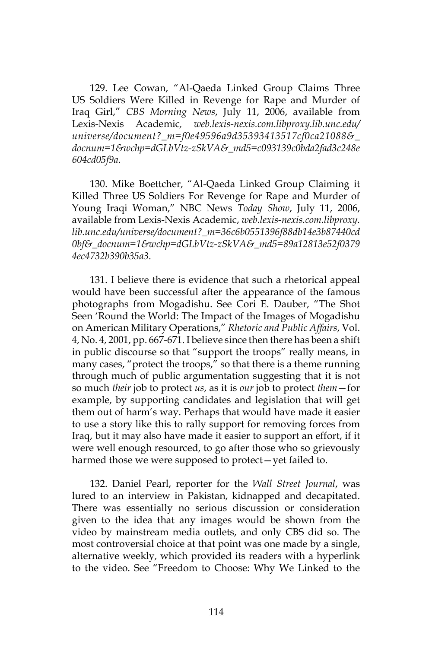129. Lee Cowan, "Al-Qaeda Linked Group Claims Three US Soldiers Were Killed in Revenge for Rape and Murder of Iraq Girl," *CBS Morning News*, July 11, 2006, available from Lexis-Nexis Academic*, web.lexis-nexis.com.libproxy.lib.unc.edu/ universe/document?\_m=f0e49596a9d35393413517cf0ca21088&\_ docnum=1&wchp=dGLbVtz-zSkVA&\_md5=c093139c0bda2fad3c248e 604cd05f9a*.

130. Mike Boettcher, "Al-Qaeda Linked Group Claiming it Killed Three US Soldiers For Revenge for Rape and Murder of Young Iraqi Woman," NBC News *Today Show*, July 11, 2006, available from Lexis-Nexis Academic, *web.lexis-nexis.com.libproxy. lib.unc.edu/universe/document?\_m=36c6b0551396f88db14e3b87440cd 0bf&\_docnum=1&wchp=dGLbVtz-zSkVA&\_md5=89a12813e52f0379 4ec4732b390b35a3*.

131. I believe there is evidence that such a rhetorical appeal would have been successful after the appearance of the famous photographs from Mogadishu. See Cori E. Dauber, "The Shot Seen 'Round the World: The Impact of the Images of Mogadishu on American Military Operations," *Rhetoric and Public Affairs*, Vol. 4, No. 4, 2001, pp. 667-671. I believe since then there has been a shift in public discourse so that "support the troops" really means, in many cases, "protect the troops," so that there is a theme running through much of public argumentation suggesting that it is not so much *their* job to protect *us*, as it is *our* job to protect *them*—for example, by supporting candidates and legislation that will get them out of harm's way. Perhaps that would have made it easier to use a story like this to rally support for removing forces from Iraq, but it may also have made it easier to support an effort, if it were well enough resourced, to go after those who so grievously harmed those we were supposed to protect—yet failed to.

132. Daniel Pearl, reporter for the *Wall Street Journal*, was lured to an interview in Pakistan, kidnapped and decapitated. There was essentially no serious discussion or consideration given to the idea that any images would be shown from the video by mainstream media outlets, and only CBS did so. The most controversial choice at that point was one made by a single, alternative weekly, which provided its readers with a hyperlink to the video. See "Freedom to Choose: Why We Linked to the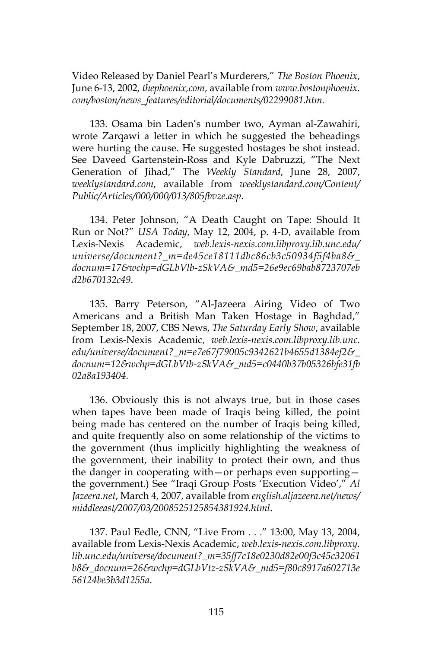Video Released by Daniel Pearl's Murderers," *The Boston Phoenix*, June 6-13, 2002, *thephoenix,com*, available from *www.bostonphoenix. com/boston/news\_features/editorial/documents/02299081.htm*.

133. Osama bin Laden's number two, Ayman al-Zawahiri, wrote Zarqawi a letter in which he suggested the beheadings were hurting the cause. He suggested hostages be shot instead. See Daveed Gartenstein-Ross and Kyle Dabruzzi, "The Next Generation of Jihad," The *Weekly Standard*, June 28, 2007, *weeklystandard.com*, available from *weeklystandard.com/Content/ Public/Articles/000/000/013/805fbvze.asp*.

134. Peter Johnson, "A Death Caught on Tape: Should It Run or Not?" *USA Today*, May 12, 2004, p. 4-D, available from Lexis-Nexis Academic, *web.lexis-nexis.com.libproxy.lib.unc.edu/ universe/document?\_m=de45ce18111dbc86cb3c50934f5f4ba8&\_ docnum=17&wchp=dGLbVlb-zSkVA&\_md5=26e9ec69bab8723707eb d2b670132c49*.

135. Barry Peterson, "Al-Jazeera Airing Video of Two Americans and a British Man Taken Hostage in Baghdad," September 18, 2007, CBS News, *The Saturday Early Show*, available from Lexis-Nexis Academic, *web.lexis-nexis.com.libproxy.lib.unc. edu/universe/document?\_m=e7e67f79005c9342621b4655d1384ef2&\_ docnum=12&wchp=dGLbVtb-zSkVA&\_md5=c0440b37b05326bfe31fb 02a8a193404*.

136. Obviously this is not always true, but in those cases when tapes have been made of Iraqis being killed, the point being made has centered on the number of Iraqis being killed, and quite frequently also on some relationship of the victims to the government (thus implicitly highlighting the weakness of the government, their inability to protect their own, and thus the danger in cooperating with—or perhaps even supporting the government.) See "Iraqi Group Posts 'Execution Video'," *Al Jazeera.net*, March 4, 2007, available from *english.aljazeera.net/news/ middleeast/2007/03/2008525125854381924.html*.

137. Paul Eedle, CNN, "Live From . . ." 13:00, May 13, 2004, available from Lexis-Nexis Academic, *web.lexis-nexis.com.libproxy. lib.unc.edu/universe/document?\_m=35ff7c18e0230d82e00f3c45c32061 b8&\_docnum=26&wchp=dGLbVtz-zSkVA&\_md5=f80c8917a602713e 56124be3b3d1255a*.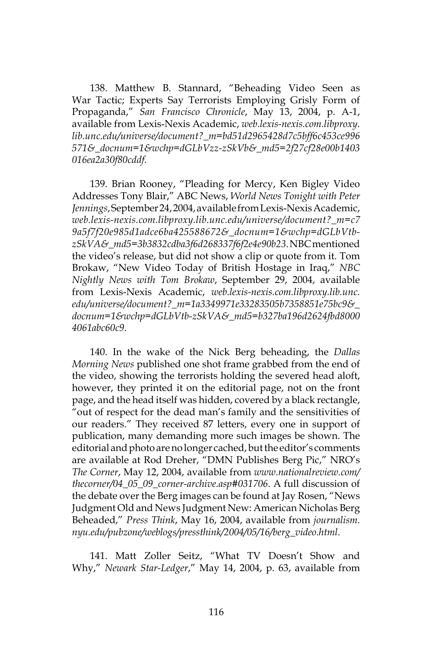138. Matthew B. Stannard, "Beheading Video Seen as War Tactic; Experts Say Terrorists Employing Grisly Form of Propaganda," *San Francisco Chronicle*, May 13, 2004, p. A-1, available from Lexis-Nexis Academic, *web.lexis-nexis.com.libproxy. lib.unc.edu/universe/document?\_m=bd51d2965428d7c5bff6c453ce996 571&\_docnum=1&wchp=dGLbVzz-zSkVb&\_md5=2f27cf28e00b1403 016ea2a30f80cddf.*

139. Brian Rooney, "Pleading for Mercy, Ken Bigley Video Addresses Tony Blair," ABC News, *World News Tonight with Peter Jennings*, September 24, 2004, available from Lexis-Nexis Academic, *web.lexis-nexis.com.libproxy.lib.unc.edu/universe/document?\_m=c7 9a5f7f20e985d1adce6ba425588672&\_docnum=1&wchp=dGLbVtbzSkVA&\_md5=3b3832cdba3f6d268337f6f2e4e90b23*. NBC mentioned the video's release, but did not show a clip or quote from it. Tom Brokaw, "New Video Today of British Hostage in Iraq," *NBC Nightly News with Tom Brokaw*, September 29, 2004, available from Lexis-Nexis Academic, *web.lexis-nexis.com.libproxy.lib.unc. edu/universe/document?\_m=1a3349971e33283505b7358851e75bc9&\_ docnum=1&wchp=dGLbVtb-zSkVA&\_md5=b327ba196d2624fbd8000 4061abc60c9*.

140. In the wake of the Nick Berg beheading, the *Dallas Morning News* published one shot frame grabbed from the end of the video, showing the terrorists holding the severed head aloft, however, they printed it on the editorial page, not on the front page, and the head itself was hidden, covered by a black rectangle, "out of respect for the dead man's family and the sensitivities of our readers." They received 87 letters, every one in support of publication, many demanding more such images be shown. The editorial and photo are no longer cached, but the editor's comments are available at Rod Dreher, "DMN Publishes Berg Pic," NRO's *The Corner*, May 12, 2004, available from *www.nationalreview.com/ thecorner/04\_05\_09\_corner-archive.asp#031706*. A full discussion of the debate over the Berg images can be found at Jay Rosen, "News Judgment Old and News Judgment New: American Nicholas Berg Beheaded," *Press Think*, May 16, 2004, available from *journalism. nyu.edu/pubzone/weblogs/pressthink/2004/05/16/berg\_video.html*.

141. Matt Zoller Seitz, "What TV Doesn't Show and Why," *Newark Star-Ledger*," May 14, 2004, p. 63, available from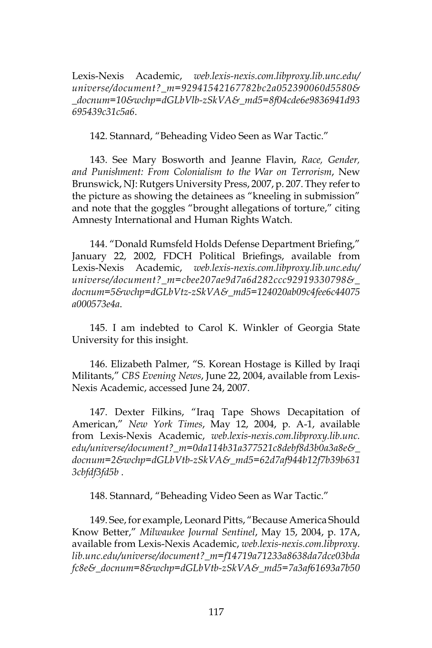Lexis-Nexis Academic, *web.lexis-nexis.com.libproxy.lib.unc.edu/ universe/document?\_m=92941542167782bc2a052390060d5580& \_docnum=10&wchp=dGLbVlb-zSkVA&\_md5=8f04cde6e9836941d93 695439c31c5a6*.

142. Stannard, "Beheading Video Seen as War Tactic."

143. See Mary Bosworth and Jeanne Flavin, *Race, Gender, and Punishment: From Colonialism to the War on Terrorism*, New Brunswick, NJ: Rutgers University Press, 2007, p. 207. They refer to the picture as showing the detainees as "kneeling in submission" and note that the goggles "brought allegations of torture," citing Amnesty International and Human Rights Watch.

144. "Donald Rumsfeld Holds Defense Department Briefing," January 22, 2002, FDCH Political Briefings, available from Lexis-Nexis Academic, *web.lexis-nexis.com.libproxy.lib.unc.edu/ universe/document?\_m=cbee207ae9d7a6d282ccc92919330798&\_ docnum=5&wchp=dGLbVtz-zSkVA&\_md5=124020ab09c4fee6c44075 a000573e4a*.

145. I am indebted to Carol K. Winkler of Georgia State University for this insight.

146. Elizabeth Palmer, "S. Korean Hostage is Killed by Iraqi Militants," *CBS Evening News*, June 22, 2004, available from Lexis-Nexis Academic, accessed June 24, 2007.

147. Dexter Filkins, "Iraq Tape Shows Decapitation of American," *New York Times*, May 12, 2004, p. A-1, available from Lexis-Nexis Academic, *web.lexis-nexis.com.libproxy.lib.unc. edu/universe/document?\_m=0da114b31a377521c8debf8d3b0a3a8e&\_ docnum=2&wchp=dGLbVtb-zSkVA&\_md5=62d7af944b12f7b39b631 3cbfdf3fd5b* .

148. Stannard, "Beheading Video Seen as War Tactic."

149. See, for example, Leonard Pitts, "Because America Should Know Better," *Milwaukee Journal Sentinel*, May 15, 2004, p. 17A, available from Lexis-Nexis Academic, *web.lexis-nexis.com.libproxy. lib.unc.edu/universe/document?\_m=f14719a71233a8638da7dce03bda fc8e&\_docnum=8&wchp=dGLbVtb-zSkVA&\_md5=7a3af61693a7b50*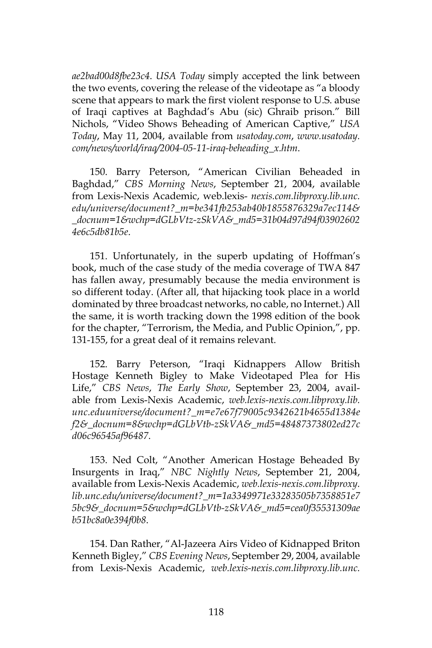*ae2bad00d8fbe23c4*. *USA Today* simply accepted the link between the two events, covering the release of the videotape as "a bloody scene that appears to mark the first violent response to U.S. abuse of Iraqi captives at Baghdad's Abu (sic) Ghraib prison." Bill Nichols, "Video Shows Beheading of American Captive," *USA Today*, May 11, 2004, available from *usatoday.com*, *www.usatoday. com/news/world/iraq/2004-05-11-iraq-beheading\_x.htm*.

150. Barry Peterson, "American Civilian Beheaded in Baghdad," *CBS Morning News*, September 21, 2004, available from Lexis-Nexis Academic, web.lexis- *nexis.com.libproxy.lib.unc. edu/universe/document?\_m=be341fb253ab40b1855876329a7ec114& \_docnum=1&wchp=dGLbVtz-zSkVA&\_md5=31b04d97d94f03902602 4e6c5db81b5e*.

151. Unfortunately, in the superb updating of Hoffman's book, much of the case study of the media coverage of TWA 847 has fallen away, presumably because the media environment is so different today. (After all, that hijacking took place in a world dominated by three broadcast networks, no cable, no Internet.) All the same, it is worth tracking down the 1998 edition of the book for the chapter, "Terrorism, the Media, and Public Opinion,", pp. 131-155, for a great deal of it remains relevant.

152. Barry Peterson, "Iraqi Kidnappers Allow British Hostage Kenneth Bigley to Make Videotaped Plea for His Life," *CBS News*, *The Early Show*, September 23, 2004, available from Lexis-Nexis Academic, *web.lexis-nexis.com.libproxy.lib. unc.eduuniverse/document?\_m=e7e67f79005c9342621b4655d1384e f2&\_docnum=8&wchp=dGLbVtb-zSkVA&\_md5=48487373802ed27c d06c96545af96487*.

153. Ned Colt, "Another American Hostage Beheaded By Insurgents in Iraq," *NBC Nightly News*, September 21, 2004, available from Lexis-Nexis Academic, *web.lexis-nexis.com.libproxy. lib.unc.edu/universe/document?\_m=1a3349971e33283505b7358851e7 5bc9&\_docnum=5&wchp=dGLbVtb-zSkVA&\_md5=cea0f35531309ae b51bc8a0e394f0b8*.

154. Dan Rather, "Al-Jazeera Airs Video of Kidnapped Briton Kenneth Bigley," *CBS Evening News*, September 29, 2004, available from Lexis-Nexis Academic, *web.lexis-nexis.com.libproxy.lib.unc.*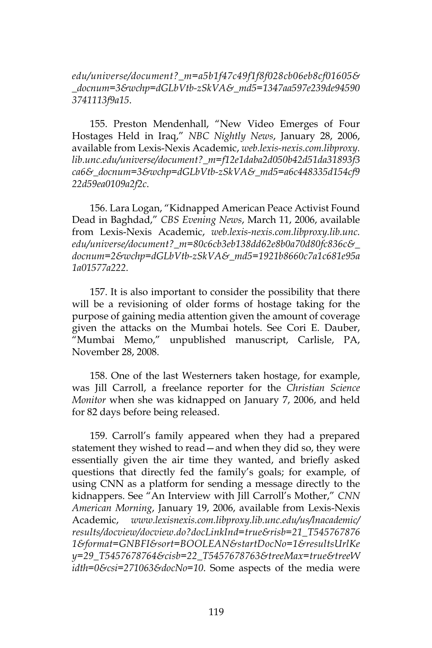*edu/universe/document?\_m=a5b1f47c49f1f8f028cb06eb8cf01605& \_docnum=3&wchp=dGLbVtb-zSkVA&\_md5=1347aa597e239de94590 3741113f9a15*.

155. Preston Mendenhall, "New Video Emerges of Four Hostages Held in Iraq," *NBC Nightly News*, January 28, 2006, available from Lexis-Nexis Academic, *web.lexis-nexis.com.libproxy. lib.unc.edu/universe/document?\_m=f12e1daba2d050b42d51da31893f3 ca6&\_docnum=3&wchp=dGLbVtb-zSkVA&\_md5=a6c448335d154cf9 22d59ea0109a2f2c*.

156. Lara Logan, "Kidnapped American Peace Activist Found Dead in Baghdad," *CBS Evening News*, March 11, 2006, available from Lexis-Nexis Academic, *web.lexis-nexis.com.libproxy.lib.unc. edu/universe/document?\_m=80c6cb3eb138dd62e8b0a70d80fc836c&\_ docnum=2&wchp=dGLbVtb-zSkVA&\_md5=1921b8660c7a1c681e95a 1a01577a222*.

157. It is also important to consider the possibility that there will be a revisioning of older forms of hostage taking for the purpose of gaining media attention given the amount of coverage given the attacks on the Mumbai hotels. See Cori E. Dauber, "Mumbai Memo," unpublished manuscript, Carlisle, PA, November 28, 2008.

158. One of the last Westerners taken hostage, for example, was Jill Carroll, a freelance reporter for the *Christian Science Monitor* when she was kidnapped on January 7, 2006, and held for 82 days before being released.

159. Carroll's family appeared when they had a prepared statement they wished to read—and when they did so, they were essentially given the air time they wanted, and briefly asked questions that directly fed the family's goals; for example, of using CNN as a platform for sending a message directly to the kidnappers. See "An Interview with Jill Carroll's Mother," *CNN American Morning*, January 19, 2006, available from Lexis-Nexis Academic, *www.lexisnexis.com.libproxy.lib.unc.edu/us/lnacademic/ results/docview/docview.do?docLinkInd=true&risb=21\_T545767876 1&format=GNBFI&sort=BOOLEAN&startDocNo=1&resultsUrlKe y=29\_T5457678764&cisb=22\_T5457678763&treeMax=true&treeW idth=0&csi=271063&docNo=10*. Some aspects of the media were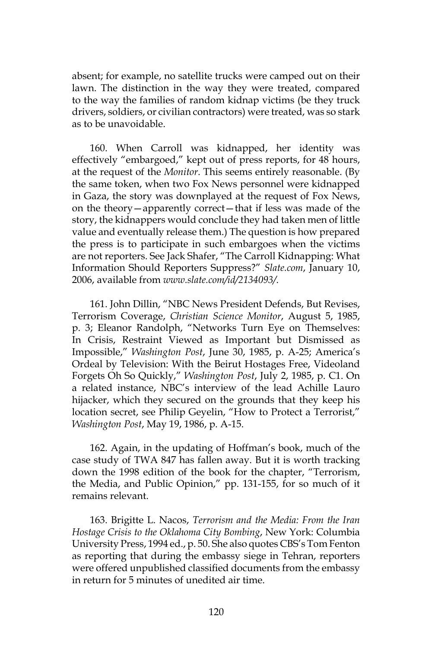absent; for example, no satellite trucks were camped out on their lawn. The distinction in the way they were treated, compared to the way the families of random kidnap victims (be they truck drivers, soldiers, or civilian contractors) were treated, was so stark as to be unavoidable.

160. When Carroll was kidnapped, her identity was effectively "embargoed," kept out of press reports, for 48 hours, at the request of the *Monitor*. This seems entirely reasonable. (By the same token, when two Fox News personnel were kidnapped in Gaza, the story was downplayed at the request of Fox News, on the theory—apparently correct—that if less was made of the story, the kidnappers would conclude they had taken men of little value and eventually release them.) The question is how prepared the press is to participate in such embargoes when the victims are not reporters. See Jack Shafer, "The Carroll Kidnapping: What Information Should Reporters Suppress?" *Slate.com*, January 10, 2006, available from *www.slate.com/id/2134093/*.

161. John Dillin, "NBC News President Defends, But Revises, Terrorism Coverage, *Christian Science Monitor*, August 5, 1985, p. 3; Eleanor Randolph, "Networks Turn Eye on Themselves: In Crisis, Restraint Viewed as Important but Dismissed as Impossible," *Washington Post*, June 30, 1985, p. A-25; America's Ordeal by Television: With the Beirut Hostages Free, Videoland Forgets Oh So Quickly," *Washington Post*, July 2, 1985, p. C1. On a related instance, NBC's interview of the lead Achille Lauro hijacker, which they secured on the grounds that they keep his location secret, see Philip Geyelin, "How to Protect a Terrorist," *Washington Post*, May 19, 1986, p. A-15.

162. Again, in the updating of Hoffman's book, much of the case study of TWA 847 has fallen away. But it is worth tracking down the 1998 edition of the book for the chapter, "Terrorism, the Media, and Public Opinion," pp. 131-155, for so much of it remains relevant.

163. Brigitte L. Nacos, *Terrorism and the Media: From the Iran Hostage Crisis to the Oklahoma City Bombing*, New York: Columbia University Press, 1994 ed., p. 50. She also quotes CBS's Tom Fenton as reporting that during the embassy siege in Tehran, reporters were offered unpublished classified documents from the embassy in return for 5 minutes of unedited air time.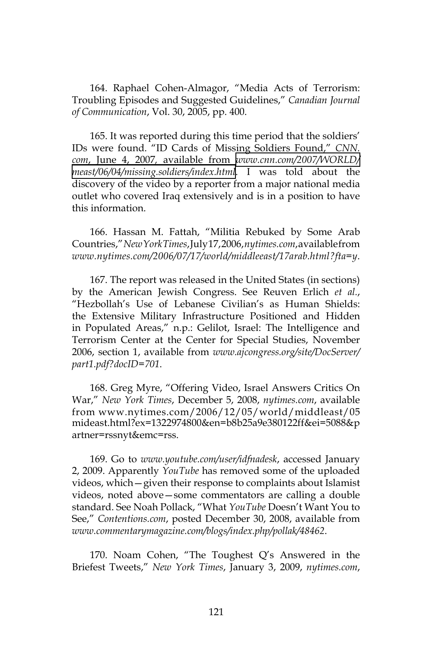164. Raphael Cohen-Almagor, "Media Acts of Terrorism: Troubling Episodes and Suggested Guidelines," *Canadian Journal of Communication*, Vol. 30, 2005, pp. 400.

165. It was reported during this time period that the soldiers' IDs were found. "ID Cards of Missing Soldiers Found," *CNN. com*, June 4, 2007*,* available from *[www.cnn.com/2007/WORLD/](http://www.cnn.com/2007/WORLD/meast/06/04/missing.soldiers/index.html) [meast/06/04/missing.soldiers/index.htm](http://www.cnn.com/2007/WORLD/meast/06/04/missing.soldiers/index.html)l*. I was told about the discovery of the video by a reporter from a major national media outlet who covered Iraq extensively and is in a position to have this information.

166. Hassan M. Fattah, "Militia Rebuked by Some Arab Countries," *New York Times*, July 17, 2006, *nytimes.com*, available from *www.nytimes.com/2006/07/17/world/middleeast/17arab.html?fta=y*.

167. The report was released in the United States (in sections) by the American Jewish Congress. See Reuven Erlich *et al.*, "Hezbollah's Use of Lebanese Civilian's as Human Shields: the Extensive Military Infrastructure Positioned and Hidden in Populated Areas," n.p.: Gelilot, Israel: The Intelligence and Terrorism Center at the Center for Special Studies, November 2006, section 1, available from *www.ajcongress.org/site/DocServer/ part1.pdf?docID=701*.

168. Greg Myre, "Offering Video, Israel Answers Critics On War," *New York Times*, December 5, 2008, *nytimes.com*, available from www.nytimes.com/2006/12/05/world/middleast/05 mideast.html?ex=1322974800&en=b8b25a9e380122ff&ei=5088&p artner=rssnyt&emc=rss.

169. Go to *www.youtube.com/user/idfnadesk*, accessed January 2, 2009. Apparently *YouTube* has removed some of the uploaded videos, which—given their response to complaints about Islamist videos, noted above—some commentators are calling a double standard. See Noah Pollack, "What *YouTube* Doesn't Want You to See," *Contentions.com*, posted December 30, 2008, available from *www.commentarymagazine.com/blogs/index.php/pollak/48462*.

170. Noam Cohen, "The Toughest Q's Answered in the Briefest Tweets," *New York Times*, January 3, 2009, *nytimes.com*,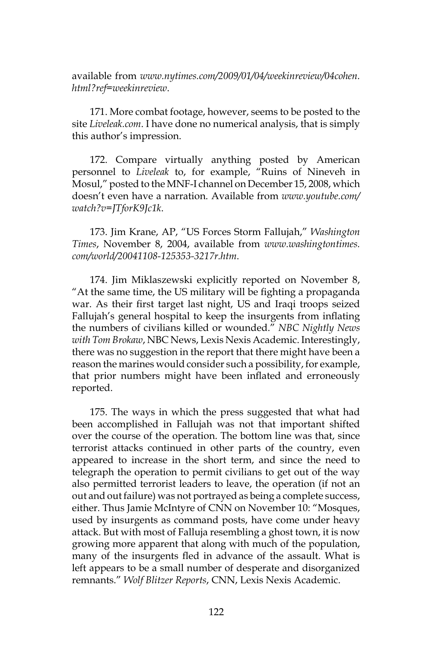available from *www.nytimes.com/2009/01/04/weekinreview/04cohen. html?ref=weekinreview*.

171. More combat footage, however, seems to be posted to the site *Liveleak.com*. I have done no numerical analysis, that is simply this author's impression.

172. Compare virtually anything posted by American personnel to *Liveleak* to, for example, "Ruins of Nineveh in Mosul," posted to the MNF-I channel on December 15, 2008, which doesn't even have a narration. Available from *www.youtube.com/ watch?v=JTforK9Jc1k*.

173. Jim Krane, AP, "US Forces Storm Fallujah," *Washington Times*, November 8, 2004, available from *www.washingtontimes. com/world/20041108-125353-3217r.htm*.

174. Jim Miklaszewski explicitly reported on November 8, "At the same time, the US military will be fighting a propaganda war. As their first target last night, US and Iraqi troops seized Fallujah's general hospital to keep the insurgents from inflating the numbers of civilians killed or wounded." *NBC Nightly News with Tom Brokaw*, NBC News, Lexis Nexis Academic. Interestingly, there was no suggestion in the report that there might have been a reason the marines would consider such a possibility, for example, that prior numbers might have been inflated and erroneously reported.

175. The ways in which the press suggested that what had been accomplished in Fallujah was not that important shifted over the course of the operation. The bottom line was that, since terrorist attacks continued in other parts of the country, even appeared to increase in the short term, and since the need to telegraph the operation to permit civilians to get out of the way also permitted terrorist leaders to leave, the operation (if not an out and out failure) was not portrayed as being a complete success, either. Thus Jamie McIntyre of CNN on November 10: "Mosques, used by insurgents as command posts, have come under heavy attack. But with most of Falluja resembling a ghost town, it is now growing more apparent that along with much of the population, many of the insurgents fled in advance of the assault. What is left appears to be a small number of desperate and disorganized remnants." *Wolf Blitzer Reports*, CNN, Lexis Nexis Academic.